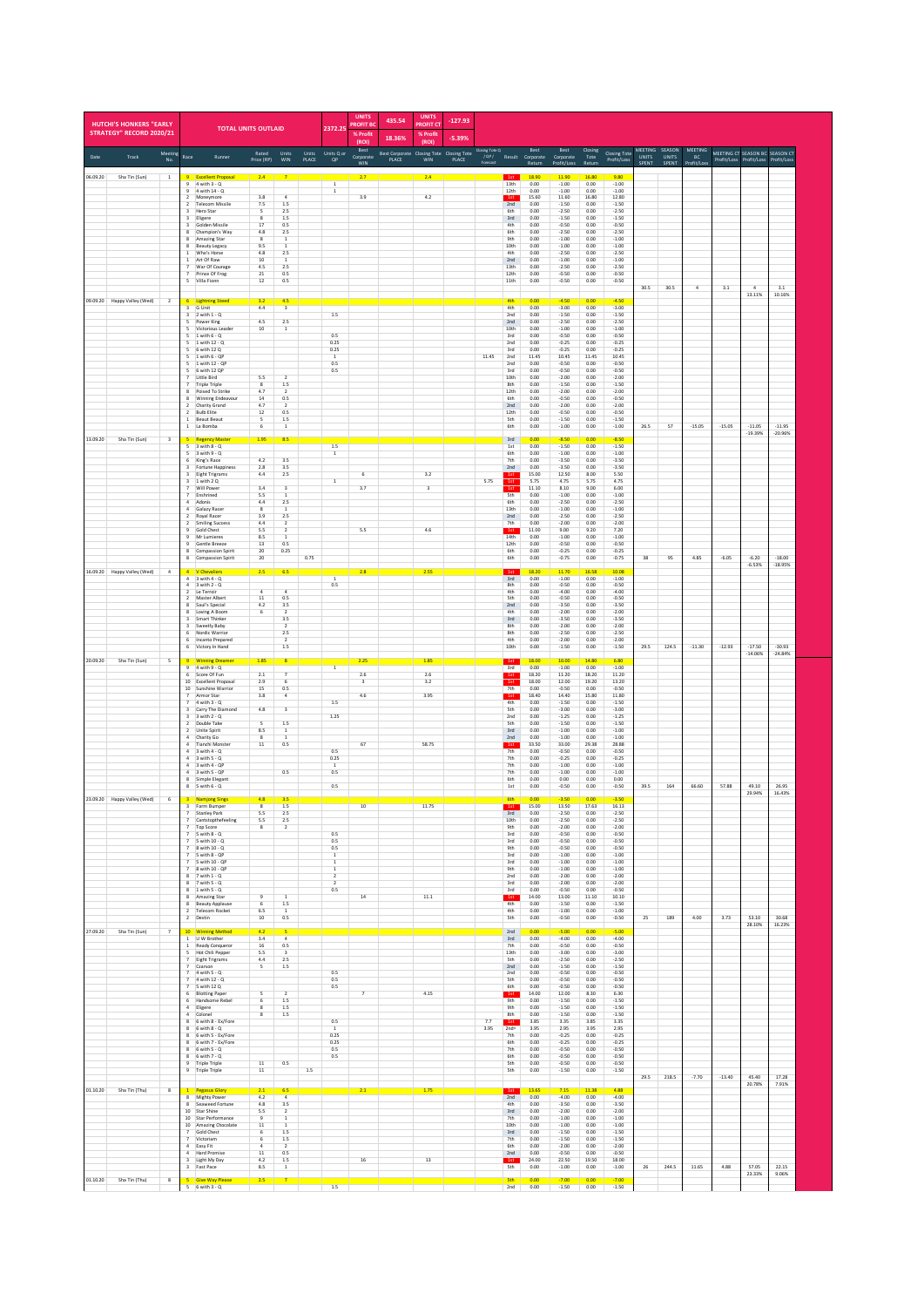| <b>HUTCHI'S HONKERS "FARLY</b><br><b>STRATEGY" RECORD 2020/21</b> |                                                             | <b>TOTAL UNITS OUTLAID</b>                                           |                                                            |                                         |       | 2372.25                                  | <b>UNITS</b><br><b>ROFIT BO</b><br>% Profit | 435.54                                                                                                                 | <b>UNITS</b><br><b>ROFIT CT</b><br>% Profi | $-127.93$ |                               |                                  |                          |                               |                        |                               |                                |                        |                |          |                                |                       |
|-------------------------------------------------------------------|-------------------------------------------------------------|----------------------------------------------------------------------|------------------------------------------------------------|-----------------------------------------|-------|------------------------------------------|---------------------------------------------|------------------------------------------------------------------------------------------------------------------------|--------------------------------------------|-----------|-------------------------------|----------------------------------|--------------------------|-------------------------------|------------------------|-------------------------------|--------------------------------|------------------------|----------------|----------|--------------------------------|-----------------------|
| Meeting<br>Track<br>Date                                          | Race                                                        | Runner                                                               | Rated                                                      | Units                                   | Units | Units Q or                               | (ROI)<br>Best<br>Corporate                  | 18.36%<br><b>Best Corporate</b>                                                                                        | (RO)<br>Closing Tote Closing Tote          | $-5.39%$  | <b>Closing Tote Q</b><br>10P/ |                                  | Best<br>Result Corporate | Best<br>Corporate             | Closing<br>Tote        | <b>Closing Tote</b>           | <b>MEETING</b><br><b>UNITS</b> | SEASON<br><b>UNITS</b> | MEETING<br>BC  |          | MEETING CT SEASON BC SEASON CT |                       |
| No.<br>06.09.20<br>Sha Tin (Sun)<br>$\,$ 1 $\,$                   |                                                             |                                                                      | Price (RP)<br>2.4                                          | WIN                                     | PLACE | <b>QP</b>                                | <b>WIN</b>                                  | PLACE                                                                                                                  | <b>WIN</b><br>2.4                          | PLACE     | Forecast                      | 1st                              | 18.90                    | rofit/Los<br>11.90            | 16.80                  | Profit/Loss<br>9.80           | SPENT                          | SPENT                  | fit/L          |          | Profit/Loss Profit/Loss        | Profit/Los:           |
|                                                                   | $\overline{9}$<br>$\overline{2}$                            | 4 with 3 - Q<br>4 with 14 - Q<br>Moneymore                           | 3.8                                                        | $\overline{a}$                          |       | $\overline{1}$<br>$\,$ 1 $\,$            | 3.9                                         |                                                                                                                        | 4.2                                        |           |                               | 13th<br>12th<br>1st              | 0.00<br>0.00<br>15.60    | $-1.00$<br>$-1.00$<br>11.60   | 0.00<br>0.00<br>16.80  | $-1.00$<br>$-1.00$<br>12.80   |                                |                        |                |          |                                |                       |
|                                                                   | $\overline{2}$<br>$\overline{a}$<br>3                       | <b>Telecom Missile</b><br>Hero Star<br>Eligere                       | 7.5<br>$\overline{\phantom{a}}$<br>$\overline{\mathbf{8}}$ | 1.5<br>2.5<br>1.5                       |       |                                          |                                             |                                                                                                                        |                                            |           |                               | 2nd<br>6th<br>3rd                | 0.00<br>0.00<br>0.00     | $-1.50$<br>$-2.50$<br>$-1.50$ | 0.00<br>0.00<br>0.00   | $-1.50$<br>$-2.50$<br>$-1.50$ |                                |                        |                |          |                                |                       |
|                                                                   | $\overline{a}$<br>8<br>8                                    | Golden Missile<br>Champion's Way<br>Amazing Star                     | 17<br>4.8<br>$\boldsymbol{8}$                              | 0.5<br>2.5<br>$\,$ 1                    |       |                                          |                                             |                                                                                                                        |                                            |           |                               | 4th<br>6th<br><b>9th</b>         | 0.00<br>0.00<br>0.00     | $-0.50$<br>$-2.50$<br>$-1.00$ | 0.00<br>0.00<br>0.00   | $-0.50$<br>$-2.50$<br>$-1.00$ |                                |                        |                |          |                                |                       |
|                                                                   | 8<br>$\mathbf{1}$<br>1                                      | Beauty Legacy<br>Who's Horse<br>Art Of Raw                           | 9.5<br>4.8<br>10                                           | $\mathbf{1}$<br>2.5<br>$\mathbf{1}$     |       |                                          |                                             |                                                                                                                        |                                            |           |                               | 10th<br>4th<br>2nd               | 0.00<br>0.00<br>0.00     | $-1.00$<br>$-2.50$<br>$-1.00$ | 0.00<br>0.00<br>0.00   | $-1.00$<br>$-2.50$<br>$-1.00$ |                                |                        |                |          |                                |                       |
|                                                                   | $\overline{z}$                                              | War Of Courage<br>Prince Of Frog                                     | 4.5<br>21                                                  | 2.5<br>0.5                              |       |                                          |                                             |                                                                                                                        |                                            |           |                               | 13th<br>12th                     | 0.00<br>0.00             | $-2.50$<br>$-0.50$            | 0.00<br>0.00           | $-2.50$<br>$-0.50$            |                                |                        |                |          |                                |                       |
|                                                                   |                                                             | 5 Villa Fionn                                                        | 12                                                         | 0.5                                     |       |                                          |                                             |                                                                                                                        |                                            |           |                               | 11th                             | 0.00                     | $-0.50$                       | 0.00                   | $-0.50$                       | 30.5                           | 30.5                   | $\overline{4}$ | 3.1      | 4<br>13.11%                    | 3.1<br>10.16%         |
| $\overline{2}$<br>09.09.20 Happy Valley (Wed)                     | 3                                                           | <b>Lightning Steed</b><br>3 G Unit<br>$2$ with $1 - Q$               | 3.2<br>4.4                                                 | 4.5<br>$\overline{\mathbf{3}}$          |       | $1.5\,$                                  |                                             |                                                                                                                        |                                            |           |                               | 4th<br>4th<br>2nd                | 0.00<br>0.00<br>0.00     | $-4.50$<br>$-3.00$<br>$-1.50$ | 0.00<br>0.00<br>0.00   | $-4.50$<br>$-3.00$<br>$-1.50$ |                                |                        |                |          |                                |                       |
|                                                                   | 5                                                           | Power King<br>Victorious Leader<br>$1$ with $6 - Q$                  | 4.5<br>10                                                  | 2.5<br>$\,$ 1                           |       | 0.5                                      |                                             |                                                                                                                        |                                            |           |                               | 2nd<br>10th<br>3rd               | 0.00<br>0.00<br>0.00     | $-2.50$<br>$-1.00$<br>$-0.50$ | 0.00<br>0.00<br>0.00   | $-2.50$<br>$-1.00$<br>$-0.50$ |                                |                        |                |          |                                |                       |
|                                                                   |                                                             | 1 with 12 - Q<br>6 with 12 Q<br>$1$ with $6 - QF$                    |                                                            |                                         |       | 0.25<br>0.25<br>$\,$ 1 $\,$              |                                             |                                                                                                                        |                                            |           | 11.45                         | 2nd<br>3rd<br>2nd                | 0.00<br>0.00<br>11.45    | $-0.25$<br>$-0.25$<br>10.45   | 0.00<br>0.00<br>11.45  | $-0.25$<br>$-0.25$<br>10.45   |                                |                        |                |          |                                |                       |
|                                                                   | $\overline{\phantom{a}}$                                    | $1$ with $12 - QP$<br>6 with 12 QP                                   | 5.5                                                        | $\overline{a}$                          |       | 0.5<br>0.5                               |                                             |                                                                                                                        |                                            |           |                               | 2nd<br>3rd                       | 0.00<br>0.00<br>0.00     | $-0.50$<br>$-0.50$            | 0.00<br>0.00           | $-0.50$<br>$-0.50$            |                                |                        |                |          |                                |                       |
|                                                                   | $\overline{\mathbf{g}}$                                     | Little Bird<br><b>Triple Triple</b><br>Poised To Strike              | $\overline{\mathbf{8}}$<br>4.7                             | $1.5\,$<br>$\overline{2}$               |       |                                          |                                             |                                                                                                                        |                                            |           |                               | 10th<br>8th<br>12th              | 0.00<br>0.00             | $-2.00$<br>$-1.50$<br>$-2.00$ | 0.00<br>0.00<br>0.00   | $-2.00$<br>$-1.50$<br>$-2.00$ |                                |                        |                |          |                                |                       |
|                                                                   | $\overline{2}$                                              | Winning Endeavour<br>Charity Grand<br><b>Bulb Elite</b>              | $14\,$<br>4.7<br>$12\,$                                    | 0.5<br>$\overline{2}$<br>0.5            |       |                                          |                                             |                                                                                                                        |                                            |           |                               | 6th<br>2nd<br>12th               | 0.00<br>0.00<br>0.00     | $-0.50$<br>$-2.00$<br>$-0.50$ | 0.00<br>0.00<br>0.00   | $-0.50$<br>$-2.00$<br>$-0.50$ |                                |                        |                |          |                                |                       |
|                                                                   | $\,$ 1 $\,$                                                 | <b>Beaut Beaut</b><br>La Bomba                                       | 5<br>6                                                     | $1.5\,$<br>$\mathbf 1$                  |       |                                          |                                             |                                                                                                                        |                                            |           |                               | <b>Sth</b><br>6th                | 0.00<br>0.00             | $-1.50$<br>$-1.00$            | 0.00<br>0.00           | $-1.50$<br>$-1.00$            | 26.5                           | 57                     | $-15.05$       | $-15.05$ | $-11.05$<br>19.39%             | $-11.95$<br>$-20.96%$ |
| 13.09.20<br>Sha Tin (Sun)<br>$\mathsf 3$                          | 5<br>$\overline{\phantom{a}}$                               | <b>Regency Master</b><br>$3$ with $8 - Q$<br>$3$ with $9 - Q$        | 1.95                                                       | 8.5                                     |       | $1.5\,$<br>$\,$ 1 $\,$                   |                                             |                                                                                                                        |                                            |           |                               | 3rd<br>1st<br>6th                | 0.00<br>0.00<br>0.00     | $-8.50$<br>$-1.50$<br>$-1.00$ | 0.00<br>0.00<br>0.00   | $-8.50$<br>$-1.50$<br>$-1.00$ |                                |                        |                |          |                                |                       |
|                                                                   | 6<br>$\overline{3}$                                         | King's Race<br>Fortune Happiness                                     | 4.2<br>2.8                                                 | 3.5<br>3.5                              |       |                                          |                                             |                                                                                                                        |                                            |           |                               | 7th<br>2nd                       | 0.00<br>0.00             | $-3.50$<br>$-3.50$            | 0.00<br>0.00           | $-3.50$<br>$-3.50$            |                                |                        |                |          |                                |                       |
|                                                                   | $\overline{\mathbf{3}}$<br>$\overline{a}$<br>$\overline{7}$ | Eight Trigrams<br>1 with 2 Q<br>Will Power                           | 4.4<br>3.4                                                 | $2.5\,$<br>$\overline{\mathbf{3}}$      |       | $\,$ 1 $\,$                              | 6<br>3.7                                    |                                                                                                                        | 3.2<br>$_{\rm 3}$                          |           | 5.75                          | 1st                              | 15.00<br>5.75<br>11.10   | 12.50<br>4.75<br>8.10         | 8.00<br>5.75<br>9.00   | 5.50<br>4.75<br>6.00          |                                |                        |                |          |                                |                       |
|                                                                   | $\overline{7}$<br>$\overline{4}$<br>$\overline{4}$          | Enshrined<br>Adonis<br>Galazy Racer                                  | 5.5<br>4.4<br>8                                            | $\mathbf{1}$<br>$2.5\,$<br>$\mathbf{1}$ |       |                                          |                                             |                                                                                                                        |                                            |           |                               | 5 <sub>th</sub><br>6th<br>13th   | 0.00<br>0.00<br>0.00     | $-1.00$<br>$-2.50$<br>$-1.00$ | 0.00<br>0.00<br>0.00   | $-1.00$<br>$-2.50$<br>$-1.00$ |                                |                        |                |          |                                |                       |
|                                                                   | $\overline{2}$<br>$\overline{2}$<br>9                       | <b>Royal Racer</b><br><b>Smiling Success</b><br>Gold Chest           | 3.9<br>4.4<br>5.5                                          | 2.5<br>$\overline{2}$<br>$\overline{2}$ |       |                                          | 5.5                                         |                                                                                                                        | 4.6                                        |           |                               | 2nd<br>7th<br>1st                | 0.00<br>0.00<br>11.00    | $-2.50$<br>$-2.00$<br>9.00    | 0.00<br>0.00<br>9.20   | $-2.50$<br>$-2.00$<br>7.20    |                                |                        |                |          |                                |                       |
|                                                                   | $\mathbf{Q}$<br>9                                           | Mr Lumieres<br>Gentle Breeze                                         | 8.5<br>13                                                  | $\mathbf{1}$<br>0.5                     |       |                                          |                                             |                                                                                                                        |                                            |           |                               | 14th<br>12th                     | 0.00<br>0.00             | $-1.00$<br>$-0.50$            | 0.00<br>0.00           | $-1.00$<br>$-0.50$            |                                |                        |                |          |                                |                       |
|                                                                   | 8                                                           | Compassion Spirit<br>8 Compassion Spirit                             | 20<br>20                                                   | 0.25                                    | 0.75  |                                          |                                             |                                                                                                                        |                                            |           |                               | 6th<br>6th                       | 0.00<br>0.00             | $-0.25$<br>$-0.75$            | 0.00<br>0.00           | $-0.25$<br>$-0.75$            | 38                             | 95                     | 4.85           | $-6.05$  | $-6.20$<br>$-6.53%$            | $-18.00$<br>$-18.95%$ |
| 16.09.20 Happy Valley (Wed)<br>$\overline{4}$                     |                                                             | <b>V</b> Chevaliers<br>$4 - 3$ with $4 - Q$<br>$4 - 3$ with $2 - Q$  | 2.5                                                        | 6.5                                     |       | $\overline{1}$<br>0.5                    | 2.8                                         |                                                                                                                        | 2.55                                       |           |                               | 1st<br>3rd<br>8th                | 18.20<br>0.00<br>0.00    | 11.70<br>$-1.00$<br>$-0.50$   | 16.58<br>0.00<br>0.00  | 10.08<br>$-1.00$<br>$-0.50$   |                                |                        |                |          |                                |                       |
|                                                                   | $\overline{2}$                                              | Le Terroir<br>Master Albert<br>Saul's Special                        | $\overline{4}$<br>$11\,$<br>4.2                            | $\overline{4}$<br>0.5<br>3.5            |       |                                          |                                             |                                                                                                                        |                                            |           |                               | 4th<br><b>Sth</b><br>2nd         | 0.00<br>0.00<br>0.00     | $-4.00$<br>$-0.50$<br>$-3.50$ | 0.00<br>0.00<br>0.00   | $-4.00$<br>$-0.50$<br>$-3.50$ |                                |                        |                |          |                                |                       |
|                                                                   | $\mathbf{R}$<br>$\overline{\mathbf{3}}$<br>$\overline{3}$   | Loving A Boom<br>Smart Thinker<br>Sweetly Baby                       | 6                                                          | $\overline{z}$<br>3.5<br>$\overline{2}$ |       |                                          |                                             |                                                                                                                        |                                            |           |                               | 4th<br>3rd<br>8th                | 0.00<br>0.00<br>0.00     | $-2.00$<br>$-3.50$<br>$-2.00$ | 0.00<br>0.00<br>0.00   | $-2.00$<br>$-3.50$<br>$-2.00$ |                                |                        |                |          |                                |                       |
|                                                                   | 6<br>6                                                      | Nordic Warrior<br><b>Incanto Prepared</b>                            |                                                            | $2.5\,$<br>$\overline{2}$               |       |                                          |                                             |                                                                                                                        |                                            |           |                               | 8th<br>4th                       | 0.00<br>0.00             | $-2.50$<br>$-2.00$            | 0.00<br>0.00           | $-2.50$<br>$-2.00$            |                                |                        |                |          |                                |                       |
| 20.09.20<br>Sha Tin (Sun)<br>$\mathsf{s}$                         |                                                             | 6 Victory In Hand                                                    | 1.85                                                       | 1.5<br>8                                |       |                                          | 2.25                                        |                                                                                                                        | 1.85                                       |           |                               | 10th                             | 0.00<br>18.00            | $-1.50$<br>10.00              | 0.00<br>14.80          | $-1.50$<br>6.80               | 29.5                           | 124.5                  | $-11.30$       | $-12.93$ | $-1750$<br>$-14.06%$           | $-3093$<br>$-24.84%$  |
|                                                                   |                                                             | $4$ with $9 - Q$<br>6 Score Of Fun<br>10 Excellent Proposal          | 2.1<br>2.9                                                 | 7<br>$\overline{6}$                     |       | $\overline{1}$                           | 2.6<br>$\overline{\mathbf{3}}$              |                                                                                                                        | 2.6<br>3.2                                 |           |                               | 3rd<br>1st                       | 0.00<br>18.20<br>18.00   | $-1.00$<br>11.20<br>12.00     | 0.00<br>18.20<br>19.20 | $-1.00$<br>11.20<br>13.20     |                                |                        |                |          |                                |                       |
|                                                                   | $\overline{7}$<br>$\overline{7}$                            | 10 Sunshine Warrior<br>Armor Star<br>$4$ with $3 - Q$                | 15<br>$3.8\,$                                              | 0.5<br>$\sqrt{4}$                       |       | 1.5                                      | $4.6\,$                                     |                                                                                                                        | 3.95                                       |           |                               | 7th<br>1st<br>4th                | 0.00<br>18.40<br>0.00    | $-0.50$<br>14.40<br>$-1.50$   | 0.00<br>15.80<br>0.00  | $-0.50$<br>11.80<br>$-1.50$   |                                |                        |                |          |                                |                       |
|                                                                   | $\overline{a}$<br>$\overline{\mathbf{3}}$                   | Carry The Diamond<br>$3$ with $2 - 0$                                | 4.8                                                        | 3                                       |       | 1.25                                     |                                             |                                                                                                                        |                                            |           |                               | <b>Sth</b><br>2nd                | 0.00<br>0.00             | $-3.00$<br>$-1.25$            | 0.00<br>0.00           | $-3.00$<br>$-1.25$            |                                |                        |                |          |                                |                       |
|                                                                   | $\overline{2}$<br>$\overline{2}$<br>$\overline{4}$          | Double Take<br>Unite Spirit<br>Charity Go                            | $\overline{\phantom{a}}$<br>8.5<br>8                       | $1.5\,$<br>$\,$ 1<br>$\mathbf{1}$       |       |                                          |                                             |                                                                                                                        |                                            |           |                               | Sth<br>3rd<br>2nd                | 0.00<br>0.00<br>0.00     | $-1.50$<br>$-1.00$<br>$-1.00$ | 0.00<br>0.00<br>0.00   | $-1.50$<br>$-1.00$<br>$-1.00$ |                                |                        |                |          |                                |                       |
|                                                                   | $\sim$<br>$\Delta$<br>$\overline{4}$                        | Tianchi Monster<br>$3$ with $4 - Q$<br>$3$ with $5 - 0$              | $11\,$                                                     | 0.5                                     |       | 0.5<br>0.25                              | 67                                          |                                                                                                                        | 58.75                                      |           |                               | 1st<br>7th<br>7th                | 33.50<br>0.00<br>0.00    | 33.00<br>$-0.50$<br>$-0.25$   | 29.38<br>0.00<br>0.00  | 28.88<br>$-0.50$<br>$-0.25$   |                                |                        |                |          |                                |                       |
|                                                                   | $\overline{4}$<br>8                                         | 4 3 with 4 - OF<br>3 with 5 - OF<br>Simple Elegant                   |                                                            | 0.5                                     |       | $\overline{1}$<br>0.5                    |                                             |                                                                                                                        |                                            |           |                               | 7th<br>7th<br>6th                | 0.00<br>0.00<br>0.00     | $-1.00$<br>$-1.00$<br>0.00    | 0.00<br>0.00<br>0.00   | $-1.00$<br>$-1.00$<br>0.00    |                                |                        |                |          |                                |                       |
|                                                                   |                                                             | $8$ 5 with $6 - Q$                                                   |                                                            |                                         |       | 0.5                                      |                                             |                                                                                                                        |                                            |           |                               | 1st<br>6th                       | 0.00                     | $-0.50$                       | 0.00                   | $-0.50$                       | 39.5                           | 164                    | 66.60          | 57.88    | 49.10<br>29.94%                | 26.95<br>16.43%       |
| $\,$ 6 $\,$<br>23.09.20 Happy Valley (Wed)                        |                                                             | <b>Namjong Sings</b><br>Farm Bumpe<br><b>Stanley Park</b>            | 4.8<br>5.5                                                 | 3.5<br>2.5                              |       |                                          | 10                                          |                                                                                                                        | 11.75                                      |           |                               | 1st<br>3rd                       | 0.00<br>15.00<br>0.00    | $-3.50$<br>13.50<br>$-2.50$   | 0.00<br>17.63<br>0.00  | $-3.50$<br>16.13<br>$-2.50$   |                                |                        |                |          |                                |                       |
|                                                                   | $\overline{7}$<br>$\overline{7}$<br>$\overline{7}$          | Cantstopthefeeling<br>Top Score<br>5 with 8 - Q                      | 5.5<br>8                                                   | 2.5<br>$\overline{2}$                   |       | 0.5                                      |                                             |                                                                                                                        |                                            |           |                               | 10th<br>9th<br>3rd               | 0.00<br>0.00<br>0.00     | $-2.50$<br>$-2.00$<br>$-0.50$ | 0.00<br>0.00<br>0.00   | $-2.50$<br>$-2.00$<br>$-0.50$ |                                |                        |                |          |                                |                       |
|                                                                   | $\overline{7}$                                              | 5 with 10 - Q<br>7 8 with $10 - Q$<br>5 with 8 - QP                  |                                                            |                                         |       | 0.5<br>0.5<br><sup>1</sup>               |                                             |                                                                                                                        |                                            |           |                               | 3rd<br>9th<br>3rd                | 0.00<br>0.00<br>0.00     | $-0.50$<br>$-0.50$<br>$-1.00$ | 0.00<br>0.00<br>0.00   | $-0.50$<br>$-0.50$<br>$-1.00$ |                                |                        |                |          |                                |                       |
|                                                                   | $\overline{7}$                                              | 5 with 10 - OP<br>8 with 10 - QP<br>8 7 with 1 - Q                   |                                                            |                                         |       | $\,$ 1<br>$\mathbf{1}$<br>$\overline{2}$ |                                             |                                                                                                                        |                                            |           |                               | 3rd<br>9th<br>2nd                | 0.00<br>0.00<br>0.00     | $-1.00$<br>$-1.00$            | 0.00<br>0.00           | $-1.00$<br>$-1.00$<br>$-2.00$ |                                |                        |                |          |                                |                       |
|                                                                   |                                                             | 8 7 with 5 - Q<br>$8 - 1$ with $5 - Q$                               |                                                            |                                         |       | $\overline{2}$<br>0.5                    |                                             |                                                                                                                        |                                            |           |                               | 3rd<br>3rd                       | 0.00<br>0.00             | $-2.00$<br>$-2.00$<br>$-0.50$ | 0.00<br>0.00<br>0.00   | $-2.00$<br>$-0.50$            |                                |                        |                |          |                                |                       |
|                                                                   | 8<br>8                                                      | Amazing Star<br><b>Beauty Applause</b><br><b>Telecom Rocket</b>      | 9<br>6<br>6.5                                              | $\mathbf 1$<br>1.5<br>$1\,$             |       |                                          | $14\,$                                      |                                                                                                                        | 11.1                                       |           |                               | 1st<br>4th<br>4th                | 14.00<br>0.00<br>0.00    | 13.00<br>$-1.50$<br>$-1.00$   | 11.10<br>0.00<br>0.00  | 10.10<br>$-1.50$<br>$-1.00$   |                                |                        |                |          |                                |                       |
| 27.09.20<br>Sha Tin (Sun)<br>$\overline{z}$                       | 10 <sup>°</sup>                                             | 2 Destin<br><b>Winning Method</b>                                    | 10<br>4.2                                                  | 0.5                                     |       |                                          |                                             |                                                                                                                        |                                            |           |                               | <b>Sth</b><br>2nd                | 0.00<br>0.00             | $-0.50$<br>$-5.00$            | 0.00<br>0.00           | $-0.50$<br>$-5.00$            | 25                             | 189                    | 4.00           | 3.73     | 53.10<br>28.10%                | 30.68<br>16.23%       |
|                                                                   | 5                                                           | U W Brother<br>Ready Conqueror<br>Hot Chili Pepper                   | 3.4<br>$16\,$<br>5.5                                       | 0.5<br>$\overline{\mathbf{3}}$          |       |                                          |                                             |                                                                                                                        |                                            |           |                               | $3rd$<br>7 <sub>th</sub><br>13th | 0.00<br>0.00<br>0.00     | $-4.00$<br>$-0.50$<br>$-3.00$ | 0.00<br>0.00<br>0.00   | $-4.00$<br>$-0.50$<br>$-3.00$ |                                |                        |                |          |                                |                       |
|                                                                   | $7\phantom{.}$                                              | Eight Trigrams<br>Czarson                                            | 4.4<br>5                                                   | $2.5\,$<br>$1.5\,$                      |       |                                          |                                             |                                                                                                                        |                                            |           |                               | <b>Sth</b><br>2nd                | 0.00<br>0.00             | $-2.50$<br>$-1.50$            | 0.00<br>0.00           | $-2.50$<br>$-1.50$            |                                |                        |                |          |                                |                       |
|                                                                   |                                                             | $7 - 4$ with $5 - Q$<br>7 4 with 12 - Q<br>7 5 with 12 Q             |                                                            |                                         |       | 0.5<br>0.5<br>$0.5\,$                    |                                             |                                                                                                                        |                                            |           |                               | 2nd<br><b>Sth</b><br>6th         | 0.00<br>0.00<br>0.00     | $-0.50$<br>$-0.50$<br>$-0.50$ | 0.00<br>0.00<br>0.00   | $-0.50$<br>$-0.50$<br>$-0.50$ |                                |                        |                |          |                                |                       |
|                                                                   | 6                                                           | <b>Blotting Paper</b><br>6 Handsome Rebel<br>4 Eligere               | K,<br>6<br>$\overline{\mathbf{8}}$                         | $\overline{z}$<br>1.5<br>1.5            |       |                                          | $\overline{z}$                              |                                                                                                                        | 4.15                                       |           |                               | 1st<br>9th<br>9th                | 14.00<br>0.00<br>0.00    | 12.00<br>$-1.50$<br>$-1.50$   | 8.30<br>0.00<br>0.00   | 6.30<br>$-1.50$<br>$-1.50$    |                                |                        |                |          |                                |                       |
|                                                                   | 8                                                           | 4 Colonel<br>6 with 8 - Ex/Fore                                      | 8                                                          | $1.5\,$                                 |       | $0.5\,$<br>$\overline{1}$                |                                             |                                                                                                                        |                                            |           | 7.7<br>3.95                   | 8th<br>1st<br>$2nd =$            | 0.00<br>3.85<br>3.95     | $-1.50$<br>3.35<br>2.95       | 0.00<br>3.85<br>3.95   | $-1.50$<br>3.35<br>2.95       |                                |                        |                |          |                                |                       |
|                                                                   |                                                             | $8 - 6$ with $8 - Q$<br>8 6 with 5 - Ex/Fore<br>8 6 with 7 - Ex/Fore |                                                            |                                         |       | 0.25<br>0.25                             |                                             |                                                                                                                        |                                            |           |                               | 7th<br>6th                       | 0.00<br>0.00             | $-0.25$<br>$-0.25$            | 0.00<br>0.00           | $-0.25$<br>$-0.25$            |                                |                        |                |          |                                |                       |
|                                                                   | 8<br>$\mathbf{Q}$                                           | $6$ with $5 - Q$<br>8<br>$6$ with $7 - Q$<br><b>Triple Triple</b>    | 11                                                         | 0.5                                     |       | 0.5<br>$0.5\,$                           |                                             |                                                                                                                        |                                            |           |                               | 7th<br>6th<br>Sth                | 0.00<br>0.00<br>0.00     | $-0.50$<br>$-0.50$<br>$-0.50$ | 0.00<br>0.00<br>0.00   | $-0.50$<br>$-0.50$<br>$-0.50$ |                                |                        |                |          |                                |                       |
|                                                                   |                                                             | 9 Triple Triple                                                      | 11                                                         |                                         | 1.5   |                                          |                                             |                                                                                                                        |                                            |           |                               | Sth                              | 0.00                     | $-1.50$                       | 0.00                   | $-1.50$                       | 29.5                           | 218.5                  | $-7.70$        | $-13.40$ | 45.40<br>20.78%                | 17.28<br>7.91%        |
| 01.10.20<br>Sha Tin (Thu)<br>$\bf{8}$                             | 1<br>8                                                      | <b>Pegasus Glory</b><br>Mighty Power                                 | 2.1<br>4.2<br>4.8                                          | 6.5<br>$\overline{a}$<br>3.5            |       |                                          | 2.1                                         |                                                                                                                        | 1.75                                       |           |                               | 1st<br>2nd<br>4th                | 13.65<br>0.00<br>0.00    | 7.15<br>$-4.00$               | 11.38<br>0.00          | 4.88<br>$-4.00$<br>$-3.50$    |                                |                        |                |          |                                |                       |
|                                                                   |                                                             | 8 Seaweed Fortune<br>10 Star Shine<br>10 Star Performance            | 5.5<br>$\,9$                                               | $\overline{2}$<br>$\mathbf{1}$          |       |                                          |                                             |                                                                                                                        |                                            |           |                               | 3rd<br>7th                       | 0.00<br>0.00             | $-3.50$<br>$-2.00$<br>$-1.00$ | 0.00<br>0.00<br>0.00   | $-2.00$<br>$-1.00$            |                                |                        |                |          |                                |                       |
|                                                                   |                                                             | 10 Amazing Chocolate<br>7 Gold Chest<br>7 Victoriam                  | 11<br>$6\overline{6}$<br>6                                 | $\mathbf{1}$<br>1.5<br>1.5              |       |                                          |                                             |                                                                                                                        |                                            |           |                               | 10th<br>3rd<br>7th               | 0.00<br>0.00<br>0.00     | $-1.00$<br>$-1.50$<br>$-1.50$ | 0.00<br>0.00<br>0.00   | $-1.00$<br>$-1.50$<br>$-1.50$ |                                |                        |                |          |                                |                       |
|                                                                   | 4                                                           | 4 Easy Fit<br><b>Hard Promise</b><br>3 Light My Day                  | $\ddot{a}$<br>11<br>4.2                                    | $\overline{2}$<br>0.5<br>1.5            |       |                                          | $16\,$                                      |                                                                                                                        | $13\,$                                     |           |                               | 6th<br>2nd<br>1st                | 0.00<br>0.00<br>24.00    | $-2.00$<br>$-0.50$<br>22.50   | 0.00<br>0.00<br>19.50  | $-2.00$<br>$-0.50$<br>18.00   |                                |                        |                |          |                                |                       |
| Sha Tin (Thu)<br>$^{\rm 8}$<br>01.10.20                           |                                                             | 3 Fast Pace<br><b>Give Way Please</b>                                | 8.5                                                        | $\mathbf{1}$                            |       |                                          |                                             |                                                                                                                        |                                            |           |                               | <b>Sth</b><br><b>Sth</b>         | 0.00<br>0.00             | $-1.00$<br>$-7.00$            | 0.00<br>0.00           | $-1.00$<br>$-7.00$            | 26                             | 244.5                  | 11.65          | 4.88     | 57.05<br>23.33%                | 22.15<br>9.06%        |
|                                                                   |                                                             | $5$ 6 with $3 - Q$                                                   |                                                            | $2.5$ $7$                               |       | 1.5                                      |                                             | <u> 1989 - Jan Stein Harry Harry Harry Harry Harry Harry Harry Harry Harry Harry Harry Harry Harry Harry Harry Har</u> |                                            |           |                               | 2nd                              | 0.00                     | $-1.50$                       | 0.00                   | $-1.50$                       |                                |                        |                |          |                                |                       |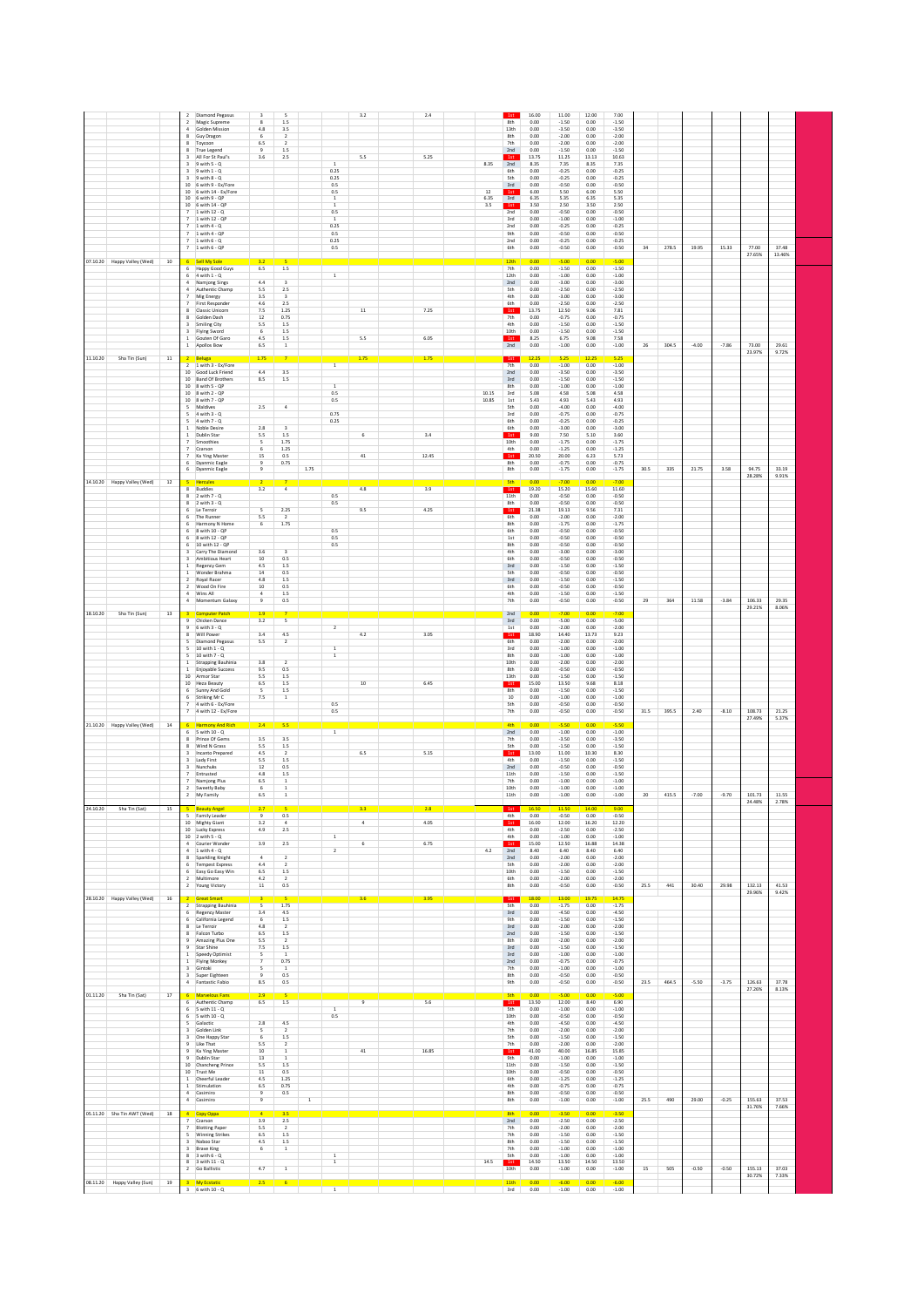| 07.10.20 Happy Valley (Wed)<br>10                                         | <b>Diamond Pegasus</b><br>$\overline{2}$<br>$\overline{\mathbf{3}}$<br>2 Magic Supreme<br>8<br>4.8<br>Golden Mission<br>4<br>Guy Dragon<br>6<br>8<br>6.5<br>8<br>Toycoon<br>$\overline{9}$<br>8 True Legend<br>3.6<br>All For St Paul's<br>3<br>$3$ 9 with $5 - Q$<br>$3$ 9 with $1 - Q$<br>$9$ with $8 - Q$<br>3<br>10<br>6 with 9 - Ex/Fore<br>10 6 with 14 - Ex/Fore<br>6 with 9 - QP<br>10<br>$10$ 6 with $14 - QP$<br>1 with $12 - Q$<br>1 with 12 - QP<br>$1$ with $4 - Q$<br>1 with 4 - QP<br>$\overline{7}$<br>$1$ with $6 - Q$<br>7 1 with 6 - QP<br>6 Sell My Sole<br>3.2 | $\overline{\phantom{a}}$<br>1.5<br>3.5<br>$\overline{2}$<br>$\overline{2}$<br>1.5<br>2.5<br>$\overline{1}$<br>0.25<br>0.25<br>0.5<br>0.5<br>$\,$ 1 $\,$<br>$\mathbf 1$<br>0.5<br>$\,$ 1 $\,$<br>0.25<br>0.5<br>0.25<br>0.5 | 3.2<br>2.4<br>5.5<br>5.25                          | 1st<br>16.00<br>12.00<br>7.00<br>11.00<br>8th<br>0.00<br>$-1.50$<br>$-1.50$<br>0.00<br>13th<br>0.00<br>$-3.50$<br>$-3.50$<br>0.00<br>$-2.00$<br>0.00<br>$-2.00$<br>0.00<br>8th<br>7th<br>0.00<br>$-2.00$<br>0.00<br>$-2.00$<br>2nd<br>0.00<br>$-1.50$<br>$-1.50$<br>0.00<br>13.75<br>11.25<br>13.13<br>10.63<br>1st<br>8.35<br>2nd<br>8.35<br>7.35<br>8.35<br>7.35<br>0.00<br>$-0.25$<br>0.00<br>$-0.25$<br>6th<br><b>Sth</b><br>0.00<br>$-0.25$<br>0.00<br>$-0.25$<br>$3rd$<br>0.00<br>$-0.50$<br>0.00<br>$-0.50$<br>$12\,$<br>5.50<br>5.50<br>1st<br>6.00<br>6.00<br>6.35<br>3rd<br>6.35<br>5.35<br>6.35<br>5.35<br>3.50<br>2.50<br>3.50<br>2.50<br>3.5<br>1st<br>0.00<br>$-0.50$<br>0.00<br>$-0.50$<br>2nd<br>3rd<br>0.00<br>$-1.00$<br>0.00<br>$-1.00$<br>$-0.25$<br>0.00<br>$-0.25$<br>2nd<br>0.00<br>0.00<br>$-0.50$<br>9th<br>0.00<br>$-0.50$<br>$-0.25$<br>2nd<br>0.00<br>0.00<br>$-0.25$<br>6th<br>0.00<br>$-0.50$<br>0.00<br>$-0.50$<br>12 <sup>th</sup><br>$-5.00$<br>0.00<br>0.00<br>$-5.00$ | 278.5<br>19.95<br>34     | 15.33<br>77.00<br>27.65%              | 37.48<br>13.46%         |
|---------------------------------------------------------------------------|-------------------------------------------------------------------------------------------------------------------------------------------------------------------------------------------------------------------------------------------------------------------------------------------------------------------------------------------------------------------------------------------------------------------------------------------------------------------------------------------------------------------------------------------------------------------------------------|----------------------------------------------------------------------------------------------------------------------------------------------------------------------------------------------------------------------------|----------------------------------------------------|----------------------------------------------------------------------------------------------------------------------------------------------------------------------------------------------------------------------------------------------------------------------------------------------------------------------------------------------------------------------------------------------------------------------------------------------------------------------------------------------------------------------------------------------------------------------------------------------------------------------------------------------------------------------------------------------------------------------------------------------------------------------------------------------------------------------------------------------------------------------------------------------------------------------------------------------------------------------------------------------------------|--------------------------|---------------------------------------|-------------------------|
| 11.10.20<br>Sha Tin (Sun)<br>$11\,$                                       | 6 Happy Good Guys<br>6.5<br>$6$ 4 with $1 - Q$<br><b>Namjong Sings</b><br>4.4<br>5.5<br>Authentic Champ<br>3.5<br>Mig Energy<br>4.6<br>$\overline{7}$<br>First Responde<br>7.5<br><b>Classic Unicorn</b><br>$12\,$<br>Golden Dash<br>5.5<br>Smiling City<br>$\overline{6}$<br>Flying Sword<br>Gouten Of Garo<br>4.5<br>6.5<br>1 Apollos Bow<br>1.75<br>Beluga                                                                                                                                                                                                                       | 1.5<br>$\,1\,$<br>2.5<br>$\overline{\mathbf{3}}$<br>2.5<br>1.25<br>0.75<br>$1.5\,$<br>1.5<br>$1.5\,$<br>$\,$ 1 $\,$                                                                                                        | 7.25<br>$11\,$<br>5.5<br>6.05<br>1.75<br>1.75      | 0.00<br>$-1.50$<br>7th<br>0.00<br>$-1.50$<br>12th<br>0.00<br>$-1.00$<br>0.00<br>$-1.00$<br>0.00<br>2nd<br>$-3.00$<br>0.00<br>$-3.00$<br><b>Sth</b><br>$-2.50$<br>$-2.50$<br>0.00<br>0.00<br>4th<br>0.00<br>$-3.00$<br>0.00<br>$-3.00$<br>$-2.50$<br>$-2.50$<br>6th<br>0.00<br>0.00<br>13.75<br>12.50<br>9.06<br>7.81<br>1st<br>7th<br>0.00<br>$-0.75$<br>0.00<br>$-0.75$<br>4th<br>$-1.50$<br>0.00<br>0.00<br>$-1.50$<br>$-1.50$<br>10th<br>0.00<br>0.00<br>$-1.50$<br>8.25<br>6.75<br>9.08<br>7.58<br>1st<br>2nd<br>0.00<br>$-1.00$<br>0.00<br>$-1.00$<br>1st<br>12.25<br>5.25<br>12.25<br>5.25                                                                                                                                                                                                                                                                                                                                                                                                         | 304.5<br>$-4.00$<br>26   | $-7.86$<br>73.00<br>23.97%            | 29.61<br>9.72%          |
| 14.10.20 Happy Valley (Wed)<br>$12\,$                                     | 1 with 3 - Ex/Fore<br>$\overline{2}$<br>10 Good Luck Friend<br>4.4<br>10 Band Of Brothers<br>8.5<br>10 8 with 5 - QP<br>10 8 with 2 - QP<br>10 8 with 7 - QP<br>Maldives<br>$2.5\,$<br>5<br>$4$ with $3 - Q$<br>$\sim$<br>$5 - 4$ with $7 - Q$<br>Noble Desire<br>2.8<br>$\mathbf{1}$<br>$\mathbf{1}$<br>Dublin Star<br>5.5<br>Smoothies<br>5<br>$\overline{7}$<br>$\overline{7}$<br>Czarson<br>6<br>Ka Ying Master<br>$15\,$<br>$\overline{7}$<br>Dyanmic Eagle<br>9<br>6 Dyanmic Eagle                                                                                            | $\overline{1}$<br>3.5<br>1.5<br>$\overline{1}$<br>0.5<br>0.5<br>$\overline{a}$<br>0.75<br>0.25<br>$\overline{a}$<br>1.5<br>1.75<br>1.25<br>0.5<br>0.75<br>1.75                                                             | 6<br>3.4<br>$41\,$<br>12.45                        | 7th<br>0.00<br>$-1.00$<br>0.00<br>$-1.00$<br>2nd<br>0.00<br>$-3.50$<br>0.00<br>$-3.50$<br>$3rd$<br>0.00<br>$-1.50$<br>0.00<br>$-1.50$<br>8th<br>0.00<br>$-1.00$<br>0.00<br>$-1.00$<br>10.15<br>3rd<br>5.08<br>4.58<br>5.08<br>4.58<br>10.85<br>1st<br>5.43<br>4.93<br>5.43<br>4.93<br><b>Sth</b><br>0.00<br>$-4.00$<br>0.00<br>$-4.00$<br>3rd<br>0.00<br>$-0.75$<br>0.00<br>$-0.75$<br>6th<br>0.00<br>$-0.25$<br>0.00<br>$-0.25$<br>6th<br>0.00<br>$-3.00$<br>0.00<br>$-3.00$<br>1st<br>9.00<br>7.50<br>5.10<br>3.60<br>10th<br>0.00<br>$-1.75$<br>0.00<br>$-1.75$<br>4th<br>0.00<br>$-1.25$<br>0.00<br>$-1.25$<br>1st<br>20.50<br>20.00<br>6.23<br>5.73<br>$\frac{8th}{8th}$<br>0.00<br>$-0.75$<br>$-1.75$<br>0.00<br>$-0.75$<br>0.00<br>$-1.75$<br>0.00<br>Sth<br>0.00<br>0.00<br>$-7.00$<br>$-7.00$                                                                                                                                                                                                   | 30.5<br>335<br>21.75     | 3.58<br>94.75<br>28.28%               | 33.19<br>9.91%          |
|                                                                           | $\bf{8}$<br>Buddies<br>3.2<br>2 with $7 - Q$<br>$2$ with $3 - Q$<br>$\overline{\mathbf{S}}$<br>Le Terroir<br>5.5<br>6<br>The Runner<br>Harmony N Home<br>$\sqrt{6}$<br>6<br>8 with 10 - QP<br>8 with 12 - QP<br>10 with 12 - QF<br>3.6<br>Carry The Diamond<br>$10$<br>$\overline{\mathbf{3}}$<br>Ambitious Heart<br>4.5<br>Regency Gem<br>1<br>Wonder Brahma<br>$14\,$<br>$\overline{2}$<br>Royal Racer<br>$4.8\,$<br>$\overline{2}$<br>Wood On Fire<br>$10\,$<br>4 Wins All<br>$\overline{4}$<br>4 Momentum Galaxy<br>$\overline{9}$                                              | $\overline{a}$<br>0.5<br>0.5<br>2.25<br>$\overline{2}$<br>1.75<br>0.5<br>0.5<br>0.5<br>$\overline{z}$<br>0.5<br>$1.5\,$<br>0.5<br>1.5<br>0.5<br>1.5<br>0.5                                                                 | 4.8<br>3.9<br>9.5<br>4.25                          | 1st<br>19.20<br>15.20<br>15.60<br>11.60<br>11th<br>0.00<br>$-0.50$<br>0.00<br>$-0.50$<br>$-0.50$<br>$-0.50$<br>8th<br>0.00<br>0.00<br>21.38<br>19.13<br>9.56<br>7.31<br>1st<br>6th<br>0.00<br>$-2.00$<br>0.00<br>$-2.00$<br>8th<br>$-1.75$<br>0.00<br>$-1.75$<br>0.00<br>6th<br>0.00<br>$-0.50$<br>0.00<br>$-0.50$<br>$-0.50$<br>$-0.50$<br>1st<br>0.00<br>0.00<br>$-0.50$<br>8th<br>0.00<br>0.00<br>$-0.50$<br>4th<br>0.00<br>$-3.00$<br>0.00<br>$-3.00$<br>6th<br>$-0.50$<br>$-0.50$<br>0.00<br>0.00<br>$3rd$<br>0.00<br>$-1.50$<br>0.00<br>$-1.50$<br>Sth<br>0.00<br>$-0.50$<br>0.00<br>$-0.50$<br>$3rd$<br>0.00<br>$-1.50$<br>0.00<br>$-1.50$<br>6th<br>0.00<br>$-0.50$<br>0.00<br>$-0.50$<br>4th<br>0.00<br>$-1.50$<br>0.00<br>$-1.50$<br>7th<br>0.00<br>$-0.50$<br>0.00<br>$-0.50$                                                                                                                                                                                                                 | 29<br>364<br>11.58       | $-3.84$<br>106.33                     | 29.35                   |
| 18.10.20<br>Sha Tin (Sun)<br>13                                           | <b>Computer Patch</b><br>1.9<br>$\overline{9}$<br>Chicken Dance<br>3.2<br>$\overline{9}$<br>6 with 3 - Q<br>3.4<br>8<br>Will Power<br>5<br><b>Diamond Pegasus</b><br>5.5<br>5<br>10 with 1 - 0<br>5<br>10 with 7 - Q<br>1 Strapping Bauhinia<br>3.8<br>1 Enjoyable Success<br>9.5<br>5.5<br>10 Armor Star<br>10 Heza Beauty<br>6.5<br>$\overline{\phantom{a}}$<br>6 Sunny And Gold<br>6 Striking Mr C<br>7.5<br>7 4 with 6 - Ex/Fore<br>7 4 with 12 - Ex/Fore                                                                                                                       | 5<br>$\overline{2}$<br>4.5<br>$\overline{2}$<br>$\overline{1}$<br>$1\,$<br>$\overline{2}$<br>0.5<br>1.5<br>1.5<br>1.5<br>$1\,$<br>0.5<br>0.5                                                                               | 4.2<br>3.05<br>6.45<br>10                          | 2nd<br>0.00<br>$-7.00$<br>0.00<br>$-7.00$<br>3rd<br>0.00<br>$-5.00$<br>0.00<br>$-5.00$<br>1st<br>0.00<br>$-2.00$<br>0.00<br>$-2.00$<br>1st<br>18.90<br>14.40<br>13.73<br>9.23<br>6th<br>0.00<br>$-2.00$<br>0.00<br>$-2.00$<br>3rd<br>0.00<br>$-1.00$<br>0.00<br>$-1.00$<br>8th<br>0.00<br>$-1.00$<br>0.00<br>$-1.00$<br>10th<br>0.00<br>$-2.00$<br>0.00<br>$-2.00$<br>8th<br>0.00<br>$-0.50$<br>0.00<br>$-0.50$<br>13th<br>0.00<br>$-1.50$<br>0.00<br>$-1.50$<br>1st<br>15.00<br>13.50<br>9.68<br>8.18<br>8th<br>0.00<br>$-1.50$<br>0.00<br>$-1.50$<br>10<br>0.00<br>$-1.00$<br>0.00<br>$-1.00$<br><b>Sth</b><br>0.00<br>$-0.50$<br>0.00<br>$-0.50$<br>7th<br>0.00<br>$-0.50$<br>0.00<br>$-0.50$                                                                                                                                                                                                                                                                                                         | 31.5<br>395.5<br>2.40    | 29.21%<br>$-8.10$<br>108.73           | 8.06%<br>21.25          |
| $14\,$<br>21.10.20 Happy Valley (Wed)<br>24.10.20<br>Sha Tin (Sat)<br>15  | <b>Harmony And Rich</b><br>2.4<br>$5$ with $10 - Q$<br>6<br>3.5<br>Prince Of Gems<br>8<br>5.5<br>Wind N Grass<br>8<br>Incanto Prepared<br>4.5<br>3<br>Lady First<br>5.5<br>3<br>$12\,$<br>Nunchuks<br>Entrusted<br>4.8<br>6.5<br>Namjong Plus<br>$\sqrt{6}$<br>2 Sweetly Baby<br>6.5<br>2 My Family<br>$\overline{9}$<br>5 Family Leader                                                                                                                                                                                                                                            | 5.5<br>$\overline{1}$<br>3.5<br>1.5<br>$\overline{2}$<br>1.5<br>0.5<br>1.5<br>1<br>$\,$ 1 $\,$<br>1<br>0.5                                                                                                                 | 6.5<br>5.15                                        | 4th<br>$-5.50$<br>0.00<br>0.00<br>$-5.50$<br>2nd<br>0.00<br>$-1.00$<br>$-1.00$<br>0.00<br>7th<br>0.00<br>$-3.50$<br>0.00<br>$-3.50$<br>5th<br>$-1.50$<br>0.00<br>$-1.50$<br>0.00<br>1st<br>13.00<br>11.00<br>10.30<br>8.30<br>4th<br>$-1.50$<br>0.00<br>$-1.50$<br>0.00<br>2nd<br>0.00<br>$-0.50$<br>0.00<br>$-0.50$<br>0.00<br>$-1.50$<br>$-1.50$<br>11th<br>0.00<br>0.00<br>$-1.00$<br>0.00<br>$-1.00$<br>7th<br>0.00<br>$-1.00$<br>$-1.00$<br>10th<br>0.00<br>11th<br>0.00<br>$-1.00$<br>0.00<br>$-1.00$<br>16.5<br>4th<br>0.00<br>$-0.50$<br>0.00<br>$-0.50$                                                                                                                                                                                                                                                                                                                                                                                                                                         | 20<br>415.5<br>$-7.00$   | 27.49%<br>101.73<br>$-9.70$<br>24.48% | 5.37%<br>11.55<br>2.78% |
| 28.10.20 Happy Valley (Wed)<br>$16\,$                                     | 3.2<br>10 Mighty Giant<br>10 Lucky Express<br>4.9<br>10 2 with 5 - Q<br>3.9<br>4 Courier Wonder<br>$4$ 1 with $4 - Q$<br>$\overline{4}$<br>8 Sparkling Knight<br>4.4<br><b>Tempest Express</b><br>6<br>6.5<br>6 Easy Go Easy Win<br>4.2<br>2 Multimore<br>2 Young Victory<br>$11\,$<br><b>Great Smart</b><br>$\overline{2}$<br>Strapping Bauhinia<br>5<br>3.4<br>6<br>Regency Master                                                                                                                                                                                                | $\overline{4}$<br>2.5<br>$\mathbf{1}$<br>2.5<br>$\sqrt{2}$<br>$\overline{2}$<br>$\overline{2}$<br>1.5<br>$\overline{2}$<br>0.5<br>1.75<br>4.5                                                                              | 4.05<br>$\overline{4}$<br>6.75<br>6<br>3.6<br>3.95 | 1st<br>16.00<br>12.00<br>16.20<br>12.20<br>4th<br>$-2.50$<br>0.00<br>$-2.50$<br>0.00<br>4th<br>0.00<br>$-1.00$<br>0.00<br>$-1.00$<br>1st<br>12.50<br>16.88<br>14.38<br>15.00<br>2nd<br>4.2<br>8.40<br>6.40<br>8.40<br>6.40<br>$-2.00$<br>2nd<br>0.00<br>$-2.00$<br>0.00<br>$-2.00$<br>0.00<br>$-2.00$<br>0.00<br><b>Sth</b><br>0.00<br>$-1.50$<br>$-1.50$<br>10th<br>0.00<br>0.00<br>$-2.00$<br>6th<br>0.00<br>$-2.00$<br>8th<br>0.00<br>$-0.50$<br>0.00<br>$-0.50$<br>18.00<br>19.7 <sup>°</sup><br>14.75<br>1st<br>13.00<br><b>Sth</b><br>0.00<br>$-1.75$<br>$-1.75$<br>0.00<br>3rd<br>$-4.50$<br>$-4.50$<br>0.00<br>0.00                                                                                                                                                                                                                                                                                                                                                                              | 441<br>30.40<br>25.5     | 29.98<br>132.13<br>29.96%             | 41.53<br>9.42%          |
| 01.11.20<br>Sha Tin (Sat)<br>17                                           | 6 California Legend<br>$\sqrt{6}$<br>8 Le Terroir<br>4.8<br>Falcon Turbo<br>$6.5\,$<br>Amazing Plus One<br>5.5<br>9 Star Shine<br>7.5<br>1 Speedy Optimist<br>5<br>$\mathbf{1}$<br>Flying Monkey<br>$\overline{z}$<br>3 Gintoki<br>5<br>3 Super Eighteer<br>$\overline{9}$<br>4 Fantastic Fabio<br>8.5<br>29<br><b>Marvelous Fans</b><br>6 Authentic Champ<br>6.5<br>6 5 with 11 - Q                                                                                                                                                                                                | $1.5\,$<br>$\overline{2}$<br>$1.5\,$<br>$\overline{2}$<br>1.5<br>$\overline{1}$<br>0.75<br>$\overline{1}$<br>0.5<br>0.5<br>1.5<br>$\mathbf{1}$                                                                             | 5.6                                                | 0.00<br>$-1.50$<br>0.00<br>$-1.50$<br>9th<br>3rd<br>0.00<br>$-2.00$<br>0.00<br>$-2.00$<br>$-1.50$<br>2nd<br>0.00<br>0.00<br>$-1.50$<br>8th<br>0.00<br>$-2.00$<br>0.00<br>$-2.00$<br>3rd<br>0.00<br>$-1.50$<br>0.00<br>$-1.50$<br>3rd<br>0.00<br>$-1.00$<br>0.00<br>$-1.00$<br>2nd<br>0.00<br>$-0.75$<br>0.00<br>$-0.75$<br>7th<br>0.00<br>$-1.00$<br>0.00<br>$-1.00$<br>8th<br>0.00<br>$-0.50$<br>0.00<br>$-0.50$<br>9th<br>0.00<br>$-0.50$<br>0.00<br>$-0.50$<br><b>Sth</b><br>0.00<br>0.00<br>$-5.00$<br>$-5.00$<br>1st<br>13.50<br>12.00<br>8.40<br>6.90<br>5 <sub>th</sub><br>0.00<br>$-1.00$<br>0.00<br>$-1.00$                                                                                                                                                                                                                                                                                                                                                                                     | 23.5<br>464.5<br>$-5.50$ | $-3.75$<br>126.63<br>27.26%           | 37.78<br>8.13%          |
|                                                                           | 6 5 with 10 - Q<br>5<br>Galactic<br>2.8<br>3 Golden Link<br>5<br>$\overline{\mathbf{3}}$<br>One Happy Star<br>6<br>9 Like That<br>5.5<br>9<br>Ka Ying Master<br>10<br>9 Dublin Star<br>13<br>10 Chancheng Prince<br>5.5<br>10 Trust Me<br>11<br>$\mathbf{1}$<br>Cheerful Leader<br>4.5<br>1 Stimulation<br>6.5<br>4 Casimiro<br>$\overline{9}$<br>4 Casimiro<br>$^{\rm 9}$                                                                                                                                                                                                          | 0.5<br>4.5<br>$\overline{2}$<br>1.5<br>$\overline{2}$<br><sup>1</sup><br>$\mathbf{1}$<br>1.5<br>0.5<br>1.25<br>0.75<br>0.5<br>$\mathbf{1}$                                                                                 | 16.85<br>41                                        | 10th<br>0.00<br>$-0.50$<br>0.00<br>$-0.50$<br>4th<br>0.00<br>$-4.50$<br>0.00<br>$-4.50$<br>7th<br>0.00<br>$-2.00$<br>0.00<br>$-2.00$<br>5th<br>0.00<br>$-1.50$<br>0.00<br>$-1.50$<br>7th<br>0.00<br>$-2.00$<br>0.00<br>$-2.00$<br>15.85<br>1st<br>41.00<br>40.00<br>16.85<br>9th<br>0.00<br>$-1.00$<br>0.00<br>$-1.00$<br>11th<br>0.00<br>$-1.50$<br>0.00<br>$-1.50$<br>10th<br>0.00<br>$-0.50$<br>0.00<br>$-0.50$<br>6th<br>0.00<br>$-1.25$<br>0.00<br>$-1.25$<br>4th<br>0.00<br>$-0.75$<br>0.00<br>$-0.75$<br>8th<br>0.00<br>$-0.50$<br>0.00<br>$-0.50$<br>8th<br>0.00<br>$-1.00$<br>0.00<br>$-1.00$                                                                                                                                                                                                                                                                                                                                                                                                   | 25.5<br>490<br>29.00     | $-0.25$<br>155.63<br>31.76%           | 37.53<br>7.66%          |
| 05.11.20 Sha Tin AWT (Wed)<br>18<br>$19\,$<br>08.11.20 Happy Valley (Sun) | $\overline{4}$<br>Copy Oppa<br>3.9<br>Czarson<br><b>Blotting Paper</b><br>5.5<br><b>Winning Strikes</b><br>6.5<br>5<br>4.5<br>3 Naboo Star<br><b>Brave King</b><br>3<br>6<br>$3$ with $6 - Q$<br>3 with $11 - Q$<br>4.7<br>2 Go Ballistic<br><b>My Ecstati</b><br>$3 - 6$ with $10 - Q$                                                                                                                                                                                                                                                                                             | 3.5 <sub>2</sub><br>2.5<br>$\overline{2}$<br>1.5<br>1.5<br>$\mathbf{1}$<br>$\,$ 1 $\,$<br>$\,$ 1 $\,$<br>$\,$ 1 $\,$<br>2.5<br>-6<br>$\overline{1}$                                                                        |                                                    | 8th<br>$-3.50$<br>0.00<br>$-3.50$<br>0.00<br>2nd<br>0.00<br>$-2.50$<br>0.00<br>$-2.50$<br>7th<br>0.00<br>$-2.00$<br>0.00<br>$-2.00$<br>7th<br>0.00<br>$-1.50$<br>0.00<br>$-1.50$<br>$-1.50$<br>8th<br>0.00<br>$-1.50$<br>0.00<br>7th<br>0.00<br>$-1.00$<br>0.00<br>$-1.00$<br>5th<br>0.00<br>$-1.00$<br>0.00<br>$-1.00$<br>14.50<br>13.50<br>14.50<br>13.50<br>$14.5\,$<br>1st<br>10 <sub>th</sub><br>0.00<br>$-1.00$<br>0.00<br>$-1.00$<br>11 <sup>th</sup><br>0.00<br>$-6.00$<br>$-6.00$<br>3rd<br>0.00<br>$-1.00$<br>0.00<br>$-1.00$                                                                                                                                                                                                                                                                                                                                                                                                                                                                  | 505<br>$-0.50$<br>15     | $-0.50$<br>155.13<br>30.72%           | 37.03<br>7.33%          |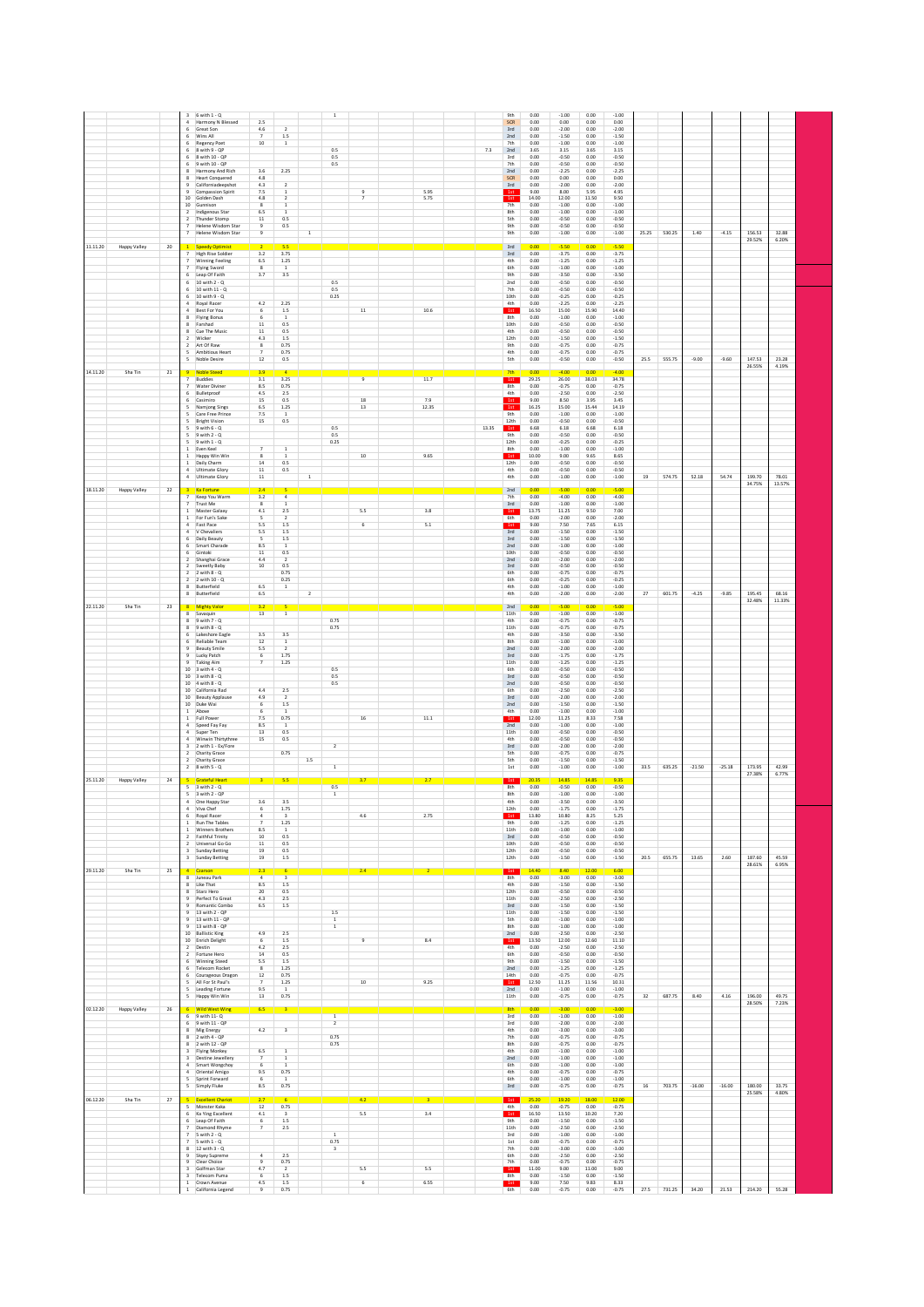| $6$ with $1 - Q$<br>Harmony N Blessed<br>Great Son<br>Wins All<br><b>Regency Poet</b><br>8 with 9 - QP<br>8 with 10 - QP<br>6 9 with 10 - OP<br>Harmony And Rich<br><b>Heart Conquered</b><br>Californiadeepshot<br>Compassion Spirit                                                                                                                                                                                                                      | 2.5<br>4.6<br>$\overline{2}$<br>1.5<br>$\overline{7}$<br>$10\,$<br>1<br>3.6<br>2.25<br>4.8<br>4.3<br>$\overline{2}$<br>7.5<br>$\,$ 1                                                                                                                         | $1\,$<br>0.5<br>0.5<br>0.5                                                  | 5.95                         | 0.00<br>9th<br>SCR<br>0.00<br>0.00<br>3rd<br>2nd<br>0.00<br>7th<br>0.00<br>7.3<br>2nd<br>3.65<br>0.00<br>3rd<br>0.00<br>7th<br>2nd<br>0.00<br>SCR<br>0.00<br>$3rd$<br>0.00<br>9.00<br>1st                                                                                                     | $-1.00$<br>0.00<br>$-1.00$<br>0.00<br>0.00<br>0.00<br>$-2.00$<br>$-2.00$<br>0.00<br>$-1.50$<br>$-1.50$<br>0.00<br>$-1.00$<br>$-1.00$<br>0.00<br>3.15<br>3.65<br>3.15<br>$-0.50$<br>0.00<br>$-0.50$<br>$-0.50$<br>$-0.50$<br>0.00<br>$-2.25$<br>0.00<br>$-2.25$<br>0.00<br>0.00<br>0.00<br>$-2.00$<br>0.00<br>$-2.00$<br>8.00<br>5.95<br>4.95                                                                                                                                                                                                                           |                           |                      |                                     |  |
|------------------------------------------------------------------------------------------------------------------------------------------------------------------------------------------------------------------------------------------------------------------------------------------------------------------------------------------------------------------------------------------------------------------------------------------------------------|--------------------------------------------------------------------------------------------------------------------------------------------------------------------------------------------------------------------------------------------------------------|-----------------------------------------------------------------------------|------------------------------|-----------------------------------------------------------------------------------------------------------------------------------------------------------------------------------------------------------------------------------------------------------------------------------------------|------------------------------------------------------------------------------------------------------------------------------------------------------------------------------------------------------------------------------------------------------------------------------------------------------------------------------------------------------------------------------------------------------------------------------------------------------------------------------------------------------------------------------------------------------------------------|---------------------------|----------------------|-------------------------------------|--|
| 10<br>Golden Dash<br>10 Gunnison<br>Indigenous Star<br>Thunder Stomp<br>Helene Wisdom Star<br>$\overline{7}$<br>Helene Wisdom Star<br>Happy Valley<br>20<br><b>Speedy Optimist</b><br><b>High Rise Soldier</b><br>$\overline{7}$<br><b>Winning Feeling</b><br>Flying Sword<br>6<br>Leap Of Faith                                                                                                                                                           | 4.8<br>$\overline{2}$<br>$\overline{\mathbf{8}}$<br>6.5<br>$11\,$<br>0.5<br>9<br>0.5<br>9<br>$\mathbf 1$<br>5.5<br>3.2<br>3.75<br>$6.5\,$<br>$1.25\,$<br>$\bf{8}$<br>$\,$ 1<br>3.5<br>3.7                                                                    |                                                                             | 5.75                         | 14.00<br>1st<br>7th<br>0.00<br>8th<br>0.00<br><b>Sth</b><br>0.00<br>9th<br>0.00<br>9th<br>0.00<br>3rd<br>0.00<br>$3rd$<br>0.00<br>4th<br>0.00<br>6th<br>0.00<br>9th<br>0.00                                                                                                                   | 12.00<br>11.50<br>9.50<br>$-1.00$<br>0.00<br>$-1.00$<br>$-1.00$<br>0.00<br>$-1.00$<br>$-0.50$<br>0.00<br>$-0.50$<br>$-0.50$<br>0.00<br>$-0.50$<br>$-1.00$<br>0.00<br>$-1.00$<br>0.00<br>$-5.50$<br>5.50<br>$-3.75$<br>0.00<br>$-3.75$<br>$-1.25$<br>0.00<br>$-1.25$<br>$-1.00$<br>0.00<br>$-1.00$<br>$-3.50$<br>0.00<br>$-3.50$                                                                                                                                                                                                                                        | 25.25<br>530.25           | 1.40<br>$-4.15$      | 156.53<br>32.88<br>29.52%<br>6.20%  |  |
| 10 with 2 - Q<br>6<br>10 with $11 - Q$<br>6<br>10 with 9 - Q<br>Royal Racer<br>$\overline{4}$<br>Best For You<br>$\bf{8}$<br>Flying Bonus<br>Farshad<br>Cue The Music<br>$\overline{2}$<br>Wicker<br>Art Of Raw<br>$\overline{2}$<br>Ambitious Heart<br>Noble Desire<br>5                                                                                                                                                                                  | 4.2<br>2.25<br>6<br>$1.5\,$<br>6<br>$\,$ 1 $\,$<br>$11\,$<br>0.5<br>$11\,$<br>0.5<br>4.3<br>$1.5\,$<br>$\bf{8}$<br>0.75<br>0.75<br>$\overline{z}$<br>$12\,$<br>0.5                                                                                           | 0.5<br>0.5<br>0.25<br>$11\,$                                                | 10.6                         | 2nd<br>0.00<br>7th<br>0.00<br>10th<br>0.00<br>4th<br>0.00<br>16.50<br>1st<br>8th<br>0.00<br>10th<br>0.00<br>4th<br>0.00<br>12th<br>0.00<br>9th<br>0.00<br>4th<br>0.00<br><b>Sth</b><br>0.00                                                                                                   | $-0.50$<br>0.00<br>$-0.50$<br>$-0.50$<br>$-0.50$<br>0.00<br>$-0.25$<br>0.00<br>$-0.25$<br>$-2.25$<br>$-2.25$<br>0.00<br>15.00<br>15.90<br>14.40<br>$-1.00$<br>0.00<br>$-1.00$<br>$-0.50$<br>0.00<br>$-0.50$<br>$-0.50$<br>$-0.50$<br>0.00<br>$-1.50$<br>0.00<br>$-1.50$<br>$-0.75$<br>$-0.75$<br>0.00<br>$-0.75$<br>0.00<br>$-0.75$<br>$-0.50$<br>0.00<br>$-0.50$                                                                                                                                                                                                      | 25.5<br>555.75            | $-9.00$<br>$-9.60$   | 23.28<br>147.53<br>26.55%<br>4.19%  |  |
| Sha Tin<br>21<br><b>Buddies</b><br>7 Water Diviner<br>6<br>Bulletproof<br>Casimiro<br>6<br>Namjong Sings<br>5<br>Care Free Prince<br>5<br>$\overline{\mathbf{S}}$<br><b>Bright Vision</b><br>$\overline{\phantom{a}}$<br>$9$ with $6 - Q$<br>$\overline{\mathbf{S}}$<br>9 with 2 - Q<br>$5 - 9$ with $1 - Q$<br>Even Keel<br>$\,$ 1 $\,$<br>Happy Win Win<br>Daily Charm                                                                                   | 3.9<br>3.1<br>3.25<br>8.5<br>0.75<br>$4.5\,$<br>2.5<br>$15\,$<br>0.5<br>6.5<br>1.25<br>7.5<br>$\mathbf{1}$<br>15<br>0.5<br>$\mathbf{1}$<br>8<br>$\,$ 1<br>$14\,$<br>0.5                                                                                      | $\overline{a}$<br>18<br>$13\,$<br>0.5<br>0.5<br>0.25<br>$10\,$              | 11.7<br>7.9<br>12.35<br>9.65 | 7 <sub>th</sub><br>0.00<br>1st<br>29.25<br>8th<br>0.00<br>4th<br>0.00<br>9.00<br>1st<br>16.25<br>9th<br>0.00<br>12th<br>0.00<br>13.35<br>1st<br>6.68<br>9th<br>0.00<br>12th<br>0.00<br>8th<br>0.00<br>1st<br>10.00<br>12th<br>0.00                                                            | 400<br>0 <sup>0</sup><br>$-400$<br>26.00<br>38.03<br>34.78<br>$-0.75$<br>0.00<br>$-0.75$<br>$-2.50$<br>0.00<br>$-2.50$<br>8.50<br>3.95<br>3.45<br>15.00<br>15.44<br>14.19<br>$-1.00$<br>0.00<br>$-1.00$<br>$-0.50$<br>0.00<br>$-0.50$<br>6.18<br>6.68<br>6.18<br>$-0.50$<br>0.00<br>$-0.50$<br>$-0.25$<br>0.00<br>$-0.25$<br>$-1.00$<br>0.00<br>$-1.00$<br>9.00<br>9.65<br>8.65<br>$-0.50$<br>0.00<br>$-0.50$                                                                                                                                                          |                           |                      |                                     |  |
| Ultimate Glon<br>$\Delta$<br>4 Ultimate Glory<br>Happy Valley<br>22<br>3 <sup>1</sup><br><b>Ka Fortune</b><br>Keep You Warm<br>7<br>Trust Me<br>Master Galaxy<br>1<br>1 For Fun's Sake<br>4 Fast Pace<br>4 V Chevaliers<br>Daily Beauty<br>6<br>Smart Charade<br>6<br>Gintoki<br>6<br>Shanghai Grace<br>$\overline{2}$<br>Sweetly Baby<br>2 with $8 - Q$<br>$\overline{ }$<br>2 with 10 - Q                                                                | 11<br>0.5<br>$11\,$<br>$\overline{1}$<br>2.4<br>-5<br>3.2<br>$\overline{4}$<br>8<br>$4.1\,$<br>2.5<br>5<br>$\overline{2}$<br>5.5<br>1.5<br>5.5<br>1.5<br>1.5<br>5<br>8.5<br>1<br>$11\,$<br>0.5<br>4.4<br>$\overline{2}$<br>$10\,$<br>0.5<br>0.75<br>0.25     | 5.5<br>$\,$ 6                                                               | 3.8<br>5.1                   | 4th<br>0.00<br>4th<br>0.00<br>2nd<br>0.00<br>7th<br>0.00<br>3rd<br>0.00<br>13.75<br>1st<br>6th<br>0.00<br>9.00<br>1st<br>3rd<br>0.00<br>0.00<br>3rd<br>2nd<br>0.00<br>10th<br>0.00<br>0.00<br>2nd<br>$3rd$<br>0.00<br>6th<br>0.00<br>6th<br>0.00                                              | $-0.50$<br>0.00<br>$-0.50$<br>$-1.00$<br>0.00<br>$-1.00$<br>0.00<br>$-5.00$<br>$-5.00$<br>$-4.00$<br>0.00<br>$-4.00$<br>$-1.00$<br>0.00<br>$-1.00$<br>11.25<br>9.50<br>7.00<br>$-2.00$<br>0.00<br>$-2.00$<br>7.50<br>7.65<br>6.15<br>$-1.50$<br>$-1.50$<br>0.00<br>$-1.50$<br>$-1.50$<br>0.00<br>$-1.00$<br>$-1.00$<br>0.00<br>$-0.50$<br>0.00<br>$-0.50$<br>$-2.00$<br>$-2.00$<br>0.00<br>$-0.50$<br>0.00<br>$-0.50$<br>$-0.75$<br>0.00<br>$-0.75$<br>$-0.25$<br>0.00<br>$-0.25$                                                                                      | 19<br>574.75              | 54.74<br>52.18       | 199.70<br>78.01<br>34.75%<br>13.57% |  |
| Butterfield<br>$\mathbf{R}$<br>8<br>Butterfield<br>22.11.20<br>Sha Tin<br>$23\,$<br><b>Mighty Valor</b><br>8<br>Savaguin<br>8 9 with 7 - Q<br>8<br>$9$ with $8 - 0$<br>6<br>Lakeshore Eagle<br>6<br>Reliable Team<br>$\overline{9}$<br><b>Beauty Smile</b><br>9<br>Lucky Patch<br>9 Taking Aim<br>10 3 with 4 - Q<br>10 3 with 8 - Q<br>10 4 with 8 - Q<br>10 California Rad<br>10 Beauty Applause<br>10 Duke Wai<br>$\mathbf{1}$<br>Above<br>1 Full Power | 6.5<br>$\,$ 1 $\,$<br>6.5<br>$\overline{2}$<br>13<br><sup>1</sup><br>3.5<br>3.5<br>12<br><sup>1</sup><br>5.5<br>$\overline{2}$<br>6<br>1.75<br>$\overline{7}$<br>1.25<br>2.5<br>4.4<br>4.9<br>$\overline{2}$<br>6<br>1.5<br>6<br><sup>1</sup><br>7.5<br>0.75 | 0.75<br>0.75<br>0.5<br>0.5<br>0.5<br>16                                     | 11.1                         | 4th<br>0.00<br>4th<br>0.00<br>2nd<br>0.00<br>11th<br>0.00<br>4th<br>0.00<br>11th<br>0.00<br>4th<br>0.00<br>8th<br>0.00<br>2nd<br>0.00<br>3rd<br>0.00<br>11th<br>0.00<br>6th<br>0.00<br>3rd<br>0.00<br>2nd<br>0.00<br>6th<br>0.00<br>3rd<br>0.00<br>2nd<br>0.00<br>4th<br>0.00<br>1st<br>12.00 | $-1.00$<br>0.00<br>$-1.00$<br>$-2.00$<br>0.00<br>$-2.00$<br>0.00<br>$-5.00$<br>$-1.00$<br>0.00<br>$-1.00$<br>$-0.75$<br>0.00<br>$-0.75$<br>$-0.75$<br>0.00<br>$-0.75$<br>$-3.50$<br>0.00<br>$-3.50$<br>$-1.00$<br>0.00<br>$-1.00$<br>$-2.00$<br>0.00<br>$-2.00$<br>$-1.75$<br>0.00<br>$-1.75$<br>$-1.25$<br>0.00<br>$-1.25$<br>$-0.50$<br>0.00<br>$-0.50$<br>$-0.50$<br>0.00<br>$-0.50$<br>$-0.50$<br>0.00<br>$-0.50$<br>$-2.50$<br>0.00<br>$-2.50$<br>$-2.00$<br>0.00<br>$-2.00$<br>$-1.50$<br>0.00<br>$-1.50$<br>$-1.00$<br>0.00<br>$-1.00$<br>11.25<br>8.33<br>7.58 | 27<br>601.75              | $-4.25$<br>$-9.85$   | 195.45<br>68.16<br>32.48%<br>11.33% |  |
| $\overline{4}$<br>Speed Fay Fay<br>4 Super Ten<br>4 Winwin Thirtythree<br>3 2 with 1 - Ex/Fore<br>Charity Grace<br>2<br>Charity Grace<br>$\overline{2}$<br>2 $8$ with $5 - Q$<br>$\bf 24$<br>25.11.20<br>Happy Valley<br><b>Grateful Heart</b><br>$3$ with $2 - 0$<br>5<br>5<br>3 with 2 - QP<br>$\overline{4}$<br>One Happy Star<br>Viva Chef                                                                                                             | 8.5<br><sup>1</sup><br>13<br>0.5<br>15<br>0.5<br>0.75<br>1.5<br>5.5<br>3.6<br>3.5<br>6<br>1.75                                                                                                                                                               | $\overline{2}$<br>$\mathbf{1}$<br>0.5<br>$\,$ 1 $\,$                        | $3.7$ 2.7                    | 2nd<br>0.00<br>11th<br>0.00<br>4th<br>0.00<br>3rd<br>0.00<br><b>Sth</b><br>0.00<br><b>Sth</b><br>0.00<br>1st<br>0.00<br>1st<br>20.35<br>8th<br>0.00<br>8th<br>0.00<br>4th<br>0.00<br>12th<br>0.00                                                                                             | $-1.00$<br>0.00<br>$-1.00$<br>$-0.50$<br>0.00<br>$-0.50$<br>$-0.50$<br>0.00<br>$-0.50$<br>$-2.00$<br>0.00<br>$-2.00$<br>$-0.75$<br>0.00<br>$-0.75$<br>$-1.50$<br>$-1.50$<br>0.00<br>$-1.00$<br>0.00<br>$-1.00$<br>14.8<br>14.89<br>9.35<br>$-0.50$<br>0.00<br>$-0.50$<br>$-1.00$<br>0.00<br>$-1.00$<br>$-3.50$<br>$-3.50$<br>0.00<br>-1.75<br>0.00<br>-1.75                                                                                                                                                                                                            | 33.5<br>635.25            | $-25.18$<br>$-21.50$ | 173.95<br>42.99<br>27.38%<br>6.77%  |  |
| Royal Racer<br>6<br>Run The Tables<br>$\mathbf{1}$<br>1 Winners Brothers<br>Faithful Trinity<br>2<br>2 Universal Go Go<br>Sunday Betting<br>3<br>3 Sunday Betting<br>29.11.20<br>Sha Tin<br>$25\,$<br>4 Crarson<br>Juneau Park<br>8 Like That<br>Starz Hero                                                                                                                                                                                                | $\overline{4}$<br>$\overline{\mathbf{3}}$<br>$\overline{z}$<br>1.25<br>8.5<br>$1\,$<br>$10\,$<br>0.5<br>0.5<br>$11\,$<br>19<br>0.5<br>19<br>1.5<br>2.3<br>$\overline{6}$<br>$\overline{4}$<br>8.5<br>$1.5\,$<br>$20\,$<br>0.5                                | 4.6<br>2.4                                                                  | 2.75                         | 1st<br>13.80<br>9th<br>0.00<br>11th<br>0.00<br>0.00<br>3rd<br>0.00<br>10th<br>12th<br>0.00<br>12th<br>0.00<br>14.40<br>1st<br>8 <sub>th</sub><br>0.00<br>4th<br>0.00<br>12th<br>0.00                                                                                                          | 8.25<br>5.25<br>10.80<br>$-1.25$<br>0.00<br>$-1.25$<br>$-1.00$<br>$-1.00$<br>0.00<br>$-0.50$<br>0.00<br>$-0.50$<br>$-0.50$<br>$-0.50$<br>0.00<br>$-0.50$<br>0.00<br>$-0.50$<br>$-1.50$<br>0.00<br>$-1.50$<br>12.00<br>6.00<br>8.40<br>$-3.00$<br>0.00<br>$-3.00$<br>$-1.50$<br>0.00<br>$-1.50$<br>$-0.50$<br>0.00<br>$-0.50$                                                                                                                                                                                                                                           | 20.5<br>655.75            | 13.65<br>2.60        | 187.60<br>45.59<br>28.61%<br>6.95%  |  |
| Perfect To Great<br>Romantic Combo<br>$\mathsf q$<br>13 with 2 - QP<br>$\overline{9}$<br>13 with 11 - QP<br>$9 - 13$ with $8 - QP$<br><b>Ballistic King</b><br>$10\,$<br>10 Enrich Delight<br>2 Destin<br>2 Fortune Hero<br>6 Winning Steed<br>6 Telecom Rocket<br>Courageous Dragor<br>6<br>All For St Paul's<br>$\overline{\mathbf{r}}$<br>Leading Fortune<br>5 Happy Win Win                                                                            | 4.3<br>$2.5\,$<br>6.5<br>$1.5\,$<br>4.9<br>$2.5\,$<br>6<br>$1.5\,$<br>4.2<br>2.5<br>14<br>0.5<br>5.5<br>1.5<br>$\overline{\mathbf{8}}$<br>1.25<br>$12\,$<br>0.75<br>$\overline{7}$<br>$1.25\,$<br>9.5<br>$\overline{1}$<br>$13\,$<br>0.75                    | $1.5\,$<br>$\,$ 1 $\,$<br>$\,$ 1 $\,$<br>$\overline{9}$<br>10               | 8.4<br>9.25                  | 11th<br>0.00<br>3rd<br>0.00<br>11th<br>0.00<br>Sth<br>0.00<br>8th<br>0.00<br>0.00<br>2nd<br>1st<br>13.50<br>4th<br>0.00<br>6th<br>0.00<br>9th<br>0.00<br>2nd<br>0.00<br>14th<br>0.00<br>12.50<br>1st<br>2nd<br>0.00<br>11th<br>0.00                                                           | $-2.50$<br>0.00<br>$-2.50$<br>$-1.50$<br>0.00<br>$-1.50$<br>$-1.50$<br>$-1.50$<br>0.00<br>$-1.00$<br>0.00<br>$-1.00$<br>$-1.00$<br>0.00<br>$-1.00$<br>$-2.50$<br>$-2.50$<br>0.00<br>12.00<br>12.60<br>11.10<br>$-2.50$<br>0.00<br>$-2.50$<br>$-0.50$<br>0.00<br>$-0.50$<br>$-1.50$<br>0.00<br>$-1.50$<br>$-1.25$<br>0.00<br>$-1.25$<br>$-0.75$<br>0.00<br>$-0.75$<br>11.25<br>11.56<br>10.31<br>$-1.00$<br>0.00<br>$-1.00$<br>$-0.75$<br>0.00<br>$-0.75$                                                                                                               | 32<br>687.75              | 8.40<br>4.16         | 196.00<br>49.75<br>28.50%<br>7.23%  |  |
| 02.12.20<br><b>Wild West Wing</b><br>Happy Valley<br>26<br>6<br>6<br>9 with 11- Q<br>6 9 with 11 - QP<br>8<br>Mig Energy<br>8 2 with 4 - OP<br>8 2 with 12 - OP<br>$\overline{\mathbf{3}}$<br>Flying Monkey<br>3 Destine Jewellen<br>4 Smart Wongchoy<br>$\sim$<br>Oriental Amigo<br>5<br>Sprint Forward<br>5 Simply Fluke                                                                                                                                 | 6.5<br>$\overline{3}$<br>4.2<br>$\overline{\mathbf{3}}$<br>6.5<br><sup>1</sup><br>$\overline{7}$<br>$\mathbf{1}$<br>6<br>$\mathbf{1}$<br>9.5<br>0.75<br>6<br>$\mathbf{1}$<br>0.75<br>8.5                                                                     | $\overline{1}$<br>$\overline{2}$<br>0.75<br>0.75                            |                              | 8th<br>0.00<br>3rd<br>0.00<br>3rd<br>0.00<br>4th<br>0.00<br>7th<br>0.00<br>8th<br>0.00<br>4th<br>0.00<br>2nd<br>0.00<br>6th<br>0.00<br>4th<br>0.00<br>6th<br>0.00<br>3rd<br>0.00                                                                                                              | 0.00<br>$-3.00$<br>$-3.00$<br>$-1.00$<br>0.00<br>$-1.00$<br>$-2.00$<br>0.00<br>$-2.00$<br>$-3.00$<br>0.00<br>$-3.00$<br>$-0.75$<br>0.00<br>$-0.75$<br>$-0.75$<br>0.00<br>$-0.75$<br>$-1.00$<br>0.00<br>$-1.00$<br>$-1.00$<br>0.00<br>$-1.00$<br>$-1.00$<br>0.00<br>$-1.00$<br>$-0.75$<br>0.00<br>$-0.75$<br>$-1.00$<br>0.00<br>$-1.00$<br>$-0.75$<br>0.00<br>$-0.75$                                                                                                                                                                                                   | 703.75<br>16              | $-16.00$<br>$-16.00$ | 33.75<br>180.00<br>25.58%<br>4.80%  |  |
| 06.12.20<br>Sha Tin<br>$27\,$<br><b>Excellent Chariot</b><br>5 <sup>7</sup><br>Monster Kaka<br>-5<br>Ka Ying Excellent<br>6<br>Leap Of Faith<br>6<br><b>Diamond Rhyme</b><br>5 with $2 - Q$<br>$7.5$ with $1 - Q$<br>12 with 3 - Q<br>8<br>Skyey Supreme<br>Clear Choice<br>Golfman Star<br>Telecom Puma<br>$\overline{\mathbf{3}}$<br>Crown Avenue<br>$\,$ 1 $\,$                                                                                         | 12<br>0.75<br>4.1<br>$\overline{\mathbf{3}}$<br>6<br>1.5<br>$\overline{7}$<br>2.5<br>2.5<br>$\overline{4}$<br>0.75<br>$\overline{9}$<br>4.7<br>$\overline{2}$<br>$\overline{6}$<br>$1.5\,$<br>4.5<br>$1.5\,$<br>$\mathsf g$<br>0.75                          | 4.2<br>5.5<br>1<br>0.75<br>$\overline{\mathbf{3}}$<br>5.5<br>$\overline{6}$ | 3.4<br>5.5<br>6.55           | 1st<br>25.20<br>4th<br>0.00<br>1st<br>16.50<br>9th<br>0.00<br>11th<br>0.00<br>0.00<br>3rd<br>0.00<br>1st<br>0.00<br>7th<br>6th<br>0.00<br>$7th$<br>0.00<br>1st<br>11.00<br>8 <sub>th</sub><br>0.00<br>1st<br>9.00                                                                             | 19.20<br>18.00<br>12.00<br>$-0.75$<br>0.00<br>$-0.75$<br>13.50<br>10.20<br>7.20<br>$-1.50$<br>0.00<br>$-1.50$<br>$-2.50$<br>$-2.50$<br>0.00<br>$-1.00$<br>$-1.00$<br>0.00<br>$-0.75$<br>$-0.75$<br>0.00<br>$-3.00$<br>0.00<br>$-3.00$<br>$-2.50$<br>0.00<br>$-2.50$<br>$-0.75$<br>$-0.75$<br>0.00<br>9.00<br>11.00<br>9.00<br>$-1.50$<br>0.00<br>$-1.50$<br>7.50<br>8.33<br>9.83                                                                                                                                                                                       | $-0.75$<br>27.5<br>731.25 | 34.20<br>21.53       | 214.20<br>55.28                     |  |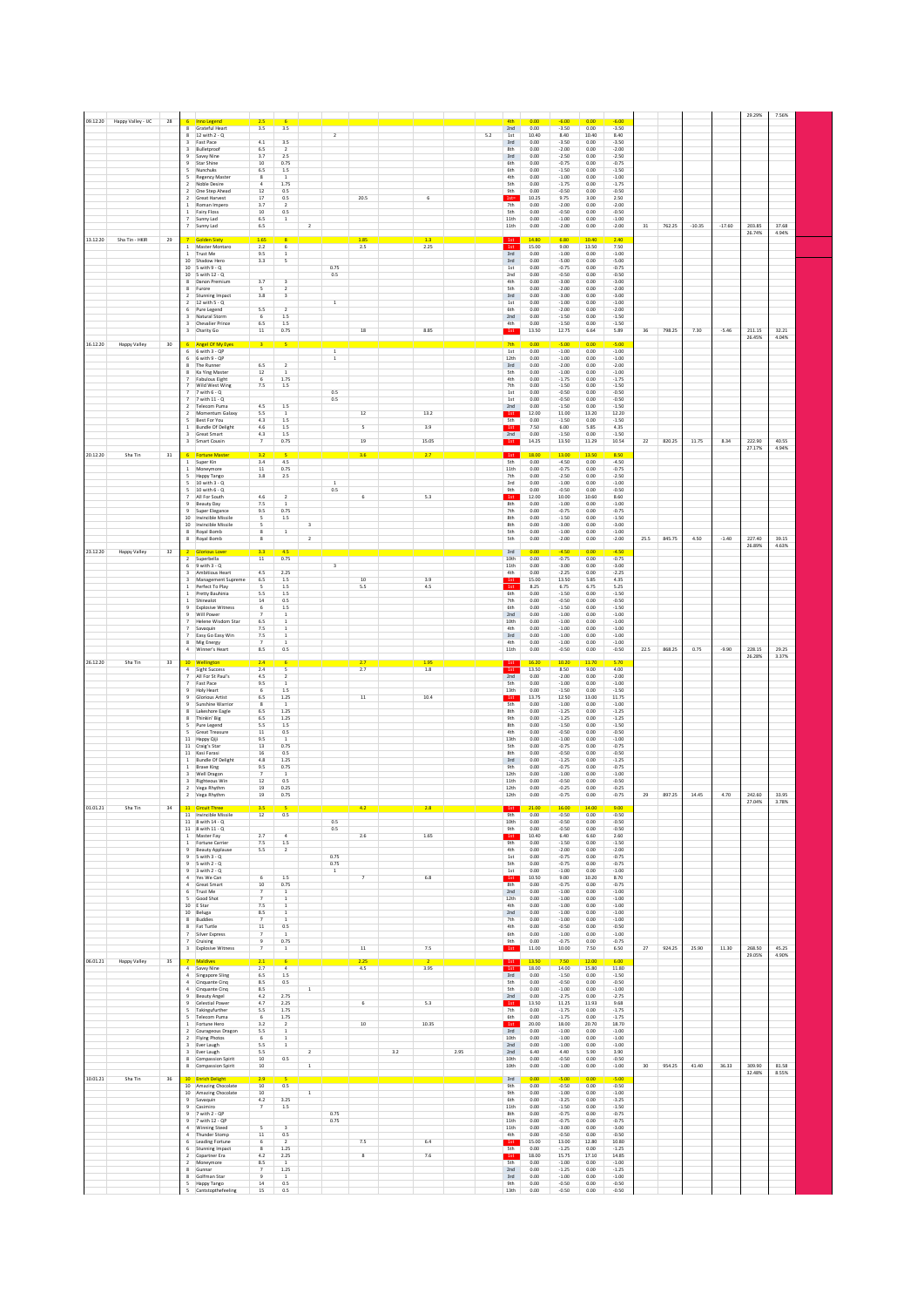|          | Happy Valley - IJC | 28 |                                         | <b>Inno Legend</b>                                  | 2.5                                |                                           |                         |                         |                          |     |             |      | 4th                      | 0.00                 | $-6.00$                       | 0.00                 | $-6.00$                       |        |        |          |          |                  |                |  |
|----------|--------------------|----|-----------------------------------------|-----------------------------------------------------|------------------------------------|-------------------------------------------|-------------------------|-------------------------|--------------------------|-----|-------------|------|--------------------------|----------------------|-------------------------------|----------------------|-------------------------------|--------|--------|----------|----------|------------------|----------------|--|
|          |                    |    | 8                                       | 8 Grateful Heart<br>12 with 2 - Q                   | 3.5                                | 3.5                                       |                         | $\overline{2}$          |                          |     |             | 5.2  | 2nd<br>1st               | 0.00<br>10.40        | $-3.50$<br>8.40               | 0.00<br>10.40        | $-3.50$<br>8.40               |        |        |          |          |                  |                |  |
|          |                    |    |                                         | 3 Fast Pace                                         | $4.1\,$                            | 3.5                                       |                         |                         |                          |     |             |      | 3rd                      | 0.00                 | $-3.50$                       | 0.00                 | $-3.50$                       |        |        |          |          |                  |                |  |
|          |                    |    | 3                                       | Bulletproof<br>9 Savvy Nine                         | 6.5<br>3.7                         | $\overline{2}$<br>2.5                     |                         |                         |                          |     |             |      | 8th<br>3rd               | 0.00<br>0.00         | $-2.00$<br>$-2.50$            | 0.00<br>0.00         | $-2.00$<br>$-2.50$            |        |        |          |          |                  |                |  |
|          |                    |    | 9                                       | Star Shine                                          | 10                                 | 0.75                                      |                         |                         |                          |     |             |      | 6th                      | 0.00                 | $-0.75$                       | 0.00                 | $-0.75$                       |        |        |          |          |                  |                |  |
|          |                    |    | 5                                       | Nunchuks                                            | 6.5                                | 1.5                                       |                         |                         |                          |     |             |      | 6th                      | 0.00                 | $-1.50$                       | 0.00                 | $-1.50$                       |        |        |          |          |                  |                |  |
|          |                    |    | 5<br>$\overline{2}$                     | <b>Regency Master</b><br>Noble Desire               | 8<br>$\overline{4}$                | $\mathbf 1$<br>1.75                       |                         |                         |                          |     |             |      | 4th<br><b>Sth</b>        | 0.00<br>0.00         | $-1.00$<br>$-1.75$            | 0.00<br>0.00         | $-1.00$<br>$-1.75$            |        |        |          |          |                  |                |  |
|          |                    |    |                                         | 2 One Step Ahead                                    | $12\,$                             | 0.5                                       |                         |                         |                          |     |             |      | 9th                      | 0.00                 | $-0.50$                       | 0.00                 | $-0.50$                       |        |        |          |          |                  |                |  |
|          |                    |    | $\mathbf{1}$                            | 2 Great Harvest<br>Roman Impero                     | $17\,$<br>3.7                      | 0.5<br>$\overline{2}$                     |                         |                         | 20.5                     |     | 6           |      | $1st =$<br>7th           | 10.25<br>0.00        | 9.75<br>$-2.00$               | 3.00<br>0.00         | 2.50<br>$-2.00$               |        |        |          |          |                  |                |  |
|          |                    |    |                                         | Fairy Floss                                         | 10                                 | 0.5                                       |                         |                         |                          |     |             |      | <b>Sth</b>               | 0.00                 | $-0.50$                       | 0.00                 | $-0.50$                       |        |        |          |          |                  |                |  |
|          |                    |    |                                         | Sunny Lad<br>7 Sunny Lad                            | 6.5<br>6.5                         | 1                                         | $\overline{2}$          |                         |                          |     |             |      | 11th<br>11th             | 0.00<br>0.00         | $-1.00$<br>$-2.00$            | 0.00<br>0.00         | $-1.00$<br>$-2.00$            | 31     | 762.25 | $-10.35$ | $-17.60$ | 203.85           | 37.68          |  |
|          |                    |    |                                         |                                                     |                                    |                                           |                         |                         |                          |     |             |      |                          |                      |                               |                      |                               |        |        |          |          | 26.74%           | 4.94%          |  |
| 13.12.20 | Sha Tin - HKIR     | 29 |                                         | <b>Golden Sixty</b><br>Master Montaro               | 1.65<br>2.2                        | 6                                         |                         |                         | 1.85<br>2.5              |     | 1.3<br>2.25 |      | 1st<br>1st               | 14.80<br>15.00       | 6.80<br>9.00                  | 10.40<br>13.50       | 2.40<br>7.50                  |        |        |          |          |                  |                |  |
|          |                    |    |                                         | 1 Trust Me                                          | 9.5                                | $\mathbf 1$                               |                         |                         |                          |     |             |      | 3rd                      | 0.00                 | $-1.00$                       | 0.00                 | $-1.00$                       |        |        |          |          |                  |                |  |
|          |                    |    |                                         | 10 Shadow Hero<br>10 5 with 9 - Q                   | 3.3                                | 5                                         |                         | 0.75                    |                          |     |             |      | 3rd<br>1st               | 0.00<br>0.00         | $-5.00$<br>$-0.75$            | 0.00<br>0.00         | $-5.00$<br>$-0.75$            |        |        |          |          |                  |                |  |
|          |                    |    |                                         | 10 5 with 12 - Q                                    |                                    |                                           |                         | 0.5                     |                          |     |             |      | 2nd                      | 0.00                 | $-0.50$                       | 0.00                 | $-0.50$                       |        |        |          |          |                  |                |  |
|          |                    |    |                                         | 8 Danon Premium<br>8 Furore                         | 3.7<br>5                           | $\overline{\mathbf{3}}$<br>$\overline{2}$ |                         |                         |                          |     |             |      | 4th<br><b>Sth</b>        | 0.00<br>0.00         | $-3.00$<br>$-2.00$            | 0.00<br>0.00         | $-3.00$<br>$-2.00$            |        |        |          |          |                  |                |  |
|          |                    |    |                                         | 2 Stunning Impact                                   | 3.8                                | $\overline{\mathbf{3}}$                   |                         |                         |                          |     |             |      | 3rd                      | 0.00                 | $-3.00$                       | 0.00                 | $-3.00$                       |        |        |          |          |                  |                |  |
|          |                    |    |                                         | $2 - 12$ with $5 - 0$<br>6 Pure Legend              | 5.5                                | $\overline{2}$                            |                         | $\,$ 1 $\,$             |                          |     |             |      | 1st<br>6th               | 0.00<br>0.00         | $-1.00$<br>$-2.00$            | 0.00<br>0.00         | $-1.00$<br>$-2.00$            |        |        |          |          |                  |                |  |
|          |                    |    |                                         | Natural Storm                                       | 6                                  | 1.5                                       |                         |                         |                          |     |             |      | 2nd                      | 0.00                 | $-1.50$                       | 0.00                 | $-1.50$                       |        |        |          |          |                  |                |  |
|          |                    |    |                                         | Chevalier Prince                                    | 6.5<br>$11\,$                      | $1.5\,$<br>0.75                           |                         |                         | $18\,$                   |     | 8.85        |      | 4th                      | 0.00<br>13.50        | $-1.50$<br>12.75              | 0.00<br>6.64         | $-1.50$<br>5.89               | 36     | 798.25 | 7.30     | $-5.46$  | 211.15           | 32.21          |  |
|          |                    |    |                                         | 3 Charity Go                                        |                                    |                                           |                         |                         |                          |     |             |      | 1st                      |                      |                               |                      |                               |        |        |          |          | 26.45%           | 4.04%          |  |
| 16.12.20 | Happy Valley       | 30 | 6                                       | Angel Of My Eyes                                    |                                    |                                           |                         |                         |                          |     |             |      | 7 <sub>th</sub>          | 0.00<br>0.00         | $-5.00$                       | 0.00                 | $-5.00$                       |        |        |          |          |                  |                |  |
|          |                    |    |                                         | $6$ 6 with $3 - QP$<br>6 with 9 - QP                |                                    |                                           |                         | $\,$ 1 $\,$<br>$\,$ 1   |                          |     |             |      | $1st$<br>12th            | 0.00                 | $-1.00$<br>$-1.00$            | 0.00<br>0.00         | $-1.00$<br>$-1.00$            |        |        |          |          |                  |                |  |
|          |                    |    | $\overline{\mathbf{R}}$                 | The Runner                                          | 6.5                                | $\overline{2}$<br>$\overline{1}$          |                         |                         |                          |     |             |      | 3rd                      | 0.00                 | $-2.00$                       | 0.00                 | $-2.00$                       |        |        |          |          |                  |                |  |
|          |                    |    | $\overline{7}$                          | 8 Ka Ying Master<br><b>Fabulous Eight</b>           | $12\,$<br>6                        | 1.75                                      |                         |                         |                          |     |             |      | <b>Sth</b><br>4th        | 0.00<br>0.00         | $-1.00$<br>$-1.75$            | 0.00<br>0.00         | $-1.00$<br>$-1.75$            |        |        |          |          |                  |                |  |
|          |                    |    | $\overline{7}$                          | Wild West Wing                                      | $7.5\,$                            | $1.5\,$                                   |                         |                         |                          |     |             |      | 7th                      | 0.00                 | $-1.50$                       | 0.00                 | $-1.50$                       |        |        |          |          |                  |                |  |
|          |                    |    | $\overline{7}$                          | $7 - 7$ with $6 - Q$<br>7 with 11 - Q               |                                    |                                           |                         | 0.5<br>$0.5\,$          |                          |     |             |      | 1st<br>1st               | 0.00<br>0.00         | $-0.50$<br>$-0.50$            | 0.00<br>0.00         | $-0.50$<br>$-0.50$            |        |        |          |          |                  |                |  |
|          |                    |    |                                         | 2 Telecom Puma                                      | 4.5                                | 1.5                                       |                         |                         |                          |     |             |      | 2nd                      | 0.00                 | $-1.50$                       | 0.00                 | $-1.50$                       |        |        |          |          |                  |                |  |
|          |                    |    |                                         | 2 Momentum Galaxy<br>5 Best For You                 | 5.5<br>4.3                         | $\overline{1}$<br>1.5                     |                         |                         | 12                       |     | 13.2        |      | 1st<br>5th               | 12.00<br>0.00        | 11.00<br>$-1.50$              | 13.20<br>0.00        | 12.20<br>$-1.50$              |        |        |          |          |                  |                |  |
|          |                    |    |                                         | 1 Bundle Of Delight                                 | 4.6                                | 1.5                                       |                         |                         | $\overline{\phantom{a}}$ |     | 3.9         |      | 1st                      | 7.50                 | 6.00                          | 5.85                 | 4.35                          |        |        |          |          |                  |                |  |
|          |                    |    | 3<br>$\overline{\mathbf{3}}$            | Great Smart<br>Smart Cousin                         | 4.3<br>$\overline{\phantom{a}}$    | 1.5<br>0.75                               |                         |                         | 19                       |     | 15.05       |      | 2nd<br>1st               | 0.00<br>14.25        | $-1.50$<br>13.50              | 0.00<br>11.29        | $-1.50$<br>10.54              | $22\,$ | 820.25 | 11.75    | 8.34     | 222.90           | 40.55          |  |
| 20.12.20 | Sha Tin            | 31 |                                         | 6 Fortune Maste                                     | 3.2                                |                                           |                         |                         |                          |     | 2.7         |      |                          | 18.00                | 13.00                         | 13.50                | 8.50                          |        |        |          |          | 27.17%           | 4.94%          |  |
|          |                    |    |                                         | 1 Super Kin                                         | 3.4                                | 4.5                                       |                         |                         | 3.6                      |     |             |      | 1st<br>5th               | 0.00                 | $-4.50$                       | 0.00                 | $-4.50$                       |        |        |          |          |                  |                |  |
|          |                    |    |                                         | 1 Moneymore                                         | 11                                 | 0.75                                      |                         |                         |                          |     |             |      | 11th                     | 0.00                 | $-0.75$                       | 0.00                 | $-0.75$                       |        |        |          |          |                  |                |  |
|          |                    |    | 5<br>5                                  | Happy Tango<br>10 with 3 - Q                        | 3.8                                | 2.5                                       |                         | $\mathbf{1}$            |                          |     |             |      | 7th<br>3rd               | 0.00<br>0.00         | $-2.50$<br>$-1.00$            | 0.00<br>0.00         | $-2.50$<br>$-1.00$            |        |        |          |          |                  |                |  |
|          |                    |    | 5                                       | 10 with 6 - Q                                       | 4.6                                |                                           |                         | 0.5                     |                          |     | 5.3         |      | 9th                      | 0.00                 | $-0.50$                       | 0.00                 | $-0.50$                       |        |        |          |          |                  |                |  |
|          |                    |    |                                         | 7 All For South<br>9 Reauty Day                     | 7.5                                | $\overline{2}$<br>$\mathbf{1}$            |                         |                         | 6                        |     |             |      | 1st<br>8th               | 12.00<br>0.00        | 10.00<br>$-1.00$              | 10.60<br>0.00        | 8.60<br>$-1.00$               |        |        |          |          |                  |                |  |
|          |                    |    |                                         | 9 Super Elegance                                    | 9.5                                | 0.75                                      |                         |                         |                          |     |             |      | 7th                      | 0.00                 | $-0.75$                       | 0.00                 | $-0.75$                       |        |        |          |          |                  |                |  |
|          |                    |    |                                         | 10 Invincible Missile<br>10 Invincible Missile      | 5<br>5                             | 1.5                                       | $\overline{\mathbf{3}}$ |                         |                          |     |             |      | 8th<br>8th               | 0.00<br>0.00         | $-1.50$<br>$-3.00$            | 0.00<br>0.00         | $-1.50$<br>$-3.00$            |        |        |          |          |                  |                |  |
|          |                    |    |                                         | 8 Royal Bomb                                        | 8                                  | $\,$ 1                                    |                         |                         |                          |     |             |      | <b>Sth</b>               | 0.00                 | $-1.00$                       | 0.00                 | $-1.00$                       |        |        |          |          |                  |                |  |
|          |                    |    |                                         | 8 Royal Bomb                                        | 8                                  |                                           | $\overline{2}$          |                         |                          |     |             |      | <b>Sth</b>               | 0.00                 | $-2.00$                       | 0.00                 | $-2.00$                       | 25.5   | 845.75 | 4.50     | $-1.40$  | 227.40<br>26.89% | 39.15<br>4.63% |  |
| 23.12.20 | Happy Valley       | 32 |                                         | <b>Glorious Lover</b>                               | 3.3                                | 4.5                                       |                         |                         |                          |     |             |      | 3rd                      | 0.00                 | $-4.50$                       | 0.00                 | $-4.50$                       |        |        |          |          |                  |                |  |
|          |                    |    |                                         | 2 Superbella<br>$6$ 9 with $3 - Q$                  | $11\,$                             | 0.75                                      |                         | $\overline{\mathbf{3}}$ |                          |     |             |      | 10th<br>11th             | 0.00<br>0.00         | $-0.75$<br>$-3.00$            | 0.00<br>0.00         | $-0.75$<br>$-3.00$            |        |        |          |          |                  |                |  |
|          |                    |    | 3                                       | Ambitious Heart                                     | 4.5                                | 2.25                                      |                         |                         |                          |     |             |      | 4th                      | 0.00                 | $-2.25$                       | 0.00                 | $-2.25$                       |        |        |          |          |                  |                |  |
|          |                    |    |                                         | Management Supreme<br>Perfect To Play               | 6.5<br>$\overline{\mathbf{S}}$     | $1.5\,$<br>1.5                            |                         |                         | 10<br>5.5                |     | 3.9<br>4.5  |      | 1st<br><sup>1st</sup>    | 15.00<br>8.25        | 13.50<br>6.75                 | 5.85<br>6.75         | 4.35<br>5.25                  |        |        |          |          |                  |                |  |
|          |                    |    |                                         | Pretty Bauhinia                                     | 5.5                                | $1.5\,$                                   |                         |                         |                          |     |             |      | 6th                      | 0.00                 | $-1.50$                       | 0.00                 | $-1.50$                       |        |        |          |          |                  |                |  |
|          |                    |    |                                         | Shinealot                                           | $14\,$                             | 0.5                                       |                         |                         |                          |     |             |      | 7th                      | 0.00                 | $-0.50$                       | 0.00                 | $-0.50$                       |        |        |          |          |                  |                |  |
|          |                    |    |                                         | <b>Explosive Witness</b><br>Will Power              | 6                                  | $1.5\,$<br>1                              |                         |                         |                          |     |             |      | 6th<br>2nd               | 0.00<br>0.00         | $-1.50$<br>$-1.00$            | 0.00<br>0.00         | $-1.50$<br>$-1.00$            |        |        |          |          |                  |                |  |
|          |                    |    |                                         | Helene Wisdom Star                                  | 6.5                                | $\mathbf 1$                               |                         |                         |                          |     |             |      | 10th                     | 0.00                 | $-1.00$                       | 0.00                 | $-1.00$                       |        |        |          |          |                  |                |  |
|          |                    |    |                                         | Savaquin<br>7 Easy Go Easy Win                      | 7.5<br>7.5                         | $\overline{1}$                            |                         |                         |                          |     |             |      | 4th<br>3rd               | 0.00<br>0.00         | $-1.00$<br>$-1.00$            | 0.00<br>0.00         | $-1.00$<br>$-1.00$            |        |        |          |          |                  |                |  |
|          |                    |    |                                         | Mig Energy                                          | $\overline{z}$                     |                                           |                         |                         |                          |     |             |      | 4th                      | 0.00                 | $-1.00$                       | 0.00                 | $-1.00$                       |        |        |          |          |                  |                |  |
|          |                    |    |                                         | Winner's Heart                                      | 8.5                                | 0.5                                       |                         |                         |                          |     |             |      | 11th                     | 0.00                 | $-0.50$                       | 0.00                 | $-0.50$                       | 22.5   | 868.25 | 0.75     | $-9.90$  | 228.15<br>26.28% | 29.25<br>3.37% |  |
| 26.12.20 | Sha Tin            | 33 | 10                                      |                                                     | 2.4                                |                                           |                         |                         |                          |     | 1.95        |      |                          | 16.20                | 10.20                         | 11.70                | 5.70                          |        |        |          |          |                  |                |  |
|          |                    |    | $\overline{4}$                          | <b>Sight Success</b>                                |                                    | s                                         |                         |                         | 2.7                      |     |             |      |                          | 13.50                | 8.50                          | 9.00                 | 4.00                          |        |        |          |          |                  |                |  |
|          |                    |    | $\overline{ }$                          |                                                     | 2.4                                | $\overline{z}$                            |                         |                         |                          |     | 1.8         |      | 1st                      |                      |                               |                      |                               |        |        |          |          |                  |                |  |
|          |                    |    |                                         | All For St Paul's<br>7 Fast Pace                    | 4.5<br>9.5                         | $\overline{1}$                            |                         |                         |                          |     |             |      | 2nd<br><b>Sth</b>        | 0.00<br>0.00         | $-2.00$<br>$-1.00$            | 0.00<br>0.00         | $-2.00$<br>$-1.00$            |        |        |          |          |                  |                |  |
|          |                    |    | $\overline{9}$                          | <b>Holy Heart</b>                                   | 6                                  | 1.5                                       |                         |                         |                          |     |             |      | 13th                     | 0.00                 | $-1.50$                       | 0.00                 | $-1.50$                       |        |        |          |          |                  |                |  |
|          |                    |    | $\overline{9}$<br>$\overline{9}$        | <b>Glorious Artist</b><br>Sunshine Warrior          | $6.5\,$<br>$\overline{\mathbf{8}}$ | $1.25\,$<br>$\,$ 1                        |                         |                         | $11\,$                   |     | 10.4        |      | 1st<br><b>Sth</b>        | 13.75<br>0.00        | 12.50<br>$-1.00$              | 13.00<br>0.00        | 11.75<br>$-1.00$              |        |        |          |          |                  |                |  |
|          |                    |    | $\overline{\mathbf{g}}$                 | Lakeshore Eagle                                     | 6.5                                | 1.25                                      |                         |                         |                          |     |             |      | 8th                      | 0.00                 | $-1.25$                       | 0.00                 | $-1.25$                       |        |        |          |          |                  |                |  |
|          |                    |    | $\mathbf{R}$<br>$\overline{\mathbf{S}}$ | Thinkin' Big<br>Pure Legend                         | 6.5<br>5.5                         | 1.25<br>1.5                               |                         |                         |                          |     |             |      | 9th<br>8th               | 0.00<br>0.00         | $-1.25$<br>$-1.50$            | 0.00<br>0.00         | $-1.25$<br>$-1.50$            |        |        |          |          |                  |                |  |
|          |                    |    |                                         | 5 Great Treasure                                    | 11                                 | 0.5                                       |                         |                         |                          |     |             |      | 4th                      | 0.00                 | $-0.50$                       | 0.00                 | $-0.50$                       |        |        |          |          |                  |                |  |
|          |                    |    |                                         | 11 Happy Qiji<br>11 Craig's Star                    | 9.5<br>$13\,$                      | $\,$ 1 $\,$<br>0.75                       |                         |                         |                          |     |             |      | 13th<br><b>5th</b>       | 0.00<br>0.00         | $-1.00$<br>$-0.75$            | 0.00<br>0.00         | $-1.00$<br>$-0.75$            |        |        |          |          |                  |                |  |
|          |                    |    | $11\,$                                  | Kasi Farasi                                         | $16\,$                             | 0.5                                       |                         |                         |                          |     |             |      | 8th                      | 0.00                 | $-0.50$                       | 0.00                 | $-0.50$                       |        |        |          |          |                  |                |  |
|          |                    |    | $\mathbf{1}$                            | <b>Bundle Of Delight</b><br>1 Brave King            | 4.8<br>9.5                         | 1.25<br>0.75                              |                         |                         |                          |     |             |      | 3rd<br>9th               | 0.00<br>0.00         | $-1.25$<br>$-0.75$            | 0.00<br>0.00         | $-1.25$<br>$-0.75$            |        |        |          |          |                  |                |  |
|          |                    |    |                                         | 3 Well Dragon                                       | $\overline{7}$                     | $\mathbf{1}$                              |                         |                         |                          |     |             |      | 12th                     | 0.00                 | $-1.00$                       | 0.00                 | $-1.00$                       |        |        |          |          |                  |                |  |
|          |                    |    |                                         | 3 Righteous Win<br>2 Vega Rhythm                    | 12<br>19                           | 0.5<br>0.25                               |                         |                         |                          |     |             |      | 11th<br>12th             | 0.00<br>0.00         | $-0.50$<br>$-0.25$            | 0.00<br>0.00         | $-0.50$<br>$-0.25$            |        |        |          |          |                  |                |  |
|          |                    |    |                                         | 2 Vega Rhythm                                       | 19                                 | 0.75                                      |                         |                         |                          |     |             |      | 12th                     | 0.00                 | $-0.75$                       | 0.00                 | $-0.75$                       | 29     | 897.25 | 14.45    | 4.70     | 242.60           | 33.95          |  |
| 01.01.21 | Sha Tin            | 34 |                                         |                                                     |                                    |                                           |                         |                         |                          |     |             |      |                          |                      |                               |                      |                               |        |        |          |          | 27.04%           | 3.78%          |  |
|          |                    |    |                                         | 11 Invincible Missile                               | 12                                 | 0.5                                       |                         |                         |                          |     |             |      | 9th                      | 0.00                 | $-0.50$                       | 0.00                 | $-0.50$                       |        |        |          |          |                  |                |  |
|          |                    |    |                                         | 11 8 with 14 - Q<br>11 8 with 11 - Q                |                                    |                                           |                         | 0.5<br>0.5              |                          |     |             |      | 10th<br>9th              | 0.00<br>0.00         | $-0.50$<br>$-0.50$            | 0.00<br>0.00         | $-0.50$<br>$-0.50$            |        |        |          |          |                  |                |  |
|          |                    |    |                                         | 1 Master Fay                                        | 2.7                                | $\overline{4}$                            |                         |                         | 2.6                      |     | 1.65        |      | 1st                      | 10.40                | 6.40                          | 6.60                 | 2.60                          |        |        |          |          |                  |                |  |
|          |                    |    |                                         | 1 Fortune Carrier<br>9 Beauty Applause              | 7.5<br>5.5                         | 1.5<br>$\overline{2}$                     |                         |                         |                          |     |             |      | 9th<br>4th               | 0.00<br>0.00         | $-1.50$<br>$-2.00$            | 0.00<br>0.00         | $-1.50$<br>$-2.00$            |        |        |          |          |                  |                |  |
|          |                    |    |                                         | $9.5$ with $3 - 0$                                  |                                    |                                           |                         | 0.75                    |                          |     |             |      | 1st                      | 0.00                 | $-0.75$                       | 0.00                 | $-0.75$                       |        |        |          |          |                  |                |  |
|          |                    |    |                                         | $9$ 5 with $2 - Q$<br>$9 - 3$ with $2 - Q$          |                                    |                                           |                         | 0.75<br>$1\,$           |                          |     |             |      | <b>Sth</b><br>1st        | 0.00<br>0.00         | $-0.75$<br>$-1.00$            | 0.00<br>0.00         | $-0.75$<br>$-1.00$            |        |        |          |          |                  |                |  |
|          |                    |    |                                         | 4 Yes We Can                                        | $\overline{6}$                     | $1.5\,$                                   |                         |                         | $\overline{7}$           |     | 6.8         |      | 1st                      | 10.50                | 9.00                          | 10.20                | 8.70                          |        |        |          |          |                  |                |  |
|          |                    |    |                                         | 4 Great Smart<br>6 Trust Me                         | 10<br>$\overline{7}$               | 0.75<br>1                                 |                         |                         |                          |     |             |      | 8 <sub>th</sub><br>2nd   | 0.00<br>0.00         | $-0.75$<br>$-1.00$            | 0.00<br>0.00         | $-0.75$<br>$-1.00$            |        |        |          |          |                  |                |  |
|          |                    |    |                                         | 5 Good Shot                                         |                                    | $\mathbf 1$                               |                         |                         |                          |     |             |      | 12th                     | 0.00                 | $-1.00$                       | 0.00                 | $-1.00$                       |        |        |          |          |                  |                |  |
|          |                    |    |                                         | 10 E Star<br>10 Beluga                              | 7.5<br>8.5                         | $\,$ 1<br>1                               |                         |                         |                          |     |             |      | 4th<br>2nd               | 0.00<br>0.00         | $-1.00$<br>$-1.00$            | 0.00<br>0.00         | $-1.00$<br>$-1.00$            |        |        |          |          |                  |                |  |
|          |                    |    | 8                                       | 8 Buddies<br>Fat Turtle                             | $\overline{7}$<br>$11\,$           | $\mathbf{1}$<br>0.5                       |                         |                         |                          |     |             |      | 7th<br>4th               | 0.00<br>0.00         | $-1.00$<br>$-0.50$            | 0.00<br>0.00         | $-1.00$<br>$-0.50$            |        |        |          |          |                  |                |  |
|          |                    |    | $\overline{7}$                          | Silver Express                                      | $\overline{7}$                     | 1                                         |                         |                         |                          |     |             |      | 6th                      | 0.00                 | $-1.00$                       | 0.00                 | $-1.00$                       |        |        |          |          |                  |                |  |
|          |                    |    |                                         | Cruising                                            | 9                                  | 0.75<br>$\,$ 1 $\,$                       |                         |                         |                          |     |             |      | 9th                      | 0.00<br>11.00        | $-0.75$<br>10.00              | 0.00<br>7.50         | $-0.75$<br>6.50               | 27     |        |          |          |                  |                |  |
|          |                    |    |                                         | 3 Explosive Witness                                 |                                    |                                           |                         |                         | $11\,$                   |     | 7.5         |      | 1st                      |                      |                               |                      |                               |        | 924.25 | 25.90    | 11.30    | 268.50<br>29.05% | 45.25<br>4.90% |  |
| 06.01.21 | Happy Valley       | 35 | $\sqrt{4}$                              | <b>Maldives</b><br>Savvy Nine                       | 2.3<br>2.7                         |                                           |                         |                         | 2.25<br>$4.5\,$          |     | 3.95        |      | 1st<br>1st               | 13.50<br>18.00       | 7.50<br>14.00                 | 12.00<br>15.80       | 6.00<br>11.80                 |        |        |          |          |                  |                |  |
|          |                    |    | $\overline{4}$                          | Singapore Sling                                     | 6.5                                | $1.5\,$                                   |                         |                         |                          |     |             |      | 3rd                      | 0.00                 | $-1.50$                       | 0.00                 | $-1.50$                       |        |        |          |          |                  |                |  |
|          |                    |    | $\overline{4}$<br>$\overline{4}$        | Cinquante Cinq<br>Cinquante Cinq                    | 8.5<br>8.5                         | 0.5                                       | $\overline{1}$          |                         |                          |     |             |      | <b>Sth</b><br><b>Sth</b> | 0.00<br>0.00         | $-0.50$<br>$-1.00$            | 0.00<br>0.00         | $-0.50$<br>$-1.00$            |        |        |          |          |                  |                |  |
|          |                    |    |                                         | <b>Beauty Angel</b>                                 | 4.2                                | 2.75                                      |                         |                         |                          |     |             |      | 2nd                      | 0.00                 | $-2.75$                       | 0.00                 | $-2.75$                       |        |        |          |          |                  |                |  |
|          |                    |    |                                         | Celestial Power                                     | 4.7                                | 2.25                                      |                         |                         | 6                        |     | 5.3         |      | 1st                      | 13.50<br>0.00        | 11.25<br>$-1.75$              | 11.93                | 9.68                          |        |        |          |          |                  |                |  |
|          |                    |    |                                         | Takingufurther<br>Telecom Puma                      | 5.5<br>6                           | 1.75<br>1.75                              |                         |                         |                          |     |             |      | 7th<br>6th               | 0.00                 | $-1.75$                       | 0.00<br>0.00         | $-1.75$<br>$-1.75$            |        |        |          |          |                  |                |  |
|          |                    |    |                                         | Fortune Hero                                        | 3.2                                | $\mathbf 2$<br>$\mathbf 1$                |                         |                         | $10$                     |     | 10.35       |      | 1st                      | 20.00<br>0.00        | 18.00<br>$-1.00$              | 20.70                | 18.70<br>$-1.00$              |        |        |          |          |                  |                |  |
|          |                    |    | $\overline{2}$                          | Courageous Dragon<br>Flying Photos                  | 5.5<br>$\sqrt{6}$                  | $\mathbf 1$                               |                         |                         |                          |     |             |      | 3rd<br>10th              | 0.00                 | $-1.00$                       | 0.00<br>0.00         | $-1.00$                       |        |        |          |          |                  |                |  |
|          |                    |    |                                         | 3 Ever Laugh                                        | 5.5                                | $\,$ 1 $\,$                               |                         |                         |                          |     |             |      | 2nd                      | 0.00                 | $-1.00$                       | 0.00                 | $-1.00$                       |        |        |          |          |                  |                |  |
|          |                    |    |                                         | 3 Ever Laugh<br>8 Compassion Spirit                 | 5.5<br>10                          | 0.5                                       | $\sqrt{2}$              |                         |                          | 3.2 |             | 2.95 | 2nd<br>10th              | 6.40<br>0.00         | 4.40<br>$-0.50$               | 5.90<br>0.00         | 3.90<br>$-0.50$               |        |        |          |          |                  |                |  |
|          |                    |    |                                         | 8 Compassion Spirit                                 | $10\,$                             |                                           | $\mathbf{1}$            |                         |                          |     |             |      | 10th                     | 0.00                 | $-1.00$                       | 0.00                 | $-1.00$                       | 30     | 954.25 | 41.40    | 36.33    | 309.90           | 81.58          |  |
| 10.01.21 | Sha Tin            | 36 |                                         | 10 Enrich Delight                                   | 2.9                                |                                           |                         |                         |                          |     |             |      | 3rd                      | 0.00                 | $-5.00$                       | 0.00                 | $-5.00$                       |        |        |          |          | 32.48%           | 8.55%          |  |
|          |                    |    |                                         | 10 Amazing Chocolate                                | 10                                 | 0.5                                       |                         |                         |                          |     |             |      | <b>9th</b>               | 0.00                 | $-0.50$                       | 0.00                 | $-0.50$                       |        |        |          |          |                  |                |  |
|          |                    |    |                                         | 10 Amazing Chocolate<br>9 Savaquin                  | 10<br>$4.2\,$                      | 3.25                                      | $\mathbf 1$             |                         |                          |     |             |      | 9th<br>6th               | 0.00<br>0.00         | $-1.00$<br>$-3.25$            | 0.00<br>0.00         | $-1.00$<br>$-3.25$            |        |        |          |          |                  |                |  |
|          |                    |    | 9                                       | Casimiro                                            | $\overline{\phantom{a}}$           | $1.5\,$                                   |                         |                         |                          |     |             |      | $11\mathrm{th}$          | 0.00                 | $-1.50$                       | 0.00                 | $-1.50$                       |        |        |          |          |                  |                |  |
|          |                    |    | $\mathsf g$<br>$\overline{9}$           | 7 with 2 - QP<br>7 with 12 - OP                     |                                    |                                           |                         | $0.75$<br>$0.75$        |                          |     |             |      | 8th<br>11th              | 0.00<br>0.00         | $-0.75$<br>$-0.75$            | 0.00<br>0.00         | $-0.75$<br>$-0.75$            |        |        |          |          |                  |                |  |
|          |                    |    | 4                                       | <b>Winning Steed</b>                                | $\overline{\phantom{a}}$           | $\overline{\mathbf{3}}$                   |                         |                         |                          |     |             |      | 11th                     | 0.00                 | $-3.00$                       | 0.00                 | $-3.00$                       |        |        |          |          |                  |                |  |
|          |                    |    |                                         | 4 Thunder Stomp<br>6 Leading Fortune                | 11<br>6                            | 0.5<br>$\overline{2}$                     |                         |                         | 7.5                      |     | 6.4         |      | 4th<br>1st               | 0.00<br>15.00        | $-0.50$<br>13.00              | 0.00<br>12.80        | $-0.50$<br>10.80              |        |        |          |          |                  |                |  |
|          |                    |    |                                         | 6 Stunning Impact                                   | 8                                  | 1.25                                      |                         |                         |                          |     |             |      | 5th                      | 0.00                 | $-1.25$                       | 0.00                 | $-1.25$                       |        |        |          |          |                  |                |  |
|          |                    |    | $\overline{2}$<br>$\overline{2}$        | Copartner Era<br>Moneymore                          | 4.2<br>8.5                         | 2.25<br>$\mathbf{1}$                      |                         |                         | 8                        |     | 7.6         |      | 1st<br>5th               | 18.00<br>0.00        | 15.75<br>$-1.00$              | 17.10<br>0.00        | 14.85<br>$-1.00$              |        |        |          |          |                  |                |  |
|          |                    |    | 8                                       | Gunnar                                              | $\overline{7}$                     | 1.25                                      |                         |                         |                          |     |             |      | 2nd                      | 0.00                 | $-1.25$                       | 0.00                 | $-1.25$                       |        |        |          |          |                  |                |  |
|          |                    |    | 5<br>5                                  | 8 Golfman Star<br>Happy Tango<br>Cantstopthefeeling | $\overline{9}$<br>14<br>15         | $\mathbf{1}$<br>0.5<br>0.5                |                         |                         |                          |     |             |      | 3rd<br>9th<br>13th       | 0.00<br>0.00<br>0.00 | $-1.00$<br>$-0.50$<br>$-0.50$ | 0.00<br>0.00<br>0.00 | $-1.00$<br>$-0.50$<br>$-0.50$ |        |        |          |          |                  |                |  |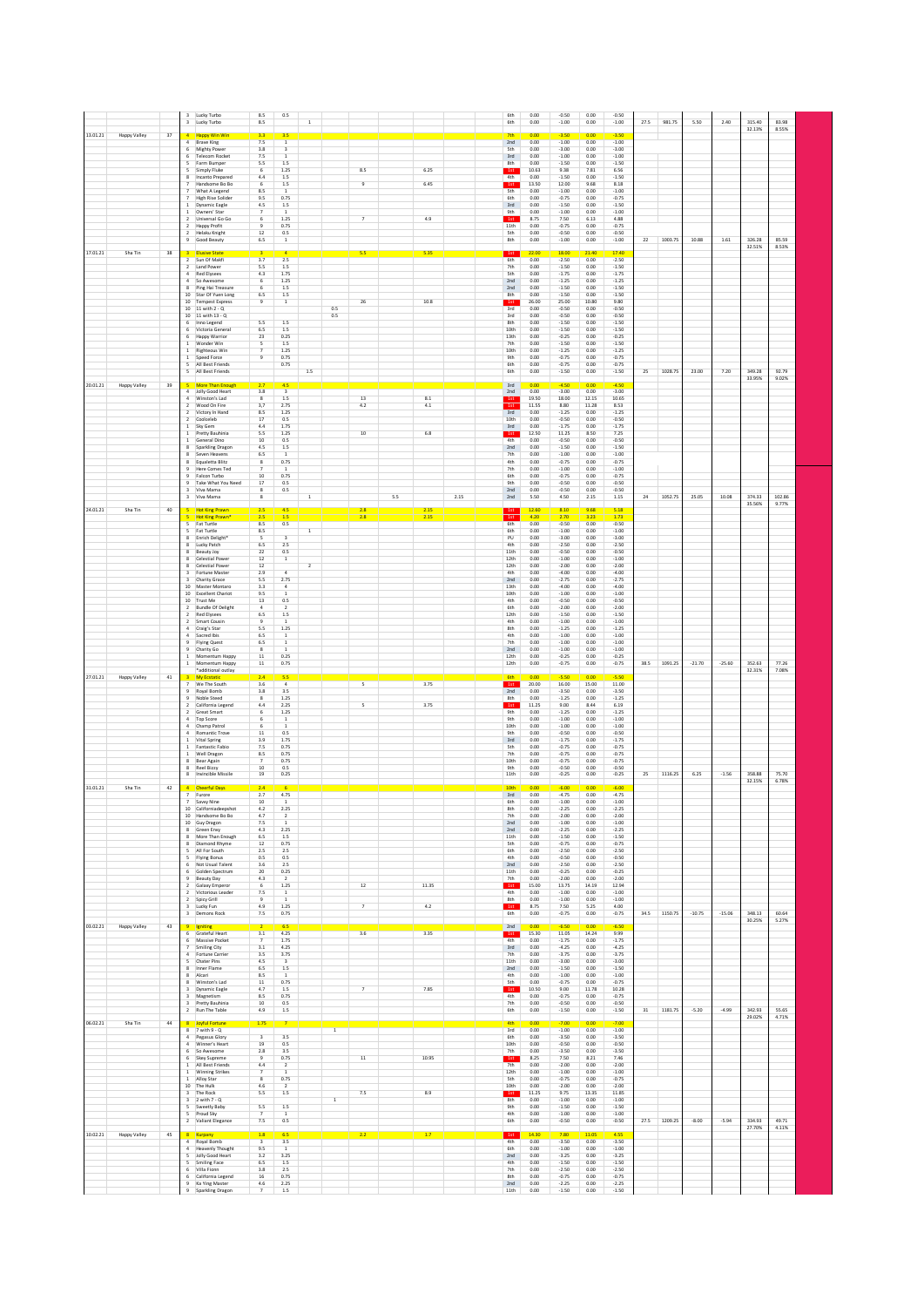|          |              |        | 3                                     | Lucky Turbo<br>3 Lucky Turbo                          | 8.5<br>8.5                                | 0.5                                    | $\,$ 1         |                |                |     |                     |      | 6th<br>6th                     | 0.00<br>0.00          | $-0.50$<br>$-1.00$            | 0.00<br>0.00          | $-0.50$<br>$-1.00$            | 27.5 | 981.75  | 5.50     | 2.40     | 315.40<br>32.13% | 83.98<br>8.55% |  |
|----------|--------------|--------|---------------------------------------|-------------------------------------------------------|-------------------------------------------|----------------------------------------|----------------|----------------|----------------|-----|---------------------|------|--------------------------------|-----------------------|-------------------------------|-----------------------|-------------------------------|------|---------|----------|----------|------------------|----------------|--|
| 13.01.21 | Happy Valley | 37     | $\sqrt{4}$                            | <b>Happy Win Win</b><br>Brave King                    | 3.3<br>7.5                                | 3.5<br>$\mathbf{1}$                    |                |                |                |     |                     |      | 2nd                            | 0.00<br>0.00          | $-3.50$<br>$-1.00$            | 0.00<br>0.00          | $-3.50$<br>$-1.00$            |      |         |          |          |                  |                |  |
|          |              |        | 6<br>6                                | Mighty Power<br><b>Telecom Rocket</b>                 | 3.8<br>7.5                                | $\overline{\mathbf{3}}$<br>1           |                |                |                |     |                     |      | <b>Sth</b><br>3rd              | 0.00<br>0.00          | $-3.00$<br>$-1.00$            | 0.00<br>0.00          | $-3.00$<br>$-1.00$            |      |         |          |          |                  |                |  |
|          |              |        | 5<br>5                                | Farm Bumper<br>Simply Fluke                           | 5.5<br>6                                  | 1.5<br>1.25                            |                |                | 8.5            |     | 6.25                |      | 8th<br>1st                     | 0.00<br>10.63         | $-1.50$<br>9.38               | 0.00<br>7.81          | $-1.50$<br>6.56               |      |         |          |          |                  |                |  |
|          |              |        | 8<br>7                                | Incanto Prepared<br>Handsome Bo Bo                    | 4.4<br>6                                  | 1.5<br>1.5                             |                |                | $\overline{9}$ |     | 6.45                |      | 4th<br>1st                     | 0.00<br>13.50         | $-1.50$<br>12.00              | 0.00<br>9.68          | $-1.50$<br>8.18               |      |         |          |          |                  |                |  |
|          |              |        | 7<br>$\overline{7}$                   | What A Legend<br><b>High Rise Solider</b>             | 8.5<br>9.5                                | 1<br>0.75                              |                |                |                |     |                     |      | <b>Sth</b><br>6th              | 0.00<br>0.00          | $-1.00$<br>$-0.75$            | 0.00<br>0.00          | $-1.00$<br>$-0.75$            |      |         |          |          |                  |                |  |
|          |              |        | $\,$ 1<br>1                           | <b>Dynamic Eagle</b><br>Owners' Star                  | 4.5                                       | 1.5<br>$\mathbf{1}$                    |                |                |                |     |                     |      | 3rd<br>9th                     | 0.00<br>0.00          | $-1.50$<br>$-1.00$            | 0.00<br>0.00          | $-1.50$<br>$-1.00$            |      |         |          |          |                  |                |  |
|          |              |        | $\overline{2}$                        | Universal Go Go<br><b>Happy Profit</b>                | $\overline{9}$                            | 1.25<br>0.75                           |                |                | 7              |     | 4.9                 |      | 1st<br>11th                    | 8.75<br>0.00          | 7.50<br>$-0.75$               | 6.13<br>0.00          | 4.88<br>$-0.75$               |      |         |          |          |                  |                |  |
|          |              |        | $\overline{2}$<br>9                   | Helaku Knight<br>Good Beauty                          | 12<br>6.5                                 | 0.5<br>$\,$ 1 $\,$                     |                |                |                |     |                     |      | <b>Sth</b><br>8th              | 0.00<br>0.00          | $-0.50$<br>$-1.00$            | 0.00<br>0.00          | $-0.50$<br>$-1.00$            | 22   | 1003.75 | 10.88    | 1.61     | 326.28           | 85.59          |  |
| 17.01.21 | Sha Tin      | $38\,$ |                                       |                                                       |                                           |                                        |                |                | 5.5            |     | 5.35                |      | 1st                            | 22.00                 | 18.00                         | $21 - 40$             | 17.40                         |      |         |          |          | 32.51%           | 8.53%          |  |
|          |              |        | $\overline{z}$                        | Sun Of Makfi<br>2 Land Power                          | 3.7<br>5.5                                | 2.5<br>1.5                             |                |                |                |     |                     |      | 6th<br>7th                     | 0.00<br>0.00          | $-2.50$<br>$-1.50$            | 0.00<br>0.00          | $-2.50$<br>$-1.50$            |      |         |          |          |                  |                |  |
|          |              |        | $\overline{4}$<br>$\overline{4}$<br>8 | <b>Red Elysees</b><br>So Awesome<br>Ping Hai Treasure | 4.3<br>6<br>6                             | 1.75<br>1.25                           |                |                |                |     |                     |      | Sth<br>2nd                     | 0.00<br>0.00          | $-1.75$<br>$-1.25$            | 0.00<br>0.00          | $-1.75$<br>$-1.25$            |      |         |          |          |                  |                |  |
|          |              |        |                                       | 10 Star Of Yuen Long                                  | $6.5\,$<br>$\overline{9}$                 | $1.5\,$<br>$1.5\,$<br>$\,$ 1 $\,$      |                |                |                |     | 10.8                |      | 2nd<br>8th<br>1st              | 0.00<br>0.00<br>26.00 | $-1.50$<br>$-1.50$<br>25.00   | 0.00<br>0.00<br>10.80 | $-1.50$<br>$-1.50$<br>9.80    |      |         |          |          |                  |                |  |
|          |              |        |                                       | 10 Tempest Express<br>10 11 with 2 - Q                |                                           |                                        |                | 0.5            | $\bf 26$       |     |                     |      | 3rd                            | 0.00<br>0.00          | $-0.50$<br>$-0.50$            | 0.00<br>0.00          | $-0.50$<br>$-0.50$            |      |         |          |          |                  |                |  |
|          |              |        | $6\overline{6}$                       | 10 11 with 13 - Q<br>6 Inno Legend                    | 5.5                                       | 1.5                                    |                | $0.5\,$        |                |     |                     |      | 3rd<br>8th                     | 0.00<br>0.00          | $-1.50$                       | 0.00<br>0.00          | $-1.50$                       |      |         |          |          |                  |                |  |
|          |              |        | 6<br>$\mathbf{1}$                     | Victoria General<br>Happy Warrior<br>Wonder Win       | $6.5\,$<br>23<br>$\overline{\phantom{a}}$ | $1.5\,$<br>0.25<br>1.5                 |                |                |                |     |                     |      | 10th<br>13th<br>7th            | 0.00<br>0.00          | $-1.50$<br>$-0.25$<br>$-1.50$ | 0.00<br>0.00          | $-1.50$<br>$-0.25$<br>$-1.50$ |      |         |          |          |                  |                |  |
|          |              |        | $\mathbf{1}$                          | Righteous Win<br>1 Speed Force                        | $\overline{z}$<br>$\overline{9}$          | 1.25<br>0.75                           |                |                |                |     |                     |      | 10th<br><b>9th</b>             | 0.00<br>0.00          | $-1.25$<br>$-0.75$            | 0.00<br>0.00          | $-1.25$<br>$-0.75$            |      |         |          |          |                  |                |  |
|          |              |        | ×,<br>5                               | All Best Friends<br>All Best Friends                  |                                           | 0.75                                   | $1.5\,$        |                |                |     |                     |      | 6th<br>6th                     | 0.00<br>0.00          | $-0.75$<br>$-1.50$            | 0.00<br>0.00          | $-0.75$<br>$-1.50$            | 25   | 1028.75 | 23.00    | 7.20     | 349.28           | 92.79          |  |
| 20.01.21 | Happy Valley | 39     |                                       | 5 More Than Enough                                    | 2.7                                       | 4.5                                    |                |                |                |     |                     |      | 3rd                            | 0.00                  | $-4.50$                       | 0.00                  | $-4.50$                       |      |         |          |          | 33.95%           | 9.02%          |  |
|          |              |        |                                       | 4 Jolly Good Heart<br>4 Winston's Lad                 | 3.8<br>8                                  | $\overline{\mathbf{3}}$<br>1.5         |                |                | 13             |     | 8.1                 |      | 2nd<br>1st                     | 0.00<br>19.50         | $-3.00$<br>18.00              | 0.00<br>12.15         | $-3.00$<br>10.65              |      |         |          |          |                  |                |  |
|          |              |        | $\overline{2}$<br>$\overline{2}$      | Wood On Fire<br>Victory In Hand                       | 3.7<br>8.5                                | 2.75<br>1.25                           |                |                | 4.2            |     | 4.1                 |      | 1st<br>3rd                     | 11.55<br>0.00         | 8.80<br>$-1.25$               | 11.28<br>0.00         | 8.53<br>$-1.25$               |      |         |          |          |                  |                |  |
|          |              |        | $\overline{2}$<br>$\mathbf{1}$        | Coolceleb<br>Sky Gem                                  | 17<br>4.4                                 | 0.5<br>1.75                            |                |                |                |     |                     |      | 10th<br>3rd                    | 0.00<br>0.00          | $-0.50$<br>$-1.75$            | 0.00<br>0.00          | $-0.50$<br>$-1.75$            |      |         |          |          |                  |                |  |
|          |              |        | 1                                     | Pretty Bauhinia<br>1 General Dino                     | 5.5<br>10                                 | 1.25<br>0.5                            |                |                | $10\,$         |     | 6.8                 |      | 1st<br>4th                     | 12.50<br>0.00         | 11.25<br>$-0.50$              | 8.50<br>0.00          | 7.25<br>$-0.50$               |      |         |          |          |                  |                |  |
|          |              |        | 8<br>8                                | Sparkling Dragon<br>Seven Heavens                     | 4.5<br>6.5                                | 1.5<br>1                               |                |                |                |     |                     |      | 2nd<br>7th                     | 0.00<br>0.00          | $-1.50$<br>$-1.00$            | 0.00<br>0.00          | $-1.50$<br>$-1.00$            |      |         |          |          |                  |                |  |
|          |              |        | 8<br>$\overline{9}$                   | Equaletta Blitz<br>Here Comes Ted                     | $\boldsymbol{8}$                          | 0.75<br>$\mathbf{1}$                   |                |                |                |     |                     |      | 4th<br>7th                     | 0.00<br>0.00          | $-0.75$<br>$-1.00$            | 0.00<br>0.00          | $-0.75$<br>$-1.00$            |      |         |          |          |                  |                |  |
|          |              |        | $\overline{9}$<br>$\overline{9}$      | Falcon Turbo<br>Take What You Need                    | 10<br>17                                  | 0.75<br>0.5                            |                |                |                |     |                     |      | 6th<br>9th                     | 0.00<br>0.00          | $-0.75$<br>$-0.50$            | 0.00<br>0.00          | $-0.75$<br>$-0.50$            |      |         |          |          |                  |                |  |
|          |              |        | $\overline{\mathbf{3}}$               | Viva Mama<br>3 Viva Mama                              | 8<br>8                                    | 0.5                                    | $\overline{1}$ |                |                | 5.5 |                     | 2.15 | 2nd<br>2nd                     | 0.00<br>5.50          | $-0.50$<br>4.50               | 0.00<br>2.15          | $-0.50$<br>1.15               | 24   | 1052.75 | 25.05    | 10.08    | 374.33           | 102.86         |  |
| 24.01.21 | Sha Tin      | $40\,$ |                                       | <b>Hot King Prawn</b><br><b>Hot King Prawn</b>        | 2.5<br>$\overline{2.5}$                   | 4.5<br>1.5                             |                |                |                |     | $\frac{2.15}{2.15}$ |      | <sup>1st</sup>                 | 12.60<br>4.20         | 8.10<br>2.70                  | 9.68<br>3.23          | 5.18<br>1.73                  |      |         |          |          | 35.56%           | 9.77%          |  |
|          |              |        | 5<br>5                                | Fat Turtle<br>Fat Turtle                              | 8.5<br>8.5                                | 0.5                                    | 1              |                |                |     |                     |      | 6th<br>6th                     | 0.00<br>0.00          | $-0.50$<br>$-1.00$            | 0.00<br>0.00          | $-0.50$<br>$-1.00$            |      |         |          |          |                  |                |  |
|          |              |        | 8<br>8                                | Enrich Delight<br>Lucky Patch                         | -5<br>6.5                                 | $\overline{\mathbf{3}}$<br>2.5         |                |                |                |     |                     |      | PU<br>4th                      | 0.00<br>0.00          | $-3.00$<br>$-2.50$            | 0.00<br>0.00          | $-3.00$<br>$-2.50$            |      |         |          |          |                  |                |  |
|          |              |        | 8<br>8                                | Beauty Joy<br>Celestial Power                         | 22<br>12                                  | 0.5<br>$\mathbf{1}$                    |                |                |                |     |                     |      | 11th<br>12th                   | 0.00<br>0.00          | $-0.50$<br>$-1.00$            | 0.00<br>0.00          | $-0.50$<br>$-1.00$            |      |         |          |          |                  |                |  |
|          |              |        | 8<br>з                                | Celestial Power<br>Fortune Master                     | 12<br>2.9                                 | $\ddot{a}$                             | $\sqrt{2}$     |                |                |     |                     |      | 12th<br>4th                    | 0.00<br>0.00          | $-2.00$<br>$-4.00$            | 0.00<br>0.00          | $-2.00$<br>$-4.00$            |      |         |          |          |                  |                |  |
|          |              |        | 10                                    | Charity Grace<br>Master Montaro                       | 5.5<br>3.3                                | 2.75<br>$\overline{a}$                 |                |                |                |     |                     |      | 2nd<br>13th                    | 0.00<br>0.00          | $-2.75$<br>$-4.00$            | 0.00<br>0.00          | $-2.75$<br>$-4.00$            |      |         |          |          |                  |                |  |
|          |              |        |                                       | 10 Excellent Chariot<br>10 Trust Me                   | 9.5<br>13                                 | 0.5                                    |                |                |                |     |                     |      | 10th<br>4th                    | 0.00<br>0.00          | $-1.00$<br>$-0.50$            | 0.00<br>0.00          | $-1.00$<br>$-0.50$            |      |         |          |          |                  |                |  |
|          |              |        | $\overline{2}$<br>$\overline{2}$      | <b>Bundle Of Delight</b><br><b>Red Elysees</b>        | $\overline{4}$<br>6.5                     | $\overline{2}$<br>$1.5\,$              |                |                |                |     |                     |      | 6th<br>12th                    | 0.00<br>0.00          | $-2.00$<br>$-1.50$            | 0.00<br>0.00          | $-2.00$<br>$-1.50$            |      |         |          |          |                  |                |  |
|          |              |        | $\overline{2}$                        | Smart Cousin<br>Craig's Star                          | $\overline{9}$<br>5.5                     | $\,$ 1<br>1.25                         |                |                |                |     |                     |      | 4th<br>8th                     | 0.00<br>0.00          | $-1.00$<br>$-1.25$            | 0.00<br>0.00          | $-1.00$<br>$-1.25$            |      |         |          |          |                  |                |  |
|          |              |        | $\overline{4}$<br>$\overline{9}$      | Sacred Ibis<br><b>Flying Quest</b>                    | 6.5<br>6.5                                | $\,$ 1 $\,$                            |                |                |                |     |                     |      | 4th<br>7th                     | 0.00<br>0.00          | $-1.00$<br>$-1.00$            | 0.00<br>0.00          | $-1.00$<br>$-1.00$            |      |         |          |          |                  |                |  |
|          |              |        |                                       | Charity Go<br>Momentum Happy                          | $\overline{\mathbf{8}}$<br>$11\,$         | $\overline{1}$<br>0.25                 |                |                |                |     |                     |      | 2nd<br>12th                    | 0.00<br>0.00          | $-1.00$<br>$-0.25$            | 0.00<br>0.00          | $-1.00$<br>$-0.25$            |      |         |          |          |                  |                |  |
|          |              |        | $\mathbf{1}$                          | Momentum Happy<br>*additional outlay                  | $11\,$                                    | 0.75                                   |                |                |                |     |                     |      | 12th                           | 0.00                  | $-0.75$                       | 0.00                  | $-0.75$                       | 38.5 | 1091.25 | $-21.70$ | $-25.60$ | 352.63<br>32.31% | 77.26<br>7.08% |  |
| 27.01.21 | Happy Valley | $41\,$ |                                       | <b>My Ecstatic</b><br>We The South                    | 2.4<br>3.6                                | $\overline{4}$                         |                |                | 5              |     | 3.75                |      | 6th<br>1st                     | 0.00<br>20.00         | 5.50<br>16.00                 | 0.00<br>15.00         | $-5.50$<br>11.00              |      |         |          |          |                  |                |  |
|          |              |        | $\overline{9}$<br>$\overline{9}$      | Royal Bomb<br>Noble Steed                             | 3.8<br>$\mathbf{8}$                       | 3.5<br>1.25                            |                |                |                |     |                     |      | 2nd<br>8th                     | 0.00<br>0.00          | $-3.50$<br>$-1.25$            | 0.00<br>0.00          | $-3.50$<br>$-1.25$            |      |         |          |          |                  |                |  |
|          |              |        | $\overline{2}$<br>$\overline{2}$      | California Legend<br>Great Smart                      | 4.4<br>6                                  | 2.25<br>1.25                           |                |                | 5              |     | 3.75                |      | 1st<br>9th                     | 11.25<br>0.00         | 9.00<br>$-1.25$               | 8.44<br>0.00          | 6.19<br>$-1.25$               |      |         |          |          |                  |                |  |
|          |              |        | $\overline{a}$<br>$\overline{a}$      | Top Score<br>Champ Patrol                             | -6                                        | $\mathbf{1}$<br>$\overline{1}$         |                |                |                |     |                     |      | 9 <sub>th</sub><br>10th<br>9th | 0.00<br>0.00<br>0.00  | $-1.00$<br>$-1.00$            | 0.00<br>0.00<br>0.00  | $-1.00$<br>$-1.00$            |      |         |          |          |                  |                |  |
|          |              |        | $\,$ 1                                | Romantic Trove<br>1 Vital Spring                      | 11<br>3.9                                 | 0.5<br>1.75<br>0.75                    |                |                |                |     |                     |      | $3rd$<br><b>Sth</b>            | 0.00<br>0.00          | $-0.50$<br>$-1.75$            | 0.00<br>0.00          | $-0.50$<br>$-1.75$            |      |         |          |          |                  |                |  |
|          |              |        | $\,$ 1<br>8                           | Fantastic Fabio<br>Well Dragon<br>Bear Again          | 7.5<br>8.5<br>$\overline{7}$              | 0.75<br>0.75                           |                |                |                |     |                     |      | 7th<br>10th                    | 0.00<br>0.00          | $-0.75$<br>$-0.75$<br>$-0.75$ | 0.00<br>0.00          | $-0.75$<br>$-0.75$<br>$-0.75$ |      |         |          |          |                  |                |  |
|          |              |        | $\mathbf{R}$<br>8                     | Reel Bizzy<br>Invincible Missile                      | 10<br>19                                  | 0.5<br>0.25                            |                |                |                |     |                     |      | 9th<br>11th                    | 0.00<br>0.00          | $-0.50$<br>$-0.25$            | 0.00<br>0.00          | $-0.50$<br>$-0.25$            | 25   | 1116.25 | 6.25     | $-1.56$  | 358.88           | 75.70          |  |
| 31.01.21 | Sha Tin      | 42     | $\overline{a}$                        | <b>Cheerful Days</b>                                  | 2.4                                       |                                        |                |                |                |     |                     |      | 10th                           | 0.00                  | $-6.00$                       | 0.00                  | $-6.00$                       |      |         |          |          | 32.15%           | 6.78%          |  |
|          |              |        | $\overline{7}$<br>$\overline{7}$      | Furore<br>Sayyy Nine                                  | 2.7<br>10                                 | 4.75<br>$\mathbf{1}$                   |                |                |                |     |                     |      | 3rd<br>6th                     | 0.00<br>0.00          | $-4.75$<br>$-1.00$            | 0.00<br>0.00          | $-4.75$<br>$-1.00$            |      |         |          |          |                  |                |  |
|          |              |        | 10.                                   | Californiade<br>10 Handsome Bo Bo                     | 42<br>4.7                                 | 225<br>$\overline{2}$                  |                |                |                |     |                     |      | <b>Rth</b><br>7th              | 0.00<br>0.00          | 225<br>$-2.00$                | 0.00<br>0.00          | $-225$<br>$-2.00$             |      |         |          |          |                  |                |  |
|          |              |        | 8                                     | 10 Guy Dragon<br>Green Envy                           | 7.5<br>4.3                                | $\mathbf{1}$<br>2.25                   |                |                |                |     |                     |      | 2nd<br>2nd                     | 0.00<br>0.00          | $-1.00$<br>$-2.25$            | 0.00<br>0.00          | $-1.00$<br>$-2.25$            |      |         |          |          |                  |                |  |
|          |              |        | 8<br>8                                | More Than Enough<br>Diamond Rhyme                     | 6.5<br>12                                 | 1.5<br>0.75                            |                |                |                |     |                     |      | 11th<br><b>Sth</b>             | 0.00<br>0.00          | $-1.50$<br>$-0.75$            | 0.00<br>0.00          | $-1.50$<br>$-0.75$            |      |         |          |          |                  |                |  |
|          |              |        | -5<br>-5                              | All For South<br>Flying Bonus                         | 2.5<br>0.5                                | 2.5<br>0.5                             |                |                |                |     |                     |      | 6th<br>4th                     | 0.00<br>0.00          | $-2.50$<br>$-0.50$            | 0.00<br>0.00          | $-2.50$<br>$-0.50$            |      |         |          |          |                  |                |  |
|          |              |        | 6<br>6                                | Not Usual Talent<br>Golden Spectrum                   | 3.6<br>20                                 | 2.5<br>0.25                            |                |                |                |     |                     |      | 2nd<br>11th                    | 0.00<br>0.00          | $-2.50$<br>$-0.25$            | 0.00<br>0.00          | $-2.50$<br>$-0.25$            |      |         |          |          |                  |                |  |
|          |              |        | 9<br>$\overline{2}$<br>$\overline{2}$ | Beauty Day<br>Galaxy Emperor<br>Victorious Leader     | 4.3<br>6<br>7.5                           | $\overline{2}$<br>1.25<br>$\mathbf{1}$ |                |                | 12             |     | 11.35               |      | 7th<br>1st<br>4th              | 0.00<br>15.00<br>0.00 | $-2.00$<br>13.75<br>$-1.00$   | 0.00<br>14.19<br>0.00 | $-2.00$<br>12.94<br>$-1.00$   |      |         |          |          |                  |                |  |
|          |              |        | $\overline{2}$<br>3                   | Spicy Grill<br>Lucky Fun                              | $\overline{9}$<br>4.9                     | $\mathbf{1}$<br>1.25                   |                |                | $\overline{z}$ |     | 4.2                 |      | 8th<br>1st                     | 0.00<br>8.75          | $-1.00$<br>7.50               | 0.00<br>5.25          | $-1.00$<br>4.00               |      |         |          |          |                  |                |  |
|          |              |        |                                       | 3 Demons Rock                                         | 7.5                                       | 0.75                                   |                |                |                |     |                     |      | 6th                            | 0.00                  | $-0.75$                       | 0.00                  | $-0.75$                       | 34.5 | 1150.75 | $-10.75$ | $-15.06$ | 348.13<br>30.25% | 60.64<br>5.27% |  |
| 03.02.21 | Happy Valley | 43     | $\overline{9}$<br>6                   | Igniting<br>Grateful Heart                            | 3.1                                       | 6.5<br>4.25                            |                |                | 3.6            |     | 3.35                |      | 2nd<br>1st                     | 0.00<br>15.30         | $-6.50$<br>11.05              | 0.00<br>14.24         | $-6.50$<br>9.99               |      |         |          |          |                  |                |  |
|          |              |        |                                       | Massive Pocket<br>Smiling City                        | $\overline{7}$<br>$3.1\,$                 | 1.75<br>4.25                           |                |                |                |     |                     |      | 4th<br>3rd                     | 0.00<br>0.00          | $-1.75$<br>$-4.25$            | 0.00<br>0.00          | $-1.75$<br>$-4.25$            |      |         |          |          |                  |                |  |
|          |              |        | $\overline{4}$<br>5                   | Fortune Carrier<br>Chater Pins                        | 3.5<br>4.5                                | 3.75<br>$\overline{\mathbf{3}}$        |                |                |                |     |                     |      | 7 <sub>th</sub><br>11th        | 0.00<br>0.00          | $-3.75$<br>$-3.00$            | 0.00<br>0.00          | $-3.75$<br>$-3.00$            |      |         |          |          |                  |                |  |
|          |              |        |                                       | Inner Flame<br>Alcari                                 | 6.5<br>8.5                                | $1.5\,$<br>$\overline{1}$              |                |                |                |     |                     |      | 2nd<br>4th                     | 0.00<br>0.00          | $-1.50$<br>$-1.00$            | 0.00<br>0.00          | $-1.50$<br>$-1.00$            |      |         |          |          |                  |                |  |
|          |              |        | $\overline{\mathbf{8}}$               | Winston's Lad<br>Dynamic Eagle                        | $11\,$<br>4.7                             | 0.75<br>1.5                            |                |                | $\overline{7}$ |     | 7.85                |      | <b>Sth</b><br>1st              | 0.00<br>10.50         | $-0.75$<br>9.00               | 0.00<br>11.78         | $-0.75$<br>10.28              |      |         |          |          |                  |                |  |
|          |              |        |                                       | Magnetism<br>Pretty Bauhinia                          | 8.5<br>10                                 | 0.75<br>0.5                            |                |                |                |     |                     |      | 4th<br>7th                     | 0.00<br>0.00          | $-0.75$<br>$-0.50$            | 0.00<br>0.00          | $-0.75$<br>$-0.50$            |      |         |          |          |                  |                |  |
|          |              |        |                                       | 2 Run The Table                                       | 4.9                                       | $1.5\,$                                |                |                |                |     |                     |      | 6th                            | 0.00                  | $-1.50$                       | 0.00                  | $-1.50$                       | 31   | 1181.75 | $-5.20$  | $-4.99$  | 342.93<br>29.02% | 55.65<br>4.71% |  |
| 06.02.21 | Sha Tin      | 44     | $\overline{8}$                        | <b>Joyful Fortune</b><br>$8$ 7 with $9 - Q$           | 1.75                                      |                                        |                | $\overline{1}$ |                |     |                     |      | 4th<br>3rd                     | 0.00<br>0.00          | $-7.00$<br>$-1.00$            | 0.00<br>0.00          | $-7.00$<br>$-1.00$            |      |         |          |          |                  |                |  |
|          |              |        |                                       | 4 Pegasus Glory<br>4 Winner's Heart                   | $\overline{a}$<br>19                      | 3.5<br>0.5                             |                |                |                |     |                     |      | 6th<br>10th                    | 0.00<br>0.00          | $-3.50$<br>$-0.50$            | 0.00<br>0.00          | $-3.50$<br>$-0.50$            |      |         |          |          |                  |                |  |
|          |              |        | 6<br>6                                | So Awesome<br>Skey Supreme                            | $2.8\,$<br>$\overline{9}$                 | 3.5<br>0.75                            |                |                | 11             |     | 10.95               |      | 7th<br>1st                     | 0.00<br>8.25          | $-3.50$<br>7.50               | 0.00<br>8.21          | $-3.50$<br>7.46               |      |         |          |          |                  |                |  |
|          |              |        |                                       | 1 All Best Friends<br>1 Winning Strikes               | 4.4<br>$\overline{7}$                     | $\overline{2}$<br>$\overline{1}$       |                |                |                |     |                     |      | 7th<br>12th                    | 0.00<br>0.00          | $-2.00$<br>$-1.00$            | 0.00<br>0.00          | $-2.00$<br>$-1.00$            |      |         |          |          |                  |                |  |
|          |              |        |                                       | 1 Alloy Star<br>10 The Hulk                           | $\overline{\mathbf{8}}$<br>4.6            | 0.75<br>$\overline{2}$                 |                |                |                |     |                     |      | <b>Sth</b><br>10th             | 0.00<br>0.00          | $-0.75$<br>$-2.00$            | 0.00<br>0.00          | $-0.75$<br>$-2.00$            |      |         |          |          |                  |                |  |
|          |              |        | $\overline{\mathbf{3}}$<br>5          | 3 The Rock<br>2 with 7 - Q<br>Sweetly Baby            | 5.5<br>5.5                                | $1.5\,$<br>1.5                         |                | $\,$ 1 $\,$    | 7.5            |     | 8.9                 |      | 1st<br>8th<br><b>9th</b>       | 11.25<br>0.00<br>0.00 | 9.75<br>$-1.00$<br>$-1.50$    | 13.35<br>0.00<br>0.00 | 11.85<br>$-1.00$<br>$-1.50$   |      |         |          |          |                  |                |  |
|          |              |        |                                       | Proud Sky<br>2 Valiant Elegance                       | $\overline{7}$<br>7.5                     | $\mathbf{1}$<br>0.5                    |                |                |                |     |                     |      | 4th<br>6th                     | 0.00<br>0.00          | $-1.00$<br>$-0.50$            | 0.00<br>0.00          | $-1.00$<br>$-0.50$            | 27.5 | 1209.25 | $-8.00$  | $-5.94$  | 334.93           | 49.71          |  |
| 10.02.21 | Happy Valley | 45     | $\overline{8}$                        | Kurpany                                               | 1.8                                       | 6.5                                    |                |                | 2.2            |     | 1.7                 |      | 1st                            | 14.30                 | 7.80                          | 11.05                 | 4.55                          |      |         |          |          | 27.70%           | 4.11%          |  |
|          |              |        | $\overline{4}$                        | 4 Royal Bomb<br><b>Heavenly Thought</b>               | $\overline{\mathbf{3}}$<br>9.5            | 3.5<br>$\mathbf{1}$                    |                |                |                |     |                     |      | 4th<br>6th                     | 0.00<br>0.00          | $-3.50$<br>$-1.00$            | 0.00<br>0.00          | $-3.50$<br>$-1.00$            |      |         |          |          |                  |                |  |
|          |              |        | 5<br>5                                | Jolly Good Heart<br>Smiling Face                      | 3.2<br>6.5                                | 3.25<br>1.5                            |                |                |                |     |                     |      | 2nd<br>4th                     | 0.00<br>0.00          | $-3.25$<br>$-1.50$            | 0.00<br>0.00          | $-3.25$<br>$-1.50$            |      |         |          |          |                  |                |  |
|          |              |        | 6<br>6                                | Villa Fionn<br>California Legend                      | 3.8<br>16                                 | 2.5<br>0.75                            |                |                |                |     |                     |      | 7th<br>8th                     | 0.00<br>0.00          | $-2.50$<br>$-0.75$            | 0.00<br>0.00          | $-2.50$<br>$-0.75$            |      |         |          |          |                  |                |  |
|          |              |        | $\overline{9}$<br>$\overline{9}$      | Ka Ying Master<br>Sparkling Dragon                    | 4.6<br>$\overline{7}$                     | 2.25<br>1.5                            |                |                |                |     |                     |      | 2nd<br>11th                    | 0.00<br>0.00          | $-2.25$<br>$-1.50$            | 0.00<br>0.00          | $-2.25$<br>$-1.50$            |      |         |          |          |                  |                |  |
|          |              |        |                                       |                                                       |                                           |                                        |                |                |                |     |                     |      |                                |                       |                               |                       |                               |      |         |          |          |                  |                |  |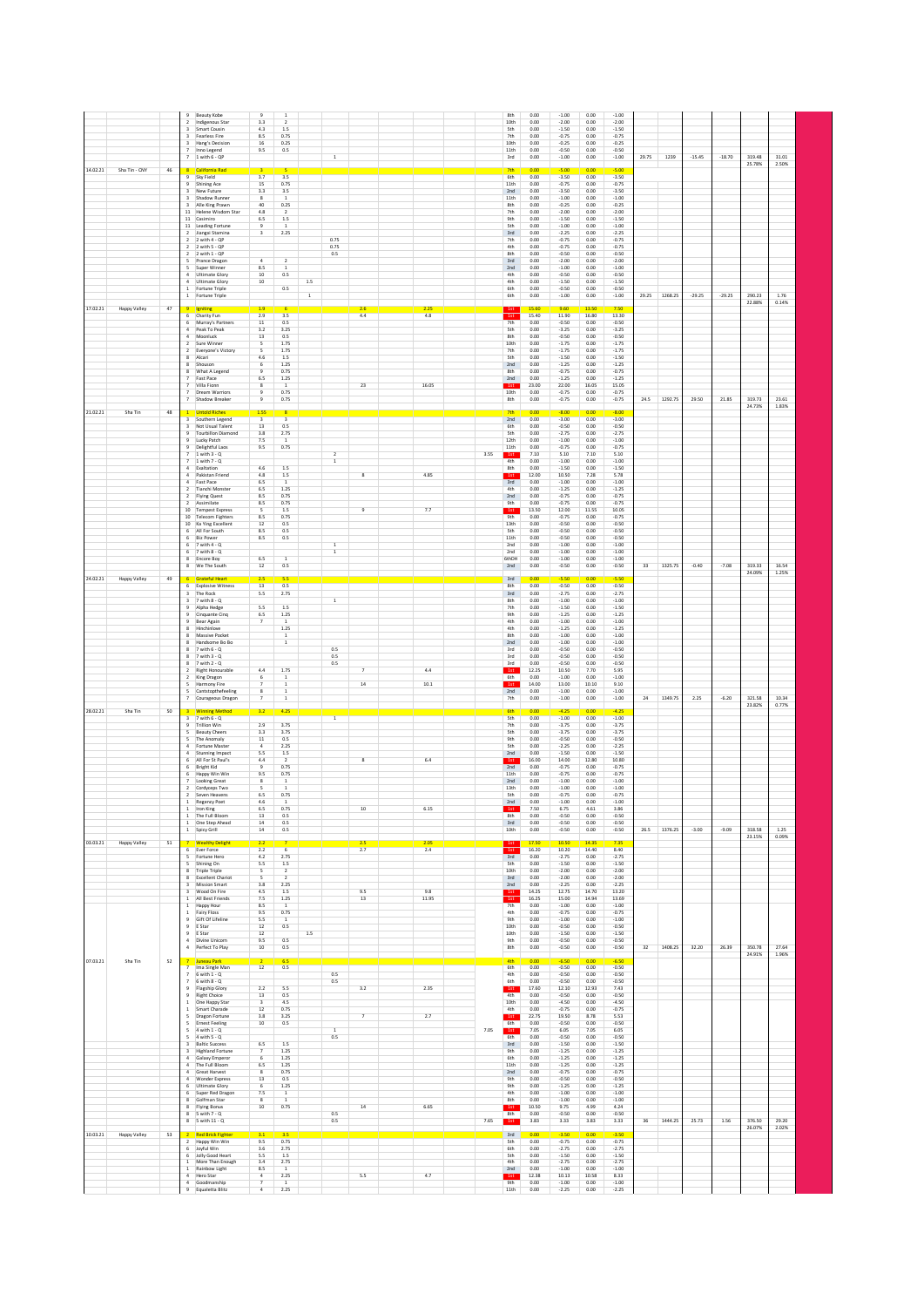|                                                             | $\overline{9}$<br><b>Beauty Kobe</b><br>Indigenous Star<br>Smart Cousin<br>$\overline{\mathbf{3}}$<br>Fearless Fire<br>Hang's Decision<br>Inno Legend<br>$7 - 1$ with $6 - QP$                                                                                                                                                                                                                                                                                                                                                                                                                                                                                     | $\overline{9}$<br>3.3<br>4.3<br>8.5<br>16<br>9.5                                                                                                                                                    | $\overline{1}$<br>$\overline{2}$<br>$1.5\,$<br>0.75<br>0.25<br>0.5                                                                                                  |              | $\,$ 1 $\,$                                            |                                           |                            |              | 8th<br>10th<br><b>Sth</b><br>7th<br>10th<br>11th<br>3rd                                                                                                               | 0.00<br>0.00<br>0.00<br>0.00<br>0.00<br>0.00<br>0.00                                                                                                                                    | $-1.00$<br>$-2.00$<br>$-1.50$<br>$-0.75$<br>$-0.25$<br>$-0.50$<br>$-1.00$                                                                                                                                                                       | 0.00<br>0.00<br>0.00<br>0.00<br>0.00<br>0.00<br>0.00                                                                                                                                  | $-1.00$<br>$-2.00$<br>$-1.50$<br>$-0.75$<br>$-0.25$<br>$-0.50$<br>$-1.00$                                                                                                                                                                      | 29.75 | 1239    | $-15.45$ | $-18.70$ | 319.48<br>25.78% | 31.01<br>2.50% |  |
|-------------------------------------------------------------|--------------------------------------------------------------------------------------------------------------------------------------------------------------------------------------------------------------------------------------------------------------------------------------------------------------------------------------------------------------------------------------------------------------------------------------------------------------------------------------------------------------------------------------------------------------------------------------------------------------------------------------------------------------------|-----------------------------------------------------------------------------------------------------------------------------------------------------------------------------------------------------|---------------------------------------------------------------------------------------------------------------------------------------------------------------------|--------------|--------------------------------------------------------|-------------------------------------------|----------------------------|--------------|-----------------------------------------------------------------------------------------------------------------------------------------------------------------------|-----------------------------------------------------------------------------------------------------------------------------------------------------------------------------------------|-------------------------------------------------------------------------------------------------------------------------------------------------------------------------------------------------------------------------------------------------|---------------------------------------------------------------------------------------------------------------------------------------------------------------------------------------|------------------------------------------------------------------------------------------------------------------------------------------------------------------------------------------------------------------------------------------------|-------|---------|----------|----------|------------------|----------------|--|
| 14.02.21<br>Sha Tin - CNY<br>46                             | California Rad<br>Sky Field<br>$\overline{a}$<br><b>Shining Ace</b><br>New Future<br>$\overline{a}$<br>Shadow Runner<br>$\overline{\mathbf{3}}$<br>$\overline{\mathbf{3}}$<br>Alle King Prawn<br>Helene Wisdom Star<br>$11\,$<br>11 Casimiro<br>11 Leading Fortune<br>2 Jiangxi Stamina<br>2 with 4 - OP<br>$\overline{2}$<br>$\overline{2}$<br>2 with 5 - OP<br>$\overline{2}$<br>2 with 1 - OP<br>$\overline{\phantom{a}}$<br>Prance Dragon<br>-5<br>Super Winner<br>4 Ultimate Glory<br>$\sim$<br>Ultimate Glory<br>1 Fortune Triple<br>1 Fortune Triple                                                                                                        | 3<br>3.7<br>15<br>3.3<br>$\overline{\mathbf{8}}$<br>40<br>4.8<br>6.5<br>$\overline{9}$<br>$\overline{\mathbf{3}}$<br>$\overline{4}$<br>8.5<br>10<br>10                                              | $\overline{\mathbf{5}}$<br>3.5<br>0.75<br>3.5<br>$\overline{1}$<br>0.25<br>$\frac{2}{1.5}$<br>$\mathbf{1}$<br>2.25<br>$\overline{2}$<br>$\mathbf{1}$<br>0.5<br>0.5  | 1.5<br>$1\,$ | 0.75<br>0.75<br>0.5                                    |                                           |                            |              | 7t<br>6th<br>11th<br>2nd<br>11th<br>8th<br>7th<br>9th<br><b>Sth</b><br>3rd<br>7th<br>4th<br>8th<br>3rd<br>2nd<br>4th<br>4th<br>6th<br>6th                             | 0.00<br>0.00<br>0.00<br>0.00<br>0.00<br>0.00<br>0.00<br>0.00<br>0.00<br>0.00<br>0.00<br>0.00<br>0.00<br>0.00<br>0.00<br>0.00<br>0.00<br>0.00<br>0.00                                    | 5.00<br>$-3.50$<br>$-0.75$<br>$-3.50$<br>$-1.00$<br>$-0.25$<br>$-2.00$<br>$-1.50$<br>$-1.00$<br>$-2.25$<br>$-0.75$<br>$-0.75$<br>$-0.50$<br>$-2.00$<br>$-1.00$<br>$-0.50$<br>$-1.50$<br>$-0.50$<br>$-1.00$                                      | 0 OC<br>0.00<br>0.00<br>0.00<br>0.00<br>0.00<br>0.00<br>0.00<br>0.00<br>0.00<br>0.00<br>0.00<br>0.00<br>0.00<br>0.00<br>0.00<br>0.00<br>0.00<br>0.00                                  | 500<br>$-3.50$<br>$-0.75$<br>$-3.50$<br>$-1.00$<br>$-0.25$<br>$-2.00$<br>$-1.50$<br>$-1.00$<br>$-2.25$<br>$-0.75$<br>$-0.75$<br>$-0.50$<br>$-2.00$<br>$-1.00$<br>$-0.50$<br>$-1.50$<br>$-0.50$<br>$-1.00$                                      | 29.25 | 1268.25 | $-29.25$ | $-29.25$ | 290.23<br>22.88% | 1.76<br>0.14%  |  |
| 17.02.21<br>$47\,$<br>Happy Valley                          | Igniting<br>6<br>Charity Fun<br>Murray's Partners<br>6<br>Peak To Peak<br>4<br>Moonluck<br>$\overline{2}$<br>Sure Winner<br>Everyone's Victory<br>$\overline{2}$<br>Alcari<br>8<br>Shouson<br>8<br>What A Legend<br>8<br>Fast Pace<br>Villa Fionn<br>$\overline{7}$<br>Dream Warriors<br>$\overline{\phantom{a}}$<br>Shadow Breaker                                                                                                                                                                                                                                                                                                                                | 1.9<br>2.9<br>11<br>3.2<br>$13\,$<br>5<br>5<br>4.6<br>6<br>$\overline{9}$<br>6.5<br>8<br>9                                                                                                          | 6<br>3.5<br>0.5<br>3.25<br>0.5<br>1.75<br>1.75<br>1.5<br>1.25<br>0.75<br>1.25<br>1<br>0.75<br>0.75                                                                  |              |                                                        | 2.6<br>4.4<br>23                          | 2.25<br>4.8<br>16.05       |              | 1st<br>7 <sub>th</sub><br><b>Sth</b><br>8th<br>10th<br>7th<br><b>Sth</b><br>2nd<br>8th<br>2nd<br>1st<br>10th<br>8th                                                   | 15.60<br>15.40<br>0.00<br>0.00<br>0.00<br>0.00<br>0.00<br>0.00<br>0.00<br>0.00<br>0.00<br>23.00<br>0.00<br>0.00                                                                         | 9.60<br>11.90<br>$-0.50$<br>$-3.25$<br>$-0.50$<br>$-1.75$<br>$-1.75$<br>$-1.50$<br>$-1.25$<br>$-0.75$<br>$-1.25$<br>22.00<br>$-0.75$<br>$-0.75$                                                                                                 | 13.50<br>16.80<br>0.00<br>0.00<br>0.00<br>0.00<br>0.00<br>0.00<br>0.00<br>0.00<br>0.00<br>16.05<br>0.00<br>0.00                                                                       | 7.50<br>13.30<br>$-0.50$<br>$-3.25$<br>$-0.50$<br>$-1.75$<br>$-1.75$<br>$-1.50$<br>$-1.25$<br>$-0.75$<br>$-1.25$<br>15.05<br>$-0.75$<br>$-0.75$                                                                                                | 24.5  | 1292.75 | 29.50    | 21.85    | 319.73<br>24.73% | 23.61<br>1.83% |  |
| 21.02.21<br>Sha Tin<br>48                                   | $\overline{1}$<br><b>Untold Riches</b><br>Southern Legend<br>Not Usual Talent<br><b>Tourbillon Diamond</b><br>Lucky Patch<br>$\overline{9}$<br>$\overline{a}$<br>Delightful Laos<br>$\overline{z}$<br>$1$ with $3 - Q$<br>$\overline{z}$<br>$1$ with $7 - Q$<br>$\overline{4}$<br>Exaltation<br>$\Delta$<br>Pakistan Friend<br>$\Delta$<br>Fast Pace<br>$\overline{2}$<br>Tianchi Monste<br>2 Flying Quest<br>2 Assimilate<br>10 Tempest Express<br>10 Telecom Fighters<br>10 Ka Ying Excellent<br>6 All For South<br>6<br><b>Biz Power</b><br>$6$ 7 with $4 - Q$<br>$7$ with $8 - Q$<br>6<br>Encore Boy<br>$\mathbf{R}$<br>We The South<br>8                      | 1.55<br>$\overline{\mathbf{3}}$<br>13<br>3.8<br>7.5<br>9.5<br>4.6<br>4.8<br>6.5<br>6.5<br>8.5<br>8.5<br>5<br>8.5<br>12<br>8.5<br>8.5<br>6.5<br>12                                                   | 3<br>0.5<br>2.75<br>$\mathbf{1}$<br>0.75<br>1.5<br>$1.5\,$<br>$\mathbf{1}$<br>1.25<br>0.75<br>0.75<br>$1.5\,$<br>0.75<br>0.5<br>0.5<br>0.5<br>$\overline{1}$<br>0.5 |              | $\overline{2}$<br>$\,$ 1 $\,$<br>$\,$ 1<br>$\,$ 1 $\,$ | 8<br>$\mathsf g$                          | 4.85<br>7.7                | 3.55         | 2nd<br>6th<br><b>Sth</b><br>12th<br>11th<br>1st<br>4th<br>8th<br>1st<br>3rd<br>4th<br>2nd<br>9th<br>1st<br>9th<br>13th<br>Sth<br>11th<br>2nd<br>2nd<br>6thDH<br>2nd   | 0.00<br>0.00<br>0.00<br>0.00<br>0.00<br>0.00<br>7.10<br>0.00<br>0.00<br>12.00<br>0.00<br>0.00<br>0.00<br>0.00<br>13.50<br>0.00<br>0.00<br>0.00<br>0.00<br>0.00<br>0.00<br>0.00<br>0.00  | 8.00<br>$-3.00$<br>$-0.50$<br>$-2.75$<br>$-1.00$<br>$-0.75$<br>5.10<br>$-1.00$<br>$-1.50$<br>10.50<br>$-1.00$<br>$-1.25$<br>$-0.75$<br>$-0.75$<br>12.00<br>$-0.75$<br>$-0.50$<br>$-0.50$<br>$-0.50$<br>$-1.00$<br>$-1.00$<br>$-1.00$<br>$-0.50$ | 0.00<br>0.00<br>0.00<br>0.00<br>0.00<br>0.00<br>7.10<br>0.00<br>0.00<br>7.28<br>0.00<br>0.00<br>0.00<br>0.00<br>11.55<br>0.00<br>0.00<br>0.00<br>0.00<br>0.00<br>0.00<br>0.00<br>0.00 | 8.00<br>$-3.00$<br>$-0.50$<br>$-2.75$<br>$-1.00$<br>$-0.75$<br>5.10<br>$-1.00$<br>$-1.50$<br>5.78<br>$-1.00$<br>$-1.25$<br>$-0.75$<br>$-0.75$<br>10.05<br>$-0.75$<br>$-0.50$<br>$-0.50$<br>$-0.50$<br>$-1.00$<br>$-1.00$<br>$-1.00$<br>$-0.50$ | 33    | 1325.75 | $-0.40$  | $-7.08$  | 319.33<br>24.09% | 16.54<br>1.25% |  |
| 24.02.21<br>Happy Valley<br>49                              | <b>Grateful Heart</b><br>6<br>6<br><b>Explosive Witness</b><br>The Rock<br>$\overline{\mathbf{3}}$<br>$\overline{a}$<br>7 with 8 - 0<br>$\overline{9}$<br>Alpha Hedge<br>9<br>Cinquante Cinq<br>Bear Again<br>$\overline{9}$<br>Hinchinlove<br>$\mathbf{R}$<br>8<br>Massive Pocket<br>8<br>Handsome Bo Bo<br>8<br>7 with 6 - Q<br>8<br>7 with 3 - Q<br>8<br>7 with 2 - 0<br>$\overline{2}$<br>Right Honourable<br>$\overline{2}$<br>King Dragon<br>$\sim$<br>Harmony Fire<br>Cantstopthefeeling<br>-5<br>$\overline{7}$<br>Courageous Dragon                                                                                                                       | 2.5<br>13<br>5.5<br>5.5<br>6.5<br>$\overline{7}$<br>4.4<br>6<br>$\overline{z}$<br>8<br>$\overline{7}$                                                                                               | 5.5<br>0.5<br>2.75<br>1.5<br>1.25<br><sup>1</sup><br>1.25<br>$\,$ 1 $\,$<br>$\mathbf{1}$<br>1.75<br>$1\,$<br>$\mathbf{1}$<br>$\mathbf{1}$<br>$\,$ 1 $\,$            |              | $\overline{1}$<br>0.5<br>0.5<br>0.5                    | $\overline{7}$<br>14                      | 4.4<br>10.1                |              | 3rd<br>8th<br>3rd<br>8th<br>7th<br>9th<br>4th<br>4th<br>8th<br>2nd<br>3rd<br>3rd<br>3rd<br>1st<br>6th<br>1st<br>2nd<br>7th                                            | 0.00<br>0.00<br>0.00<br>0.00<br>0.00<br>0.00<br>0.00<br>0.00<br>0.00<br>0.00<br>0.00<br>0.00<br>0.00<br>12.25<br>0.00<br>14.00<br>0.00<br>0.00                                          | 5.50<br>$-0.50$<br>$-2.75$<br>$-1.00$<br>$-1.50$<br>$-1.25$<br>$-1.00$<br>$-1.25$<br>$-1.00$<br>$-1.00$<br>$-0.50$<br>$-0.50$<br>$-0.50$<br>10.50<br>$-1.00$<br>13.00<br>$-1.00$<br>$-1.00$                                                     | 0.OO<br>0.00<br>0.00<br>0.00<br>0.00<br>0.00<br>0.00<br>0.00<br>0.00<br>0.00<br>0.00<br>0.00<br>0.00<br>7.70<br>0.00<br>10.10<br>0.00<br>0.00                                         | $-5.50$<br>$-0.50$<br>$-2.75$<br>$-1.00$<br>$-1.50$<br>$-1.25$<br>$-1.00$<br>$-1.25$<br>$-1.00$<br>$-1.00$<br>$-0.50$<br>$-0.50$<br>$-0.50$<br>5.95<br>$-1.00$<br>9.10<br>$-1.00$<br>$-1.00$                                                   | 24    | 1349.75 | 2.25     | $-6.20$  | 321.58<br>23.82% | 10.34<br>0.77% |  |
| 28.02.21<br>Sha Tin<br>50<br>03.03.21<br>Happy Valley<br>51 | <b>Winning Method</b><br>$\overline{3}$<br>7 with 6 - Q<br>3<br>$\overline{9}$<br><b>Trillion Win</b><br><b>Beauty Cheers</b><br>The Anomaly<br>-5<br>Fortune Master<br>$\overline{4}$<br>$\overline{4}$<br>Stunning Impact<br>All For St Paul's<br>6<br><b>Bright Kid</b><br>Happy Win Win<br>Looking Great<br>$\overline{2}$<br>Cordyceps Two<br>$\overline{2}$<br>Seven Heavens<br>$\,$ 1 $\,$<br><b>Regency Poet</b><br>Iron King<br>The Full Bloom<br>One Step Ahead<br>$\,$ 1 $\,$<br>1 Spicy Grill<br><b>Wealthy Delight</b><br>6<br>Ever Force                                                                                                             | 3.2<br>2.9<br>3.3<br>11<br>$\ddot{a}$<br>5.5<br>4.4<br>$\overline{9}$<br>9.5<br>$\overline{\mathbf{8}}$<br>$\overline{\mathbf{5}}$<br>6.5<br>4.6<br>6.5<br>$13\,$<br>14<br>$14\,$<br>2.2<br>$2.2\,$ | 4.25<br>3.75<br>3.75<br>0.5<br>2.25<br>1.5<br>0.75<br>0.75<br>$\,$ 1<br>0.75<br>$\overline{1}$<br>0.75<br>0.5<br>0.5<br>0.5<br>6                                    |              | $\overline{1}$                                         | $\bf{8}$<br>$10\,$<br>2.5<br>2.7          | 6.4<br>6.15<br>2.05<br>2.4 |              | 6th<br><b>Sth</b><br>7th<br><b>Sth</b><br>9th<br><b>Sth</b><br>2nd<br>1st<br>2nd<br>11th<br>2nd<br>13th<br>Sth<br>2nd<br>8th<br>3rd<br>10th<br>1st                    | 0.00<br>0.00<br>0.00<br>0.00<br>0.00<br>0.00<br>0.00<br>16.00<br>0.00<br>0.00<br>0.00<br>0.00<br>0.00<br>0.00<br>7.50<br>0.00<br>0.00<br>0.00<br>17.50<br>16.20                         | $-4.25$<br>$-1.00$<br>$-3.75$<br>$-3.75$<br>$-0.50$<br>$-2.25$<br>$-1.50$<br>14.00<br>$-0.75$<br>$-0.75$<br>$-1.00$<br>$-1.00$<br>$-0.75$<br>$-1.00$<br>6.75<br>$-0.50$<br>$-0.50$<br>$-0.50$<br>10.50<br>10.20                                 | 0.00<br>0.00<br>0.00<br>0.00<br>0.00<br>0.00<br>0.00<br>12.80<br>0.00<br>0.00<br>0.00<br>0.00<br>0.00<br>0.00<br>4.61<br>0.00<br>0.00<br>0.00<br>14.35<br>14.40                       | $-4.25$<br>$-1.00$<br>$-3.75$<br>$-3.75$<br>$-0.50$<br>$-2.25$<br>$-1.50$<br>10.80<br>$-0.75$<br>$-0.75$<br>$-1.00$<br>$-1.00$<br>$-0.75$<br>$-1.00$<br>3.86<br>$-0.50$<br>$-0.50$<br>$-0.50$<br>7.35<br>8.40                                  | 26.5  | 1376.25 | $-3.00$  | $-9.09$  | 318.58<br>23.15% | 1.25<br>0.09%  |  |
| 07.03.21<br>Sha Tin<br>52                                   | $\sim$<br>Fortune Hero<br>$\sim$<br>Shining On<br><b>Triple Triple</b><br>$\mathbf{R}$<br><b>Excellent Chariot</b><br>8<br><b>Mission Smart</b><br>$\overline{a}$<br>Wood On Fire<br>$\overline{\mathbf{3}}$<br>1 All Best Friends<br>1 Happy Hour<br>$\mathbf{1}$<br>Fairy Floss<br>Gift Of Lifeline<br>$9\,$<br>E Star<br>$\overline{9}$<br>E Star<br>9<br>$\Delta$<br>Divine Unicorn<br>4 Perfect To Play<br>$\overline{7}$<br>Juneau Park                                                                                                                                                                                                                      | 4.2<br>5.5<br>5<br>5<br>3.8<br>4.5<br>7.5<br>8.5<br>9.5<br>5.5<br>$12\,$<br>$12\,$<br>9.5<br>10                                                                                                     | 2.75<br>1.5<br>$\overline{2}$<br>$\overline{2}$<br>2.25<br>$1.5\,$<br>$1.25\,$<br>$\overline{1}$<br>0.75<br>$\,$ 1<br>$0.5\,$<br>0.5<br>0.5<br>6.5                  | $1.5\,$      |                                                        | 9.5<br>13                                 | 9.8<br>11.95               |              | 3rd<br>Sth<br>10th<br>3rd<br>2nd<br>1st<br>7th<br>4th<br>9th<br>10 <sub>th</sub><br>10th<br>9th<br>8th<br>4th                                                         | 0.00<br>0.00<br>0.00<br>0.00<br>0.00<br>14.25<br>16.25<br>0.00<br>0.00<br>0.00<br>0.00<br>0.00<br>0.00<br>0.00<br>0.00                                                                  | $-2.75$<br>$-1.50$<br>$-2.00$<br>$-2.00$<br>$-2.25$<br>12.75<br>15.00<br>$-1.00$<br>$-0.75$<br>$-1.00$<br>$-0.50$<br>$-1.50$<br>$-0.50$<br>$-0.50$<br>$-6.50$                                                                                   | 0.00<br>0.00<br>0.00<br>0.00<br>0.00<br>14.70<br>14.94<br>0.00<br>0.00<br>0.00<br>0.00<br>0.00<br>0.00<br>0.00<br>0.00                                                                | $-2.75$<br>$-1.50$<br>$-2.00$<br>$-2.00$<br>$-2.25$<br>13.20<br>13.69<br>$-1.00$<br>$-0.75$<br>$-1.00$<br>$-0.50$<br>$-1.50$<br>$-0.50$<br>$-0.50$<br>$-6.50$                                                                                  | 32    | 1408.25 | 32.20    | 26.39    | 350.78<br>24.91% | 27.64<br>1.96% |  |
|                                                             | $\overline{7}$<br>Ima Single Man<br>$6$ with $1 - 0$<br>$\overline{7}$<br>$6$ with $8 - 0$<br>$\overline{7}$<br>Flagship Glory<br>9<br><b>Right Choice</b><br>$\overline{9}$<br>One Happy Star<br>1<br>Smart Charade<br>1<br><b>Dragon Fortune</b><br>5<br><b>Ernest Feeling</b><br>-5<br>$4$ with $1 - Q$<br>-5<br>4 with 5 - Q<br>-5<br><b>Baltic Success</b><br>3<br><b>Highland Fortune</b><br>$\overline{\mathbf{3}}$<br>Galaxy Emperor<br>4<br>The Full Bloom<br>$\overline{4}$<br>Great Harvest<br>4<br>$\overline{4}$<br>Wonder Express<br>Ultimate Glory<br>6 Super Red Dragon<br>Golfman Star<br>8<br>Flying Bonus<br>8<br>5 with 7 - Q<br>5 with 11 - Q | 12<br>2.2<br>13<br>3<br>$12\,$<br>3.8<br>10<br>6.5<br>$\overline{7}$<br>6<br>6.5<br>8<br>13<br>6<br>7.5<br>8<br>10                                                                                  | 0.5<br>5.5<br>0.5<br>4.5<br>0.75<br>3.25<br>0.5<br>$1.5\,$<br>1.25<br>1.25<br>1.25<br>0.75<br>0.5<br>1.25<br>$\mathbf{1}$<br>1<br>0.75                              |              | 0.5<br>0.5<br>$\,$ 1<br>0.5<br>0.5<br>0.5              | 3.2<br>$\overline{\phantom{a}}$<br>$14\,$ | 2.35<br>2.7<br>6.65        | 7.05<br>7.65 | 6th<br>4th<br>6th<br>$-1st$<br>4th<br>10th<br>4th<br>1st<br>6th<br>$-1st$<br>6th<br>3rd<br>9th<br>6th<br>11th<br>2nd<br>9th<br>9th<br>4th<br>8th<br>1st<br>8th<br>1st | 0.00<br>0.00<br>0.00<br>17.60<br>0.00<br>0.00<br>0.00<br>22.75<br>0.00<br>7.05<br>0.00<br>0.00<br>0.00<br>0.00<br>0.00<br>0.00<br>0.00<br>0.00<br>0.00<br>0.00<br>10.50<br>0.00<br>3.83 | $-0.50$<br>$-0.50$<br>$-0.50$<br>12.10<br>$-0.50$<br>$-4.50$<br>$-0.75$<br>19.50<br>$-0.50$<br>6.05<br>$-0.50$<br>$-1.50$<br>$-1.25$<br>$-1.25$<br>$-1.25$<br>$-0.75$<br>$-0.50$<br>$-1.25$<br>$-1.00$<br>$-1.00$<br>9.75<br>$-0.50$<br>3.33    | 0.00<br>0.00<br>0.00<br>12.93<br>0.00<br>0.00<br>0.00<br>8.78<br>0.00<br>7.05<br>0.00<br>0.00<br>0.00<br>0.00<br>0.00<br>0.00<br>0.00<br>0.00<br>0.00<br>0.00<br>4.99<br>0.00<br>3.83 | $-0.50$<br>$-0.50$<br>$-0.50$<br>7.43<br>$-0.50$<br>$-4.50$<br>$-0.75$<br>5.53<br>$-0.50$<br>6.05<br>$-0.50$<br>$-1.50$<br>$-1.25$<br>$-1.25$<br>$-1.25$<br>$-0.75$<br>$-0.50$<br>$-1.25$<br>$-1.00$<br>$-1.00$<br>4.24<br>$-0.50$<br>3.33     | 36    | 1444.25 | 25.73    | 1.56     | 376.50           | 29.20          |  |
| 10.03.21<br>Happy Valley<br>$53\,$                          | <b>Red Brick Fighter</b><br>$\overline{2}$<br>Happy Win Win<br>2<br>Joyful Win<br>Jolly Good Heart<br>6<br>$\mathbf{1}$<br>More Than Enough<br>$\mathbf{1}$<br>Rainbow Light<br>$\overline{4}$<br>Hero Star<br>$\overline{4}$<br>Goodmanship<br>$\,9$<br>Equaletta Blitz                                                                                                                                                                                                                                                                                                                                                                                           | 3.1<br>9.5<br>$3.6\,$<br>5.5<br>3.4<br>8.5<br>$\sqrt{4}$<br>$\overline{7}$<br>$\sqrt{4}$                                                                                                            | 3.5<br>0.75<br>2.75<br>1.5<br>2.75<br>$\overline{1}$<br>2.25<br>$\,$ 1<br>2.25                                                                                      |              |                                                        | 5.5                                       | 4.7                        |              | 3rd<br><b>Sth</b><br>6th<br><b>Sth</b><br>4th<br>2nd<br>1st<br>9th<br>11th                                                                                            | 0.00<br>0.00<br>0.00<br>0.00<br>0.00<br>0.00<br>12.38<br>0.00<br>0.00                                                                                                                   | 3.50<br>$-0.75$<br>$-2.75$<br>$-1.50$<br>$-2.75$<br>$-1.00$<br>10.13<br>$-1.00$<br>$-2.25$                                                                                                                                                      | 0.01<br>0.00<br>0.00<br>0.00<br>0.00<br>0.00<br>10.58<br>0.00<br>0.00                                                                                                                 | $-3.50$<br>$-0.75$<br>$-2.75$<br>$-1.50$<br>$-2.75$<br>$-1.00$<br>8.33<br>$-1.00$<br>$-2.25$                                                                                                                                                   |       |         |          |          | 26.07%           | 2.02%          |  |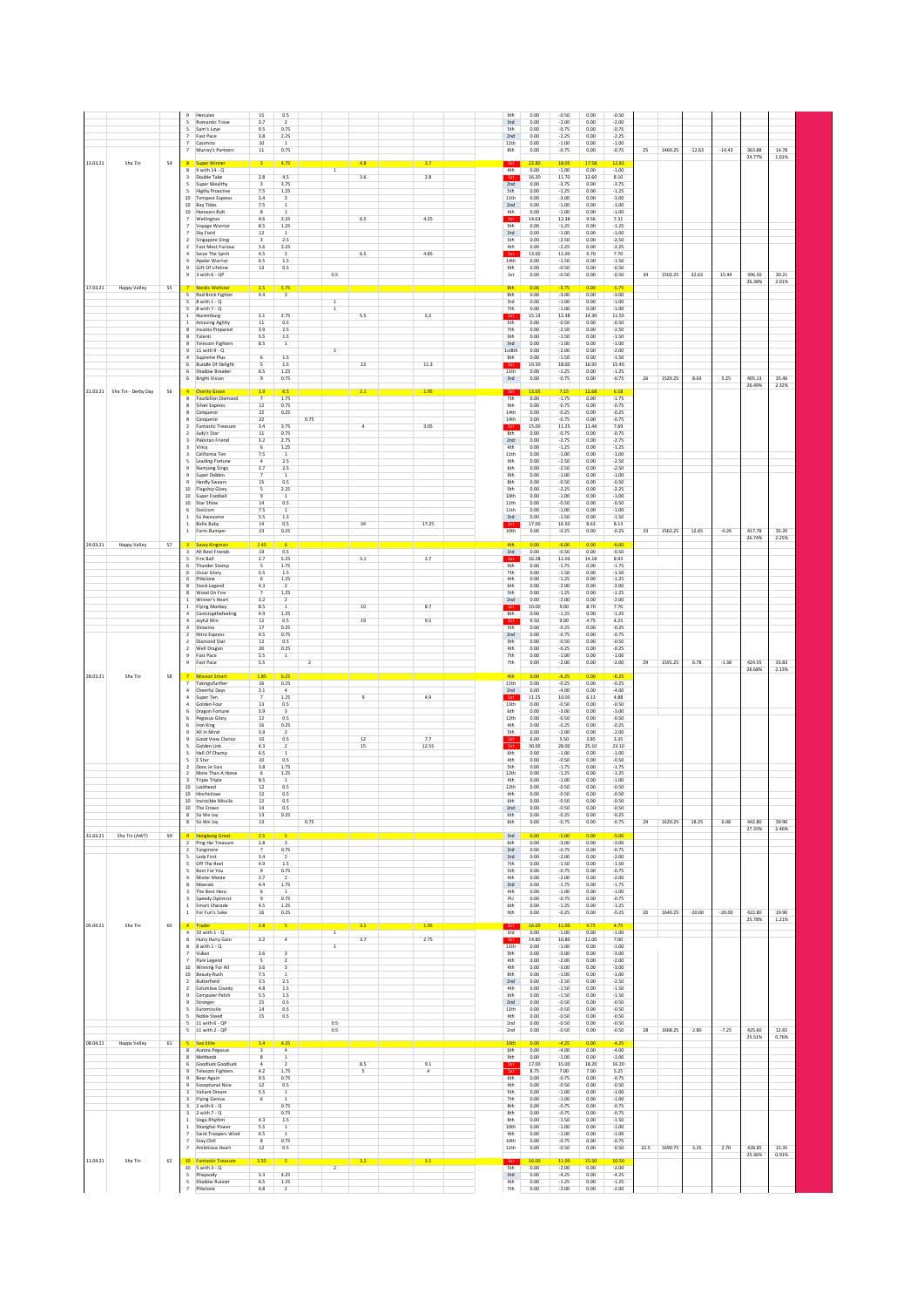|          |                              |        | $\overline{9}$                            | Hercules                                          | 15                              | 0.5                                       |                |                |                |                | 9th                     | 0.00          | $-0.50$            | 0.00          | $-0.50$            |    |              |          |          |                  |                |  |
|----------|------------------------------|--------|-------------------------------------------|---------------------------------------------------|---------------------------------|-------------------------------------------|----------------|----------------|----------------|----------------|-------------------------|---------------|--------------------|---------------|--------------------|----|--------------|----------|----------|------------------|----------------|--|
|          |                              |        | 5<br>5                                    | Romantic Trove<br>Sam's Love                      | 3.7<br>9.5                      | $\overline{2}$<br>0.75                    |                |                |                |                | 3rd<br>5 <sub>th</sub>  | 0.00<br>0.00  | $-2.00$<br>$-0.75$ | 0.00<br>0.00  | $-2.00$<br>$-0.75$ |    |              |          |          |                  |                |  |
|          |                              |        | $\overline{7}$                            | Fast Pace<br>Casimiro                             | 3.8<br>10                       | 2.25<br>$\mathbf{1}$                      |                |                |                |                | 2nd<br>11th             | 0.00<br>0.00  | $-2.25$<br>$-1.00$ | 0.00<br>0.00  | $-2.25$<br>$-1.00$ |    |              |          |          |                  |                |  |
|          |                              |        | $\overline{7}$                            | Murray's Partners                                 | $11\,$                          | 0.75                                      |                |                |                |                | 8th                     | 0.00          | $-0.75$            | 0.00          | $-0.75$            | 25 | 1469.25      | $-12.63$ | $-14.43$ | 363.88           | 14.78          |  |
| 13.03.21 | Sha Tin                      | 54     | 8                                         | Super Winner                                      |                                 | 4.75                                      |                |                | 4.8            | 3.7            | 1st                     | 22.80         | 18.05              | 17.58         | 12.83              |    |              |          |          | 24.77%           | 1.01%          |  |
|          |                              |        | 8<br>3                                    | 9 with 14 - Q<br>Double Take                      | 2.8                             | 4.5                                       |                | $\mathbf{1}$   | 3.6            | 2.8            | 4th<br>1st              | 0.00<br>16.20 | $-1.00$<br>11.70   | 0.00<br>12.60 | $-1.00$<br>8.10    |    |              |          |          |                  |                |  |
|          |                              |        |                                           | Super Wealthy                                     |                                 | 3.75                                      |                |                |                |                | 2nd                     | 0.00          | $-3.75$            | 0.00          | $-3.75$            |    |              |          |          |                  |                |  |
|          |                              |        | 10                                        | <b>Highly Proactive</b><br><b>Tempest Express</b> | 7.5<br>3.4                      | 1.25<br>3                                 |                |                |                |                | 5 <sub>th</sub><br>11th | 0.00<br>0.00  | $-1.25$<br>$-3.00$ | 0.00<br>0.00  | $-1.25$<br>$-3.00$ |    |              |          |          |                  |                |  |
|          |                              |        | 10                                        | 10 Bay Tibbs<br>Horseain Bolt                     | 7.5<br>8                        | $\mathbf{1}$                              |                |                |                |                | 2nd<br>4th              | 0.00<br>0.00  | $-1.00$<br>$-1.00$ | 0.00<br>0.00  | $-1.00$<br>$-1.00$ |    |              |          |          |                  |                |  |
|          |                              |        |                                           | Wellington                                        | 4.6                             | 2.25                                      |                |                | $6.5\,$        | 4.25           | 1st                     | 14.63         | 12.38              | 9.56          | 7.31               |    |              |          |          |                  |                |  |
|          |                              |        |                                           | Voyage Warrior<br>Sky Field                       | 8.5<br>$12\,$                   | $1.25\,$<br>$\overline{1}$                |                |                |                |                | 9th<br>3rd              | 0.00<br>0.00  | $-1.25$<br>$-1.00$ | 0.00<br>0.00  | $-1.25$<br>$-1.00$ |    |              |          |          |                  |                |  |
|          |                              |        | $\,$ 2 $\,$                               | Singapore Sling<br>Fast Most Furious              | $\overline{\mathbf{3}}$<br>3.6  | 2.5<br>2.25                               |                |                |                |                | <b>Sth</b><br>4th       | 0.00<br>0.00  | $-2.50$<br>$-2.25$ | 0.00<br>0.00  | $-2.50$<br>$-2.25$ |    |              |          |          |                  |                |  |
|          |                              |        |                                           | Seize The Spirit                                  | 4.5                             | $\overline{2}$                            |                |                | $6.5\,$        | 4.85           | 1st                     | 13.00         | 11.00              | 9.70          | 7.70               |    |              |          |          |                  |                |  |
|          |                              |        |                                           | Apolar Warrior<br>Gift Of Lifeline                | 6.5<br>13                       | 1.5<br>0.5                                |                |                |                |                | 14th<br>9th             | 0.00<br>0.00  | $-1.50$<br>$-0.50$ | 0.00<br>0.00  | $-1.50$<br>$-0.50$ |    |              |          |          |                  |                |  |
|          |                              |        | $\overline{9}$                            | $3$ with $6 - QP$                                 |                                 |                                           |                | 0.5            |                |                | 1st                     | 0.00          | $-0.50$            | 0.00          | $-0.50$            | 34 | 1503.25      | 32.63    | 15.44    | 396.50<br>26.38% | 30.21<br>2.01% |  |
| 17.03.21 | Happy Valley                 | 55     | 5                                         | <b>Nordic Wellstar</b>                            | 25<br>4.4                       | 5.75                                      |                |                |                |                | <b>RtH</b>              | 0.00          | $-5.75$<br>$-3.00$ | 0.00          | $-5.75$            |    |              |          |          |                  |                |  |
|          |                              |        | 5                                         | Red Brick Fighter<br>$8$ with $1 - Q$             |                                 | $\overline{\mathbf{3}}$                   |                | $\,$ 1         |                |                | 8th<br>3rd              | 0.00<br>0.00  | $-1.00$            | 0.00<br>0.00  | $-3.00$<br>$-1.00$ |    |              |          |          |                  |                |  |
|          |                              |        | $\overline{\phantom{a}}$<br>$\mathbf{1}$  | 8 with 7 - Q<br>Nuremburg                         | 3.1                             | 2.75                                      |                | $\,$ 1 $\,$    | 5.5            | 5.2            | 7th<br>1st              | 0.00<br>15.13 | $-1.00$<br>12.38   | 0.00<br>14.30 | $-1.00$<br>11.55   |    |              |          |          |                  |                |  |
|          |                              |        | $\overline{1}$                            | Amazing Agility                                   | 11                              | 0.5                                       |                |                |                |                | <b>Sth</b>              | 0.00          | $-0.50$            | 0.00          | $-0.50$            |    |              |          |          |                  |                |  |
|          |                              |        | 8<br>$\overline{\mathbf{g}}$              | <b>Incanto Prepared</b><br>Talenti                | 3.9<br>5.5                      | 2.5<br>$1.5\,$                            |                |                |                |                | 7th<br>9th              | 0.00<br>0.00  | $-2.50$<br>$-1.50$ | 0.00<br>0.00  | $-2.50$<br>$-1.50$ |    |              |          |          |                  |                |  |
|          |                              |        | 8<br>$\ddot{q}$                           | <b>Telecom Fighters</b><br>11 with $9 - Q$        | 8.5                             | $\,$ 1                                    |                | $\overline{2}$ |                |                | 3rd<br>1st8th           | 0.00<br>0.00  | $-1.00$<br>$-2.00$ | 0.00<br>0.00  | $-1.00$<br>$-2.00$ |    |              |          |          |                  |                |  |
|          |                              |        | $\Delta$                                  | Supreme Plus                                      | 6                               | 1.5                                       |                |                |                |                | 8th                     | 0.00          | $-1.50$            | 0.00          | $-1.50$            |    |              |          |          |                  |                |  |
|          |                              |        | 6<br>6                                    | <b>Bundle Of Delight</b><br>Shadow Breaker        | $\overline{\phantom{a}}$<br>6.5 | 1.5<br>1.25                               |                |                | $13\,$         | 11.3           | 1st<br>11th             | 19.50<br>0.00 | 18.00<br>$-1.25$   | 16.95<br>0.00 | 15.45<br>$-1.25$   |    |              |          |          |                  |                |  |
|          |                              |        | 6                                         | <b>Bright Vision</b>                              | $\mathsf g$                     | 0.75                                      |                |                |                |                | $3rd$                   | 0.00          | $-0.75$            | 0.00          | $-0.75$            | 26 | 1529.25      | 8.63     | 5.25     | 405.13<br>26.49% | 35.46<br>2.32% |  |
|          | 21.03.21 Sha Tin - Derby Day | 56     | 8                                         | <b>Charity Grace</b><br><b>Tourbillon Diamond</b> | 1.9<br>$\overline{z}$           | 6.5<br>1.75                               |                |                | 2.1            | 1.95           | 1st<br>7th              | 13.65<br>0.00 | 7.15<br>$-1.75$    | 12.68<br>0.00 | 6.18<br>$-1.75$    |    |              |          |          |                  |                |  |
|          |                              |        | 8                                         | Silver Express                                    | 12                              | 0.75                                      |                |                |                |                | 9th                     | 0.00          | $-0.75$            | 0.00          | $-0.75$            |    |              |          |          |                  |                |  |
|          |                              |        | 8<br>8                                    | Conqueror<br>Conqueror                            | 22<br>22                        | 0.25                                      | 0.75           |                |                |                | 14th<br>14th            | 0.00<br>0.00  | $-0.25$<br>$-0.75$ | 0.00<br>0.00  | $-0.25$<br>$-0.75$ |    |              |          |          |                  |                |  |
|          |                              |        | $\overline{2}$<br>$\overline{2}$          | <b>Fantastic Treasure</b><br>Judy's Star          | 3.4<br>11                       | 3.75<br>0.75                              |                |                | $\ddot{a}$     | 3.05           | 1st<br>8th              | 15.00<br>0.00 | 11.25<br>$-0.75$   | 11.44<br>0.00 | 7.69<br>$-0.75$    |    |              |          |          |                  |                |  |
|          |                              |        | 3                                         | Pakistan Friend                                   | 3.2                             | 2.75                                      |                |                |                |                | 2nd                     | 0.00          | $-2.75$            | 0.00          | $-2.75$            |    |              |          |          |                  |                |  |
|          |                              |        | $\overline{\mathbf{3}}$<br>3              | Vincy<br>California Ten                           | $\sqrt{6}$<br>7.5               | 1.25<br>1                                 |                |                |                |                | 4th<br>11th             | 0.00<br>0.00  | $-1.25$<br>$-1.00$ | 0.00<br>0.00  | $-1.25$<br>$-1.00$ |    |              |          |          |                  |                |  |
|          |                              |        | 5<br>9                                    | Leading Fortune<br>Namjong Sings                  | 4<br>3.7                        | 2.5<br>2.5                                |                |                |                |                | 9th<br>6th              | 0.00<br>0.00  | $-2.50$<br>$-2.50$ | 0.00<br>0.00  | $-2.50$<br>$-2.50$ |    |              |          |          |                  |                |  |
|          |                              |        | 9                                         | Super Dobbin                                      | $\overline{7}$                  | $\mathbf{1}$                              |                |                |                |                | 9th                     | 0.00          | $-1.00$            | 0.00          | $-1.00$            |    |              |          |          |                  |                |  |
|          |                              |        |                                           | <b>Hardly Swears</b><br>10 Flagship Glory         | 15<br>5                         | 0.5<br>2.25                               |                |                |                |                | 8th<br>9th              | 0.00<br>0.00  | $-0.50$<br>$-2.25$ | 0.00<br>0.00  | $-0.50$<br>$-2.25$ |    |              |          |          |                  |                |  |
|          |                              |        | 10                                        | Super Football<br>10 Star Shine                   | 9<br>14                         | 1<br>0.5                                  |                |                |                |                | 10th<br>11th            | 0.00<br>0.00  | $-1.00$<br>$-0.50$ | 0.00<br>0.00  | $-1.00$<br>$-0.50$ |    |              |          |          |                  |                |  |
|          |                              |        | 6                                         | Stoicism                                          | 7.5                             | 1                                         |                |                |                |                | 11th                    | 0.00          | $-1.00$            | 0.00          | $-1.00$            |    |              |          |          |                  |                |  |
|          |                              |        | $\mathbf{1}$<br>$\mathbf{1}$              | So Awesome<br>Bella Baby                          | 5.5<br>14                       | 1.5<br>0.5                                |                |                | 34             | 17.25          | 3rd<br>1st              | 0.00<br>17.00 | $-1.50$<br>16.50   | 0.00<br>8.63  | $-1.50$<br>8.13    |    |              |          |          |                  |                |  |
|          |                              |        | $\mathbf{1}$                              | Farm Bumper                                       | 23                              | 0.25                                      |                |                |                |                | 10th                    | 0.00          | $-0.25$            | 0.00          | $-0.25$            | 33 | 1562.25      | 12.65    | $-0.26$  | 417.78           | 35.20          |  |
| 24.03.21 | Happy Valley                 | 57     |                                           | Savvy Kingman                                     | 2.45                            |                                           |                |                |                |                | 4th                     | 0.00          | 6.00               | 0.00          | $-6.00$            |    |              |          |          | 26.74%           | 2.25%          |  |
|          |                              |        |                                           | All Best Friends<br>Fire Ball                     | 19<br>2.7                       | 0.5<br>5.25                               |                |                | $3.1\,$        | 2.7            | 3rd<br>1st              | 0.00<br>16.28 | $-0.50$<br>11.03   | 0.00<br>14.18 | $-0.50$<br>8.93    |    |              |          |          |                  |                |  |
|          |                              |        | 6                                         | Thunder Stomp<br>Oscar Glory                      | 5.5                             | 1.75<br>1.5                               |                |                |                |                | <b>9th</b><br>7th       | 0.00<br>0.00  | $-1.75$<br>$-1.50$ | 0.00<br>0.00  | $-1.75$<br>$-1.50$ |    |              |          |          |                  |                |  |
|          |                              |        | 6                                         | Plikclone                                         | 6                               | 1.25                                      |                |                |                |                | 4th                     | 0.00          | $-1.25$            | 0.00          | $-1.25$            |    |              |          |          |                  |                |  |
|          |                              |        | $\bf{8}$                                  | Stock Legend<br>Wood On Fire                      | 4.3                             | $\overline{2}$<br>1.25                    |                |                |                |                | 6th<br><b>Sth</b>       | 0.00<br>0.00  | $-2.00$<br>$-1.25$ | 0.00<br>0.00  | $-2.00$<br>$-1.25$ |    |              |          |          |                  |                |  |
|          |                              |        |                                           | Winner's Heart<br>Flying Monkey                   | 3.2<br>8.5                      | $\overline{2}$                            |                |                | $10\,$         | 8.7            | 2nd<br>1s               | 0.00<br>10.00 | $-2.00$<br>9.00    | 0.00<br>8.70  | $-2.00$<br>7.70    |    |              |          |          |                  |                |  |
|          |                              |        | $\overline{a}$<br>$\overline{a}$          | Cantstopthefeeling                                | 4.9                             | 1.25                                      |                |                |                |                | 8th                     | 0.00          | $-1.25$            | 0.00          | $-1.25$            |    |              |          |          |                  |                |  |
|          |                              |        | $\overline{a}$                            | Joyful Win<br>Showina                             | 12<br>17                        | 0.5<br>0.25                               |                |                | $19\,$         | 9.5            | 1st<br>Sth              | 9.50<br>0.00  | 9.00<br>$-0.25$    | 4.75<br>0.00  | 4.25<br>$-0.25$    |    |              |          |          |                  |                |  |
|          |                              |        | $\overline{ }$<br>$\overline{2}$          | Nitro Express<br>Diamond Star                     | 9.5<br>$12\,$                   | 0.75<br>0.5                               |                |                |                |                | 2nd<br>9th              | 0.00<br>0.00  | $-0.75$<br>$-0.50$ | 0.00<br>0.00  | $-0.75$<br>$-0.50$ |    |              |          |          |                  |                |  |
|          |                              |        | $\overline{2}$                            | Well Dragon                                       | 20                              | 0.25                                      |                |                |                |                | 4th                     | 0.00          | $-0.25$            | 0.00          | $-0.25$            |    |              |          |          |                  |                |  |
|          |                              |        |                                           |                                                   |                                 |                                           |                |                |                |                |                         |               |                    |               |                    |    |              |          |          |                  |                |  |
|          |                              |        | $\overline{9}$<br>$\overline{9}$          | Fast Pace<br>Fast Pace                            | 5.5<br>5.5                      | $\,$ 1 $\,$                               | $\overline{2}$ |                |                |                | 7th<br>7th              | 0.00<br>0.00  | $-1.00$<br>$-2.00$ | 0.00<br>0.00  | $-1.00$<br>$-2.00$ | 29 | 1591.25      | 6.78     | $-1.38$  | 424.55           | 33.83          |  |
| 28.03.21 | Sha Tin                      | 58     |                                           | <b>Mission Smart</b>                              | 1.85                            | 6.25                                      |                |                |                |                | 4th                     | 0.00          | $-6.25$            | 0.00          | $-6.25$            |    |              |          |          | 26.68%           | 2.13%          |  |
|          |                              |        | $\overline{7}$<br>$\sim$                  | Takingufurther<br>Cheerful Days                   | 16<br>3.1                       | 0.25<br>$\ddot{a}$                        |                |                |                |                | 11th                    | 0.00<br>0.00  | $-0.25$<br>$-4.00$ | 0.00<br>0.00  | $-0.25$<br>$-4.00$ |    |              |          |          |                  |                |  |
|          |                              |        | $\overline{4}$                            | Super Ten                                         | $\overline{7}$                  | 1.25                                      |                |                | $\overline{9}$ | 4.9            | 2nd<br>1st              | 11.25         | 10.00              | 6.13          | 4.88               |    |              |          |          |                  |                |  |
|          |                              |        | $\overline{4}$<br>6                       | Golden Four<br><b>Dragon Fortune</b>              | 13<br>3.9                       | 0.5<br>$\overline{\mathbf{3}}$            |                |                |                |                | 13th<br>6th             | 0.00<br>0.00  | $-0.50$<br>$-3.00$ | 0.00<br>0.00  | $-0.50$<br>$-3.00$ |    |              |          |          |                  |                |  |
|          |                              |        | 6<br>6                                    | Pegasus Glory<br>Iron King                        | 12<br>16                        | 0.5<br>0.25                               |                |                |                |                | 12th<br>4th             | 0.00<br>0.00  | $-0.50$<br>$-0.25$ | 0.00<br>0.00  | $-0.50$<br>$-0.25$ |    |              |          |          |                  |                |  |
|          |                              |        | $\overline{9}$                            | All In Mind                                       | 3.9                             | $\overline{2}$                            |                |                |                |                | <b>Sth</b>              | 0.00          | $-2.00$            | 0.00          | $-2.00$            |    |              |          |          |                  |                |  |
|          |                              |        | $\overline{9}$<br>-5                      | Good View Clarico<br>Golden Link                  | 10<br>4.3                       | 0.5<br>$\overline{2}$                     |                |                | 12<br>15       | 7.7<br>12.55   | 1st<br>1st              | 6.00<br>30.00 | 5.50<br>28.00      | 3.85<br>25.10 | 3.35<br>23.10      |    |              |          |          |                  |                |  |
|          |                              |        | 5<br>5                                    | Hall Of Champ<br>E Star                           | 6.5<br>10                       | $\mathbf{1}$<br>0.5                       |                |                |                |                | 6th<br>4th              | 0.00<br>0.00  | $-1.00$<br>$-0.50$ | 0.00<br>0.00  | $-1.00$<br>$-0.50$ |    |              |          |          |                  |                |  |
|          |                              |        | $\overline{2}$                            | Donc Je Suis                                      | 3.8                             | 1.75                                      |                |                |                |                | <b>Sth</b>              | 0.00          | $-1.75$            | 0.00          | $-1.75$            |    |              |          |          |                  |                |  |
|          |                              |        | $\overline{2}$<br>$\overline{\mathbf{3}}$ | More Than A Horse<br><b>Triple Triple</b>         | 6<br>8.5                        | 1.25<br>$\mathbf{1}$                      |                |                |                |                | 12th<br>4th             | 0.00<br>0.00  | $-1.25$<br>$-1.00$ | 0.00<br>0.00  | $-1.25$<br>$-1.00$ |    |              |          |          |                  |                |  |
|          |                              |        | 10                                        | 10 Lockheed<br>Hinchinlove                        | 12<br>12                        | 0.5<br>0.5                                |                |                |                |                | 12th<br>4th             | 0.00<br>0.00  | $-0.50$<br>$-0.50$ | 0.00<br>0.00  | $-0.50$<br>$-0.50$ |    |              |          |          |                  |                |  |
|          |                              |        |                                           | 10 Invincible Missile                             | 12                              | 0.5                                       |                |                |                |                | 6th                     | 0.00          | $-0.50$            | 0.00          | $-0.50$            |    |              |          |          |                  |                |  |
|          |                              |        |                                           | The Crown<br>8 So We Joy                          | 14<br>13                        | 0.25                                      |                |                |                |                | 2nd<br>6th              | 0.00<br>0.00  | -0.50<br>$-0.25$   | 0.00<br>0.00  | -0.50<br>$-0.25$   |    |              |          |          |                  |                |  |
|          |                              |        |                                           | 8 So We Joy                                       | 13                              |                                           | 0.75           |                |                |                | 6th                     | 0.00          | $-0.75$            | 0.00          | $-0.75$            | 29 | 1620.25      | 18.25    | 6.08     | 442.80<br>27.33% | 39.90<br>2.46% |  |
| 31.03.21 | Sha Tin (AWT)                | 59     |                                           | <b>Hongkong Great</b>                             | 2.5                             |                                           |                |                |                |                | 3rd                     | 0.00<br>0.00  | $-5.00$<br>$-3.00$ | 0.01          | $-5.00$            |    |              |          |          |                  |                |  |
|          |                              |        |                                           | Ping Hai Treasure<br>Tangmere                     | $2.8\,$<br>$\overline{7}$       | 0.75                                      |                |                |                |                | 6th<br>3rd              | 0.00          | $-0.75$            | 0.00<br>0.00  | $-3.00$<br>$-0.75$ |    |              |          |          |                  |                |  |
|          |                              |        | 5                                         | Lady First<br>Off The Reel                        | 3.4<br>4.9                      | $\overline{2}$<br>$1.5\,$                 |                |                |                |                | 3rd<br>7th              | 0.00<br>0.00  | $-2.00$<br>$-1.50$ | 0.00<br>0.00  | $-2.00$<br>$-1.50$ |    |              |          |          |                  |                |  |
|          |                              |        | 5                                         | Best For You                                      | $\overline{9}$                  | 0.75<br>$\overline{2}$                    |                |                |                |                | <b>Sth</b>              | 0.00          | $-0.75$            | 0.00          | $-0.75$            |    |              |          |          |                  |                |  |
|          |                              |        | $\bf{8}$                                  | Mister Monte<br>Moeraki                           | 3.7<br>4.4                      | 1.75                                      |                |                |                |                | 4th<br>3rd              | 0.00<br>0.00  | $-2.00$<br>$-1.75$ | 0.00<br>0.00  | $-2.00$<br>$-1.75$ |    |              |          |          |                  |                |  |
|          |                              |        | 3                                         | The Best Hero<br>Speedy Optimist                  | $\overline{6}$                  | $\,$ 1<br>0.75                            |                |                |                |                | 4th<br>PU               | 0.00<br>0.00  | $-1.00$<br>$-0.75$ | 0.00<br>0.00  | $-1.00$<br>$-0.75$ |    |              |          |          |                  |                |  |
|          |                              |        | $\,$ 1 $\,$<br>$1\,$                      | Smart Charade                                     | 4.5<br>16                       | 1.25<br>0.25                              |                |                |                |                | 6th<br>9 <sub>th</sub>  | 0.00<br>0.00  | $-1.25$<br>$-0.25$ | 0.00<br>0.00  | $-1.25$            | 20 |              | $-20.00$ | $-20.00$ | 422.80           | 19.90          |  |
|          |                              |        | $\Delta$                                  | For Fun's Sake<br>Trader                          | 2.8                             |                                           |                |                |                |                |                         | 16.00         | 11.00              | 9.7           | $-0.25$<br>4.75    |    | 1640.25      |          |          | 25.78%           | 1.21%          |  |
| 05.04.21 | Sha Tin                      | 60     |                                           | $4 - 10$ with $1 - Q$                             |                                 | 5                                         |                | $\overline{1}$ | 3.2            | 1.95           | 1st<br>3rd              | 0.00          | $-1.00$            | 0.00          | $-1.00$            |    |              |          |          |                  |                |  |
|          |                              |        | $\mathbf{R}$<br>$\mathbf{R}$              | Hurry Hurry Gain<br>8 with $1 - Q$                | 3.2                             | $\overline{a}$                            |                | $\overline{1}$ | 3.7            | 2.75           | 1st<br>11th             | 14.80<br>0.00 | 10.80<br>$-1.00$   | 11.00<br>0.00 | 7.00<br>$-1.00$    |    |              |          |          |                  |                |  |
|          |                              |        | $\overline{7}$<br>$\overline{7}$          | Vukan                                             | 3.6<br>5                        | $\overline{\mathbf{3}}$<br>$\overline{2}$ |                |                |                |                | 9th<br>4th              | 0.00<br>0.00  | $-3.00$<br>$-2.00$ | 0.00<br>0.00  | $-3.00$            |    |              |          |          |                  |                |  |
|          |                              |        |                                           | Pure Legend<br>10 Winning For All                 | 3.6                             | 3<br>$\mathbf{1}$                         |                |                |                |                | 4th                     | 0.00          | $-3.00$            | 0.00          | $-2.00$<br>$-3.00$ |    |              |          |          |                  |                |  |
|          |                              |        | $10$<br>$\overline{2}$                    | Beauty Rush<br>Butterfield                        | 7.5<br>3.5                      | 2.5                                       |                |                |                |                | 8th<br>2nd              | 0.00<br>0.00  | $-1.00$<br>$-2.50$ | 0.00<br>0.00  | $-1.00$<br>$-2.50$ |    |              |          |          |                  |                |  |
|          |                              |        | $\overline{2}$<br>$\overline{9}$          | Columbus County<br>Computer Patch                 | 4.8<br>5.5                      | 1.5<br>$1.5\,$                            |                |                |                |                | 4th<br>6th              | 0.00<br>0.00  | $-1.50$<br>$-1.50$ | 0.00<br>0.00  | $-1.50$<br>$-1.50$ |    |              |          |          |                  |                |  |
|          |                              |        | $\overline{9}$<br>5                       | Stronger<br>Euromissile                           | $15\,$<br>14                    | 0.5<br>0.5                                |                |                |                |                | 2nd<br>11th             | 0.00<br>0.00  | $-0.50$<br>$-0.50$ | 0.00<br>0.00  | $-0.50$<br>$-0.50$ |    |              |          |          |                  |                |  |
|          |                              |        | 5                                         | Noble Steed                                       | 15                              | 0.5                                       |                |                |                |                | 4th                     | 0.00          | $-0.50$            | 0.00          | $-0.50$            |    |              |          |          |                  |                |  |
|          |                              |        | 5                                         | 11 with 6 - OP<br>5 11 with 2 - QP                |                                 |                                           |                | 0.5<br>0.5     |                |                | 2nd<br>2nd              | 0.00<br>0.00  | $-0.50$<br>$-0.50$ | 0.00<br>0.00  | $-0.50$<br>$-0.50$ | 28 | 1668.25      | 2.80     | $-7.25$  | 425.60           | 12.65          |  |
| 08.04.21 | Happy Valley                 | $61\,$ | -51                                       | Sea Elite                                         | 3.4                             | 4.25                                      |                |                |                |                | 10th                    | 0.00          | $-4.25$            | 0.00          | $-4.25$            |    |              |          |          | 25.51%           | 0.76%          |  |
|          |                              |        | 8<br>8                                    | Aurora Pegasus<br>Mehboob                         | 3<br>8                          | $\sqrt{4}$<br>$\,$ 1 $\,$                 |                |                |                |                | 6th<br>9th              | 0.00<br>0.00  | $-4.00$<br>$-1.00$ | 0.00<br>0.00  | $-4.00$<br>$-1.00$ |    |              |          |          |                  |                |  |
|          |                              |        | 6<br>$\overline{9}$                       | Goodluck Goodluck                                 | 4                               | $\overline{2}$                            |                |                | 8.5            | 9.1            | 1st<br>$\overline{1s}$  | 17.00         | 15.00              | 18.20         | 16.20              |    |              |          |          |                  |                |  |
|          |                              |        | 9                                         | <b>Telecom Fighters</b><br>Bear Again             | 4.2<br>9.5                      | 1.75<br>0.75                              |                |                | $\sf S$        | $\overline{a}$ | 6th                     | 8.75<br>0.00  | 7.00<br>$-0.75$    | 7.00<br>0.00  | 5.25<br>$-0.75$    |    |              |          |          |                  |                |  |
|          |                              |        | $\overline{9}$<br>3                       | <b>Exceptional Nice</b><br>Valiant Dream          | $12\,$<br>5.5                   | 0.5<br>1                                  |                |                |                |                | 4th<br><b>Sth</b>       | 0.00<br>0.00  | $-0.50$<br>$-1.00$ | 0.00<br>0.00  | $-0.50$<br>$-1.00$ |    |              |          |          |                  |                |  |
|          |                              |        | 3                                         | <b>Flying Genius</b>                              | 6                               | $\,$ 1 $\,$                               |                |                |                |                | 7th                     | 0.00          | $-1.00$            | 0.00          | $-1.00$            |    |              |          |          |                  |                |  |
|          |                              |        | $\overline{\mathbf{3}}$                   | $2$ with $6 - Q$<br>2 with 7 - Q                  |                                 | 0.75<br>0.75                              |                |                |                |                | 8th<br>8th              | 0.00<br>0.00  | $-0.75$<br>$-0.75$ | 0.00<br>0.00  | $-0.75$<br>$-0.75$ |    |              |          |          |                  |                |  |
|          |                              |        | $\mathbf{1}$<br>$\mathbf{1}$              | Vega Rhythm<br>Shanghai Power                     | 4.3<br>5.5                      | 1.5<br>1                                  |                |                |                |                | 8th<br>10th             | 0.00<br>0.00  | $-1.50$<br>$-1.00$ | 0.00<br>0.00  | $-1.50$<br>$-1.00$ |    |              |          |          |                  |                |  |
|          |                              |        | $\overline{7}$                            | Swot Troopers Wind<br>Stay Chill                  | 6.5<br>8                        | $\mathbf{1}$<br>0.75                      |                |                |                |                | 4th<br>10th             | 0.00<br>0.00  | $-1.00$<br>$-0.75$ | 0.00<br>0.00  | $-1.00$<br>$-0.75$ |    |              |          |          |                  |                |  |
|          |                              |        | 7                                         | Ambitious Heart                                   | $12\,$                          | 0.5                                       |                |                |                |                | 11th                    | 0.00          | $-0.50$            | 0.00          | $-0.50$            |    | 22.5 1690.75 | 3.25     | 2.70     | 428.85           | 15.35          |  |
| 11.04.21 | Sha Tin                      | 62     | 10 <sub>1</sub>                           | <b>Fantastic Treasure</b>                         | 2.55                            |                                           |                |                | $3.2$ $3.1$    |                | 1st                     | 16.00         | 11.00              | 15.50         | 10.50              |    |              |          |          | 25.36%           | 0.91%          |  |
|          |                              |        | 5                                         | $10$ 5 with $3 - Q$<br>Rhapsody                   | 3.3                             | 4.25                                      |                |                |                |                | Sth<br>$3rd$            | 0.00<br>0.00  | $-2.00$<br>$-4.25$ | 0.00<br>0.00  | $-2.00$<br>$-4.25$ |    |              |          |          |                  |                |  |
|          |                              |        | 5                                         | Shadow Runner<br>Plikclone                        | 6.5<br>$4.8\,$                  | 1.25<br>$\overline{2}$                    |                |                |                |                | 4th<br>$7\mathrm{th}$   | 0.00<br>0.00  | $-1.25$<br>$-2.00$ | 0.00<br>0.00  | $-1.25$<br>$-2.00$ |    |              |          |          |                  |                |  |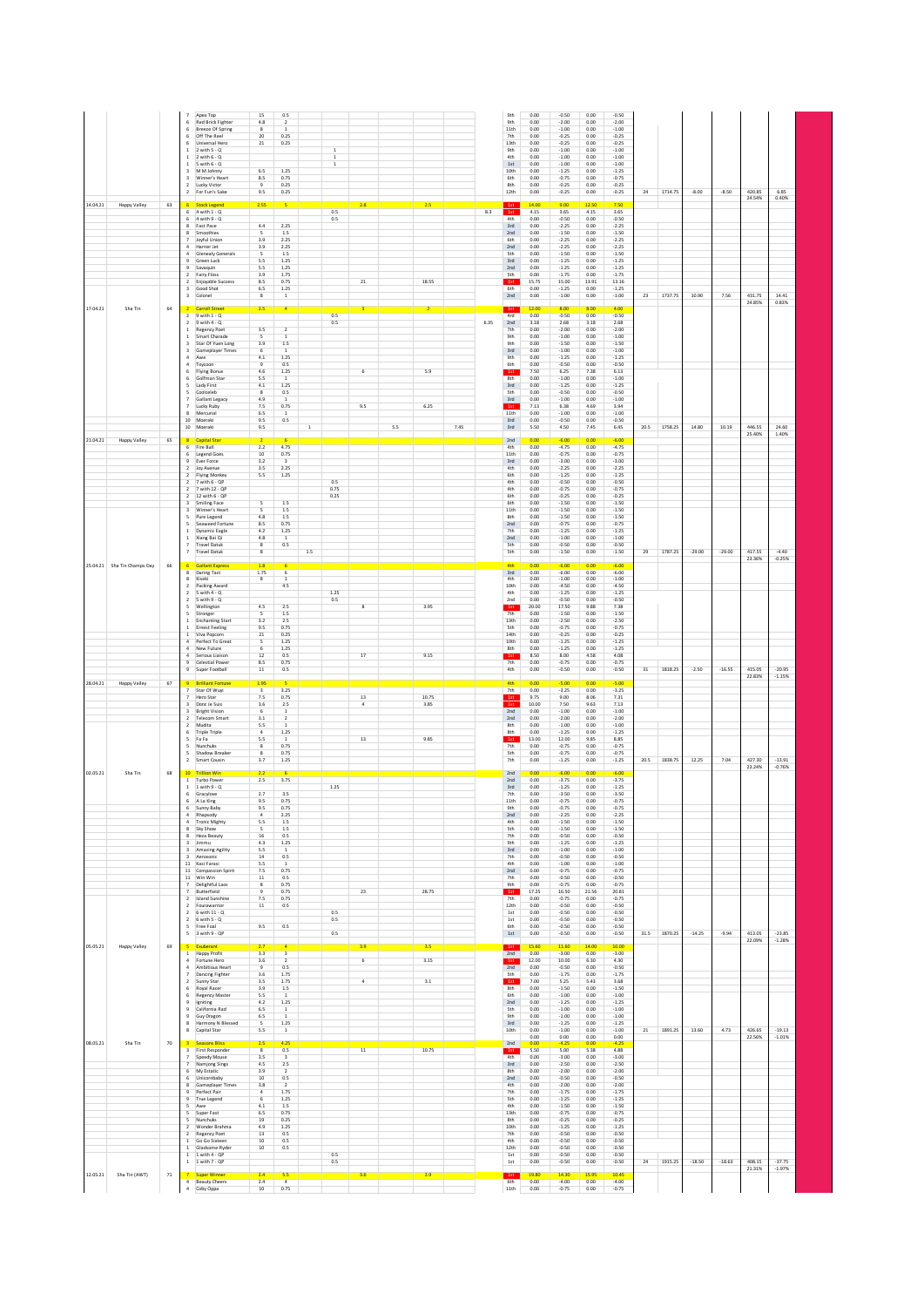|                             |        |   | 6                                         | Apex Top<br><b>Red Brick Fighter</b>             | $15\,$<br>4.8                  | 0.5<br>$\overline{2}$                     |             |                            |                  |     |                |      |         | 9th<br>9th              | 0.00<br>0.00  | $-0.50$<br>$-2.00$ | 0.00<br>0.00  | $-0.50$<br>$-2.00$ |        |         |          |          |                  |                      |
|-----------------------------|--------|---|-------------------------------------------|--------------------------------------------------|--------------------------------|-------------------------------------------|-------------|----------------------------|------------------|-----|----------------|------|---------|-------------------------|---------------|--------------------|---------------|--------------------|--------|---------|----------|----------|------------------|----------------------|
|                             |        |   |                                           | <b>Breeze Of Spring</b><br>Off The Reel          | $\bf{8}$<br>20                 | $\overline{1}$<br>0.25                    |             |                            |                  |     |                |      |         | 11th<br>7th             | 0.00<br>0.00  | $-1.00$<br>$-0.25$ | 0.00<br>0.00  | $-1.00$<br>$-0.25$ |        |         |          |          |                  |                      |
|                             |        |   | $\,$ 1                                    | Universal Hero<br>$2$ with $5 - Q$               | $2\mathbf{1}$                  | 0.25                                      |             | $\overline{1}$             |                  |     |                |      |         | 13th<br>9th             | 0.00<br>0.00  | $-0.25$<br>$-1.00$ | 0.00<br>0.00  | $-0.25$<br>$-1.00$ |        |         |          |          |                  |                      |
|                             |        |   | $\,1\,$<br>$\,$ 1 $\,$                    | 2 with $6 - Q$<br>5 with $6 - Q$                 |                                |                                           |             | $\,$ 1 $\,$<br>$\,$ 1 $\,$ |                  |     |                |      |         | 4th<br>$1\mathrm{st}$   | 0.00<br>0.00  | $-1.00$<br>$-1.00$ | 0.00<br>0.00  | $-1.00$<br>$-1.00$ |        |         |          |          |                  |                      |
|                             |        |   |                                           | M M Johnny<br>Winner's Heart                     | 6.5<br>$8.5\,$                 | 1.25<br>0.75                              |             |                            |                  |     |                |      |         | 10 <sub>th</sub><br>6th | 0.00<br>0.00  | $-1.25$<br>$-0.75$ | 0.00<br>0.00  | $-1.25$<br>$-0.75$ |        |         |          |          |                  |                      |
|                             |        |   | $\overline{2}$<br>$\overline{2}$          | Lucky Victor<br>For Fun's Sake                   | $\overline{9}$<br>9.5          | 0.25<br>0.25                              |             |                            |                  |     |                |      |         | 8th<br>12th             | 0.00<br>0.00  | $-0.25$<br>$-0.25$ | 0.00<br>0.00  | $-0.25$<br>$-0.25$ | 24     | 1714.75 | $-8.00$  | $-8.50$  | 420.85           | 6.85                 |
| 14.04.21<br>Happy Valley    | 63     |   | 6                                         | <b>Stock Legend</b>                              | 2.55                           | 5                                         |             |                            | 2.8              |     | 2.5            |      |         |                         | 14.00         | 9.00               | 12.50         | 7.50               |        |         |          |          | 24.54%           | 0.40%                |
|                             |        |   | 6<br>6                                    | $4$ with $1 - Q$<br>4 with 9 - 0                 |                                |                                           |             | $0.5\,$<br>0.5             |                  |     |                |      | $8.3\,$ | 1st<br>4th              | 4.15<br>0.00  | 3.65<br>$-0.50$    | 4.15<br>0.00  | 3.65<br>$-0.50$    |        |         |          |          |                  |                      |
|                             |        |   | 8<br>8                                    | Fast Pace<br>Smoothies                           | 4.4<br>-5                      | 2.25<br>1.5                               |             |                            |                  |     |                |      |         | 3rd<br>2nd              | 0.00<br>0.00  | $-2.25$<br>$-1.50$ | 0.00<br>0.00  | $-2.25$<br>$-1.50$ |        |         |          |          |                  |                      |
|                             |        |   | $\overline{7}$<br>$\overline{4}$          | Joyful Union<br>Harrier Jet                      | 3.9<br>3.9                     | 2.25<br>2.25                              |             |                            |                  |     |                |      |         | 6th<br>2nd              | 0.00<br>0.00  | $-2.25$<br>$-2.25$ | 0.00<br>0.00  | $-2.25$<br>$-2.25$ |        |         |          |          |                  |                      |
|                             |        |   | $\ddot{a}$<br>$\mathsf q$                 | Glenealy Generals<br>Green Luck                  | 5<br>5.5                       | 1.5<br>1.25                               |             |                            |                  |     |                |      |         | <b>Sth</b><br>3rd       | 0.00<br>0.00  | $-1.50$<br>$-1.25$ | 0.00<br>0.00  | $-1.50$<br>$-1.25$ |        |         |          |          |                  |                      |
|                             |        |   | $\mathbf{Q}$                              | Savaguin<br>2 Fairy Floss                        | 5.5<br>3.9                     | 1.25<br>1.75                              |             |                            |                  |     |                |      |         | 2nd<br><b>Sth</b>       | 0.00<br>0.00  | $-1.25$<br>$-1.75$ | 0.00<br>0.00  | $-1.25$<br>$-1.75$ |        |         |          |          |                  |                      |
|                             |        |   | $\overline{2}$                            | Enjoyable Success                                | 8.5                            | 0.75                                      |             |                            | 21               |     | 18.55          |      |         | 1st                     | 15.75         | 15.00              | 13.91         | 13.16              |        |         |          |          |                  |                      |
|                             |        |   |                                           | 3 Good Shot<br>3 Colonel                         | 6.5<br>8                       | 1.25<br>$\,$ 1                            |             |                            |                  |     |                |      |         | 6th<br>2nd              | 0.00<br>0.00  | $-1.25$<br>$-1.00$ | 0.00<br>0.00  | $-1.25$<br>$-1.00$ | 23     | 1737.75 | 10.90    | 7.56     | 431.75           | 14.41                |
| 17.04.21<br>Sha Tin         | 64     |   |                                           | <b>Carroll Street</b>                            | 2.5                            | $\overline{4}$                            |             |                            | 3                |     | $\overline{2}$ |      |         | 1st                     | 12.00         | 8.00               | 8.00          | 4.00               |        |         |          |          | 24.85%           | 0.83%                |
|                             |        |   | $\overline{2}$<br>$\overline{2}$          | $9$ with $1 - Q$<br>$9$ with $4 - Q$             |                                |                                           |             | 0.5<br>0.5                 |                  |     |                |      | 6.35    | 4rd<br>2nd              | 0.00<br>3.18  | $-0.50$<br>2.68    | 0.00<br>3.18  | $-0.50$<br>2.68    |        |         |          |          |                  |                      |
|                             |        |   | 1<br>1                                    | <b>Regency Poet</b><br>Smart Charade             | 3.5<br>5                       | $\overline{2}$<br>$\mathbf{1}$            |             |                            |                  |     |                |      |         | 7th<br>9th              | 0.00<br>0.00  | $-2.00$<br>$-1.00$ | 0.00<br>0.00  | $-2.00$<br>$-1.00$ |        |         |          |          |                  |                      |
|                             |        |   | 3<br>3                                    | Star Of Yuen Long<br>Gameplayer Times            | 3.9<br>6                       | 1.5<br><sup>1</sup>                       |             |                            |                  |     |                |      |         | 9th<br>3rd              | 0.00<br>0.00  | $-1.50$<br>$-1.00$ | 0.00<br>0.00  | $-1.50$<br>$-1.00$ |        |         |          |          |                  |                      |
|                             |        |   | 4 Awe                                     | 4 Toycoon                                        | 4.1<br>9                       | 1.25<br>0.5                               |             |                            |                  |     |                |      |         | 9th<br>6th              | 0.00<br>0.00  | $-1.25$<br>$-0.50$ | 0.00<br>0.00  | $-1.25$<br>$-0.50$ |        |         |          |          |                  |                      |
|                             |        |   | 6<br>6                                    | <b>Flying Bonus</b><br>Golfman Star              | 4.6<br>5.5                     | 1.25<br>1                                 |             |                            | $\,$ 6 $\,$      |     | 5.9            |      |         | 1st<br>8th              | 7.50<br>0.00  | 6.25<br>$-1.00$    | 7.38<br>0.00  | 6.13<br>$-1.00$    |        |         |          |          |                  |                      |
|                             |        |   | 5                                         | 5 Lady First<br>Coolceleb                        | 4.1<br>8                       | 1.25<br>0.5                               |             |                            |                  |     |                |      |         | 3rd<br><b>Sth</b>       | 0.00<br>0.00  | $-1.25$<br>$-0.50$ | 0.00<br>0.00  | $-1.25$<br>$-0.50$ |        |         |          |          |                  |                      |
|                             |        |   |                                           | Gallant Legacy                                   | 4.9<br>7.5                     | -1<br>0.75                                |             |                            | 9.5              |     | 6.25           |      |         | 3rd                     | 0.00<br>7.13  | $-1.00$<br>6.38    | 0.00<br>4.69  | $-1.00$<br>3.94    |        |         |          |          |                  |                      |
|                             |        |   |                                           | Lucky Ruby<br>Mercurial                          | 6.5                            |                                           |             |                            |                  |     |                |      |         | 1st<br>11th             | 0.00          | $-1.00$            | 0.00          | $-1.00$            |        |         |          |          |                  |                      |
|                             |        |   |                                           | 10 Moeraki<br>10 Moeraki                         | 9.5<br>9.5                     | 0.5                                       | $\,$ 1 $\,$ |                            |                  | 5.5 |                | 7.45 |         | 3rd<br>$3rd$            | 0.00<br>5.50  | $-0.50$<br>4.50    | 0.00<br>7.45  | $-0.50$<br>6.45    | 20.5   | 1758.25 | 14.80    | 10.19    | 446.55           | 24.60                |
| 21.04.21<br>Happy Valley    | 65     |   | $\overline{6}$                            | <b>Capital Star</b>                              | 2.2                            | 4.75                                      |             |                            |                  |     |                |      |         | 2nd<br>4th              | 0.00<br>0.00  | $-6.00$<br>$-4.75$ | n on          | $-6.00$            |        |         |          |          | 25.40%           | 1.40%                |
|                             |        |   | 6                                         | Fire Ball<br><b>Legend Goes</b>                  | 10                             | 0.75                                      |             |                            |                  |     |                |      |         | 11th                    | 0.00          | $-0.75$            | 0.00<br>0.00  | $-4.75$<br>$-0.75$ |        |         |          |          |                  |                      |
|                             |        |   | $\mathsf q$<br>$\overline{2}$             | Ever Force<br>Joy Avenue                         | 3.2<br>3.5                     | $\overline{a}$<br>2.25                    |             |                            |                  |     |                |      |         | $3rd$<br>4th            | 0.00<br>0.00  | $-3.00$<br>$-2.25$ | 0.00<br>0.00  | $-3.00$<br>$-2.25$ |        |         |          |          |                  |                      |
|                             |        |   | $\overline{2}$<br>$\overline{ }$          | Flying Monkey<br>7 with 6 - QP                   | 5.5                            | 1.25                                      |             | 0.5                        |                  |     |                |      |         | 6th<br>4th              | 0.00<br>0.00  | $-1.25$<br>$-0.50$ | 0.00<br>0.00  | $-1.25$<br>$-0.50$ |        |         |          |          |                  |                      |
|                             |        |   | $\overline{2}$                            | 7 with 12 - OP<br>2 12 with 6 - QP               |                                |                                           |             | 0.75<br>0.25               |                  |     |                |      |         | 4th<br>6th              | 0.00<br>0.00  | $-0.75$<br>$-0.25$ | 0.00<br>0.00  | $-0.75$<br>$-0.25$ |        |         |          |          |                  |                      |
|                             |        |   | $\overline{3}$<br>$\overline{\mathbf{3}}$ | <b>Smiling Face</b><br>Winner's Heart            | $\overline{\mathbf{S}}$<br>5   | $1.5\,$<br>$1.5\,$                        |             |                            |                  |     |                |      |         | 6th<br>11th             | 0.00<br>0.00  | $-1.50$<br>$-1.50$ | 0.00<br>0.00  | $-1.50$<br>$-1.50$ |        |         |          |          |                  |                      |
|                             |        |   | 5<br>$\leq$                               | Pure Legend<br>Seaweed Fortune                   | 4.8<br>8.5                     | 1.5<br>0.75                               |             |                            |                  |     |                |      |         | 8th<br>2nd              | 0.00<br>0.00  | $-1.50$<br>$-0.75$ | 0.00<br>0.00  | $-1.50$<br>$-0.75$ |        |         |          |          |                  |                      |
|                             |        |   | $\mathbf{1}$<br>$\mathbf{1}$              | Dynamic Eagle<br>Xiang Bai Qi                    | 4.2<br>4.8                     | 1.25<br>$\mathbf{1}$                      |             |                            |                  |     |                |      |         | 7th<br>2nd              | 0.00<br>0.00  | $-1.25$<br>$-1.00$ | 0.00<br>0.00  | $-1.25$<br>$-1.00$ |        |         |          |          |                  |                      |
|                             |        |   | $\overline{7}$                            | <b>Travel Datuk</b>                              | $\bf{8}$                       | 0.5                                       |             |                            |                  |     |                |      |         | <b>Sth</b>              | 0.00          | $-0.50$            | 0.00          | $-0.50$            |        |         |          |          |                  | $-4.40$              |
|                             |        |   | $\overline{7}$                            | <b>Travel Datuk</b>                              | 8                              |                                           | 1.5         |                            |                  |     |                |      |         | <b>Sth</b>              | 0.00          | $-1.50$            | 0.00          | $-1.50$            | 29     | 1787.25 | $-29.00$ | $-29.00$ | 417.55<br>23.36% | $-0.25%$             |
| 25.04.21 Sha Tin Champs Day | 66     |   | 8                                         | <b>Gallant Expres</b><br>Daring Tact             | 1.8<br>1.75                    | 6                                         |             |                            |                  |     |                |      |         | <b>4th</b><br>3rd       | 0.00<br>0.00  | $-6.00$<br>$-6.00$ | 0.00<br>0.00  | $-6.00$<br>$-6.00$ |        |         |          |          |                  |                      |
|                             |        |   | 8<br>$\overline{2}$                       | Kiseki<br>Packing Award                          | 8                              | $\mathbf{1}$<br>4.5                       |             |                            |                  |     |                |      |         | 4th<br>10th             | 0.00<br>0.00  | $-1.00$<br>$-4.50$ | 0.00<br>0.00  | $-1.00$<br>$-4.50$ |        |         |          |          |                  |                      |
|                             |        |   | $\overline{2}$<br>$\overline{2}$          | $5$ with $4 - 0$<br>5 with 9 - 0                 |                                |                                           |             | 1.25<br>0.5                |                  |     |                |      |         | 4th<br>2nd              | 0.00<br>0.00  | $-1.25$<br>$-0.50$ | 0.00<br>0.00  | $-1.25$<br>$-0.50$ |        |         |          |          |                  |                      |
|                             |        |   | 5<br>5                                    | Wellington<br>Stronger                           | 4.5<br>5                       | 2.5<br>1.5                                |             |                            | $\boldsymbol{8}$ |     | 3.95           |      |         | 1st<br>7th              | 20.00<br>0.00 | 17.50<br>$-1.50$   | 9.88<br>0.00  | 7.38<br>$-1.50$    |        |         |          |          |                  |                      |
|                             |        |   | 1<br>1                                    | <b>Enchanting Start</b><br><b>Ernest Feeling</b> | 3.2<br>9.5                     | 2.5<br>0.75                               |             |                            |                  |     |                |      |         | 13th<br>5th             | 0.00<br>0.00  | $-2.50$<br>$-0.75$ | 0.00<br>0.00  | $-2.50$<br>$-0.75$ |        |         |          |          |                  |                      |
|                             |        |   | 1<br>$\overline{4}$                       | Viva Popcorn<br>Perfect To Great                 | 21<br>5                        | 0.25<br>1.25                              |             |                            |                  |     |                |      |         | 14th<br>10th            | 0.00<br>0.00  | $-0.25$<br>$-1.25$ | 0.00<br>0.00  | $-0.25$<br>$-1.25$ |        |         |          |          |                  |                      |
|                             |        |   | 4                                         | New Future                                       | 6                              | 1.25                                      |             |                            |                  |     |                |      |         | 8th                     | 0.00          | $-1.25$            | 0.00          | $-1.25$            |        |         |          |          |                  |                      |
|                             |        |   | $\overline{4}$<br>9                       | Serious Liaison<br>Celestial Power               | 12<br>8.5                      | 0.5<br>0.75                               |             |                            | $17\,$           |     | 9.15           |      |         | 1st<br>7th              | 8.50<br>0.00  | 8.00<br>$-0.75$    | 4.58<br>0.00  | 4.08<br>$-0.75$    |        |         |          |          |                  |                      |
|                             |        |   | $\overline{9}$                            | Super Football                                   | 11                             | 0.5                                       |             |                            |                  |     |                |      |         | 4th                     | 0.00          | $-0.50$            | 0.00          | $-0.50$            | 31     | 1818.25 | $-2.50$  | $-16.55$ | 415.05<br>22.83% | $-20.95$<br>$-1.15%$ |
| 28.04.21<br>Happy Valley    | 67     |   |                                           | <b>Brilliant Fortun</b><br>Star Of Wuyi          | 1.95<br>$\,$ 3                 | 3.25                                      |             |                            |                  |     |                |      |         | 4th<br>7th              | 0.00<br>0.00  | $-5.00$<br>$-3.25$ | 0.00<br>0.00  | $-5.00$<br>$-3.25$ |        |         |          |          |                  |                      |
|                             |        |   |                                           | Hero Star<br>Donc Je Suis                        | 7.5<br>3.6                     | 0.75<br>$2.5\,$                           |             |                            | $13\,$           |     | 10.75<br>3.85  |      |         | 1st<br>1st              | 9.75<br>10.00 | 9.00<br>7.50       | 8.06<br>9.63  | 7.31<br>7.13       |        |         |          |          |                  |                      |
|                             |        |   | $\overline{\mathbf{3}}$<br>$\overline{2}$ | <b>Bright Vision</b><br><b>Telecom Smart</b>     | 6<br>3.1                       | $\overline{1}$<br>$\overline{2}$          |             |                            |                  |     |                |      |         | 2nd<br>2nd              | 0.00<br>0.00  | $-1.00$<br>$-2.00$ | 0.00<br>0.00  | $-1.00$<br>$-2.00$ |        |         |          |          |                  |                      |
|                             |        |   | $\overline{2}$<br>6                       | Mudita<br><b>Triple Triple</b>                   | 5.5<br>$\overline{4}$          | $\overline{1}$<br>1.25                    |             |                            |                  |     |                |      |         | 8th<br>8th              | 0.00<br>0.00  | $-1.00$<br>$-1.25$ | 0.00<br>0.00  | $-1.00$<br>$-1.25$ |        |         |          |          |                  |                      |
|                             |        |   | 5                                         | Fa Fa<br>Nunchuk                                 | 5.5<br>$\bf{8}$                | $\,$ 1<br>0.75                            |             |                            | $13\,$           |     | 9.85           |      |         | 1st<br>7th              | 13.00<br>0.00 | 12.00<br>$-0.75$   | 9.85<br>0.00  | 8.85<br>$-0.75$    |        |         |          |          |                  |                      |
|                             |        |   | $\,$ 2 $\,$                               | Shadow Breake<br>Smart Cousin                    | $\overline{\mathbf{8}}$<br>3.7 | 0.75<br>1.25                              |             |                            |                  |     |                |      |         | <b>Sth</b><br>$7th$     | 0.00<br>0.00  | $-0.75$<br>$-1.25$ | 0.00<br>0.00  | $-0.75$<br>$-1.25$ | 20.5   | 1838.75 | 12.25    | 7.04     | 427.30           | $-13.91$             |
| 02.05.21<br>Sha Tin         | 68     |   | 10 <sup>°</sup>                           | <b>Trillion Win</b>                              |                                |                                           |             |                            |                  |     |                |      |         | 2nd                     | 0.00          | $-6.00$            | nm            | $-600$             |        |         |          |          | 23.24%           | $-0.76%$             |
|                             |        |   |                                           | 1 Turbo Power<br>$1$ 1 with $9 - 0$              | 2.5                            | 3.75                                      |             | 1.25                       |                  |     |                |      |         | 2nd                     | 0.00          |                    | 0.00          | $-3.75$            |        |         |          |          |                  |                      |
|                             |        |   |                                           | Gracylove<br>A La King                           | 2.7                            |                                           |             |                            |                  |     |                |      |         |                         | 0.00          | $-3.75$<br>$-1.25$ | 0.00          | $-1.25$            |        |         |          |          |                  |                      |
|                             |        | 6 | 6                                         |                                                  |                                | 3.5<br>0.75                               |             |                            |                  |     |                |      |         | $3rd$<br>7th<br>11th    | 0.00<br>0.00  | $-3.50$<br>$-0.75$ | 0.00          | $-3.50$            |        |         |          |          |                  |                      |
|                             |        |   |                                           | Sunny Baby                                       | 9.5<br>9.5                     | 0.75                                      |             |                            |                  |     |                |      |         | 9th                     | 0.00          | $-0.75$            | 0.00<br>0.00  | $-0.75$<br>$-0.75$ |        |         |          |          |                  |                      |
|                             |        |   | $\ddot{a}$<br>$\Delta$                    | Rhapsody<br><b>Tronic Mighty</b>                 | $\overline{4}$<br>5.5          | 2.25<br>$1.5\,$                           |             |                            |                  |     |                |      |         | 2nd<br>4th              | 0.00<br>0.00  | $-2.25$<br>$-1.50$ | 0.00<br>0.00  | $-2.25$<br>$-1.50$ |        |         |          |          |                  |                      |
|                             |        |   | 8<br>8                                    | Sky Show<br><b>Heza Beauty</b>                   | $\overline{\phantom{a}}$<br>16 | 1.5<br>0.5                                |             |                            |                  |     |                |      |         | <b>Sth</b><br>7th       | 0.00<br>0.00  | $-1.50$<br>$-0.50$ | 0.00<br>0.00  | $-1.50$<br>$-0.50$ |        |         |          |          |                  |                      |
|                             |        |   | 3                                         | $3$ limmu<br>Amazing Agility                     | 4.3<br>5.5                     | 1.25<br>$\mathbf{1}$                      |             |                            |                  |     |                |      |         | 9th<br>3rd              | 0.00<br>0.00  | $-1.25$<br>$-1.00$ | 0.00<br>0.00  | $-1.25$<br>$-1.00$ |        |         |          |          |                  |                      |
|                             |        |   |                                           | 3 Aerosonic<br>11 Kasi Farasi                    | 14<br>5.5                      | 0.5<br><sup>1</sup>                       |             |                            |                  |     |                |      |         | 7th<br>4th              | 0.00<br>0.00  | $-0.50$<br>$-1.00$ | 0.00<br>0.00  | $-0.50$<br>$-1.00$ |        |         |          |          |                  |                      |
|                             |        |   |                                           | 11 Compassion Spirit<br>11 Win Win               | 7.5<br>11                      | 0.75<br>0.5                               |             |                            |                  |     |                |      |         | 2nd<br>7th              | 0.00<br>0.00  | $-0.75$<br>$-0.50$ | 0.00<br>0.00  | $-0.75$<br>$-0.50$ |        |         |          |          |                  |                      |
|                             |        |   | $\overline{7}$                            | Delightful Laos<br>Butterfield                   | 8<br>$\overline{9}$            | 0.75<br>0.75                              |             |                            | 23               |     | 28.75          |      |         | 9th<br>1st              | 0.00<br>17.25 | $-0.75$<br>16.50   | 0.00<br>21.56 | $-0.75$<br>20.81   |        |         |          |          |                  |                      |
|                             |        |   |                                           | 2 Island Sunshine<br>2 Fourawarrior              | 7.5<br>11                      | 0.75<br>0.5                               |             |                            |                  |     |                |      |         | 7th<br>12th             | 0.00<br>0.00  | $-0.75$<br>$-0.50$ | 0.00<br>0.00  | $-0.75$<br>$-0.50$ |        |         |          |          |                  |                      |
|                             |        |   | $\overline{2}$                            | 2 6 with 11 - Q                                  |                                |                                           |             | 0.5                        |                  |     |                |      |         | 1st                     | 0.00<br>0.00  | $-0.50$<br>$-0.50$ | 0.00<br>0.00  | $-0.50$<br>$-0.50$ |        |         |          |          |                  |                      |
|                             |        |   | 5                                         | $6$ with $5 - Q$<br>Free Foal                    | 9.5                            | 0.5                                       |             | 0.5                        |                  |     |                |      |         | 1st<br>6th              | 0.00          | $-0.50$            | 0.00          | $-0.50$            |        |         |          |          |                  |                      |
|                             |        |   |                                           | $5 - 3$ with $9 - QP$                            |                                |                                           |             | 0.5                        |                  |     |                |      |         | 1st                     | 0.00          | $-0.50$            | 0.00          | $-0.50$            | 31.5   | 1870.25 | $-14.25$ | $-9.94$  | 413.05<br>22.09% | $-23.85$<br>$-1.28%$ |
| 05.05.21<br>Happy Valley    | 69     |   | $\mathbf{1}$                              | Exuberant<br><b>Happy Profit</b>                 | 2.7<br>3.3                     | $\overline{4}$<br>$\overline{\mathbf{3}}$ |             |                            | 3.9              |     | 3.5            |      |         | 1st<br>2nd              | 15.60<br>0.00 | 11.60<br>$-3.00$   | 14.00<br>0.00 | 10.00<br>$-3.00$   |        |         |          |          |                  |                      |
|                             |        |   | 4                                         | 4 Fortune Hero<br>Ambitious Heart                | 3.6<br>$\mathsf g$             | $\overline{2}$<br>0.5                     |             |                            | $\overline{6}$   |     | 3.15           |      |         | 1st<br>2nd              | 12.00<br>0.00 | 10.00<br>$-0.50$   | 6.30<br>0.00  | 4.30<br>$-0.50$    |        |         |          |          |                  |                      |
|                             |        |   | $\overline{7}$<br>$\overline{2}$          | <b>Dancing Fighter</b><br>Sunny Star             | 3.6<br>3.5                     | 1.75<br>1.75                              |             |                            | $\sqrt{4}$       |     | 3.1            |      |         | <b>Sth</b><br>1st       | 0.00<br>7.00  | $-1.75$<br>5.25    | 0.00<br>5.43  | $-1.75$<br>3.68    |        |         |          |          |                  |                      |
|                             |        |   | 6<br>6                                    | Royal Racer<br>Regency Master                    | 3.9<br>5.5                     | 1.5<br>1                                  |             |                            |                  |     |                |      |         | 8th<br>6th              | 0.00<br>0.00  | $-1.50$<br>$-1.00$ | 0.00<br>0.00  | $-1.50$<br>$-1.00$ |        |         |          |          |                  |                      |
|                             |        |   | 9                                         | Igniting<br>California Rad                       | 4.2<br>6.5                     | 1.25<br>$\,$ 1 $\,$                       |             |                            |                  |     |                |      |         | 2nd<br><b>Sth</b>       | 0.00<br>0.00  | $-1.25$<br>$-1.00$ | 0.00<br>0.00  | $-1.25$<br>$-1.00$ |        |         |          |          |                  |                      |
|                             |        |   |                                           | Guy Dragon                                       | 6.5<br>5                       | $\overline{1}$                            |             |                            |                  |     |                |      |         | 9th<br>3rd              | 0.00<br>0.00  | $-1.00$<br>$-1.25$ | 0.00<br>0.00  | $-1.00$            |        |         |          |          |                  |                      |
|                             |        |   | 8                                         | Harmony N Blessed<br>Capital Star                | 5.5                            | $1.25\,$<br>$\,$ 1 $\,$                   |             |                            |                  |     |                |      |         | 10th                    | 0.00          | $-1.00$            | 0.00          | $-1.25$<br>$-1.00$ | $21\,$ | 1891.25 | 13.60    | 4.73     | 426.65           | $-19.13$             |
| Sha Tin                     | $70\,$ |   |                                           | <b>Seasons Bliss</b>                             |                                | 4.25                                      |             |                            |                  |     |                |      |         | 2nd                     | 0.00<br>0.00  | 0.00<br>$-4.25$    | 0.00<br>0.00  | 0.00<br>$-4.25$    |        |         |          |          | 22.56%           | $-1.01%$             |
|                             |        |   | $\overline{7}$                            | 3 First Responder<br>Speedy Mouse                | $_{8}$<br>3.5                  | 0.5<br>$\overline{\mathbf{3}}$            |             |                            | $\overline{11}$  |     | 10.75          |      |         | 1st<br>4th              | 5.50<br>0.00  | 5.00<br>$-3.00$    | 5.38<br>0.00  | 4.88<br>$-3.00$    |        |         |          |          |                  |                      |
| 08.05.21                    |        |   | $\overline{7}$<br>6                       | Namjong Sings<br>My Estatic                      | 4.5<br>3.9                     | $2.5\,$<br>$\overline{2}$                 |             |                            |                  |     |                |      |         | 3rd<br>8th              | 0.00<br>0.00  | $-2.50$<br>$-2.00$ | 0.00<br>0.00  | $-2.50$<br>$-2.00$ |        |         |          |          |                  |                      |
|                             |        |   | 6<br>$\mathbf{R}$                         | Unicornbaby<br>Gameplayer Times                  | 10<br>3.8                      | 0.5<br>$\overline{ }$                     |             |                            |                  |     |                |      |         | 2nd<br>4th              | 0.00<br>0.00  | $-0.50$<br>$-2.00$ | 0.00<br>0.00  | $-0.50$<br>$-2.00$ |        |         |          |          |                  |                      |
|                             |        |   | $\overline{9}$<br>$\overline{9}$          | Perfect Pair<br>True Legend                      | $\sqrt{4}$<br>6                | 1.75<br>1.25                              |             |                            |                  |     |                |      |         | 7th<br><b>Sth</b>       | 0.00<br>0.00  | $-1.75$<br>$-1.25$ | 0.00<br>0.00  | $-1.75$<br>$-1.25$ |        |         |          |          |                  |                      |
|                             |        |   | 5<br>$\overline{\phantom{a}}$             | Awe                                              | 4.1<br>6.5                     | $1.5\,$<br>0.75                           |             |                            |                  |     |                |      |         | 4th<br>13th             | 0.00<br>0.00  | $-1.50$<br>$-0.75$ | 0.00<br>0.00  | $-1.50$            |        |         |          |          |                  |                      |
|                             |        |   | $\leq$                                    | Super Fast<br>Nunchuks                           | 19                             | 0.25                                      |             |                            |                  |     |                |      |         | 8th<br>10th             | 0.00<br>0.00  | $-0.25$            | 0.00          | $-0.75$<br>$-0.25$ |        |         |          |          |                  |                      |
|                             |        |   | $\overline{2}$                            | 2 Wonder Brahma<br>Regency Poet                  | 4.9<br>13                      | 1.25<br>0.5                               |             |                            |                  |     |                |      |         | 7th                     | 0.00          | $-1.25$<br>$-0.50$ | 0.00<br>0.00  | $-1.25$<br>$-0.50$ |        |         |          |          |                  |                      |
|                             |        |   | $\mathbf{1}$                              | Go Go Sixteen<br>Gladsome Ryder                  | 10<br>10                       | 0.5<br>0.5                                |             |                            |                  |     |                |      |         | 4th<br>12th             | 0.00<br>0.00  | $-0.50$<br>$-0.50$ | 0.00<br>0.00  | $-0.50$<br>$-0.50$ |        |         |          |          |                  |                      |
|                             |        |   | $\mathbf{1}$<br>$\mathbf{1}$              | 1 with 4 - QP<br>1 with 7 - QP                   |                                |                                           |             | 0.5<br>0.5                 |                  |     |                |      |         | $1\rm st$<br>$1\rm st$  | 0.00<br>0.00  | $-0.50$<br>$-0.50$ | 0.00<br>0.00  | $-0.50$<br>$-0.50$ | 24     | 1915.25 | $-18.50$ | $-18.63$ | 408.15           | $-37.75$             |
| 12.05.21<br>Sha Tin (AWT)   | 71     |   | $\overline{4}$                            | Super Winner<br><b>Beauty Cheers</b>             | 2.4<br>2.4                     | 5.5<br>$\overline{4}$                     |             |                            | 3.6              |     | 2.9            |      |         | 1st<br>6th              | 19.80<br>0.00 | 14.30<br>$-4.00$   | 15.95<br>0.00 | 10.45<br>$-4.00$   |        |         |          |          | 21.31%           | $-1.97%$             |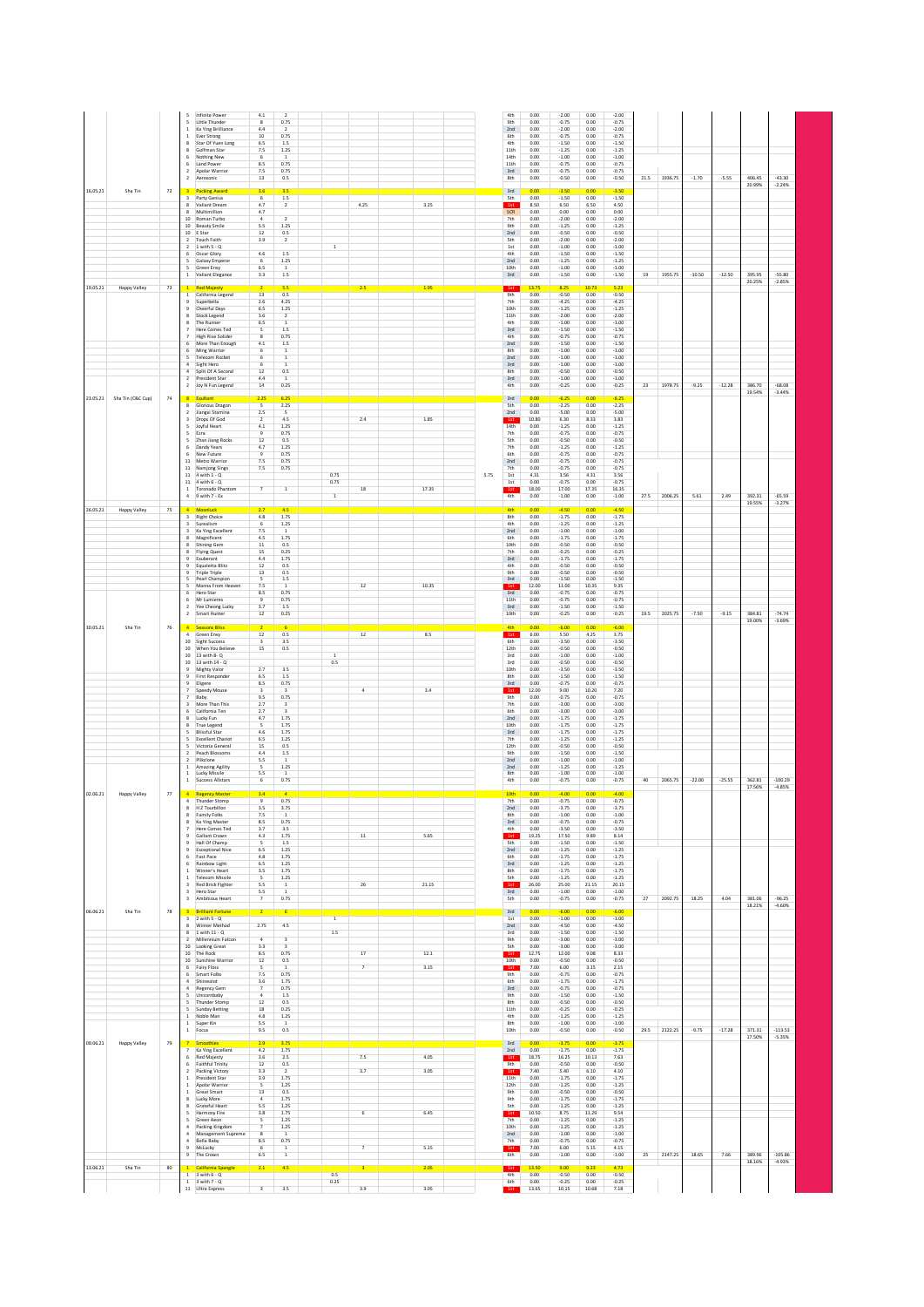| 16.05.21<br>Sha Tin<br>72        | Infinite Power<br>5.<br>Little Thunder<br>5<br>Ka Ying Brilliance<br>Ever Strong<br>Star Of Yuen Long<br>$\mathbf{R}$<br>Golfman Star<br>$\mathbf{R}$<br>Nothing New<br>6<br>Land Power<br>6.<br>Apolar Warrior<br>$\overline{ }$<br>Aerosonic<br>$\overline{2}$<br>3 <sup>7</sup><br><b>Packing Award</b>                                                                                                             | 4.1<br>$\mathbf{8}$<br>4.4<br>$10\,$<br>6.5<br>7.5<br>6<br>8.5<br>$7.5\,$<br>$13\,$<br>3.6                                                                          | $\overline{z}$<br>0.75<br>$\overline{2}$<br>0.75<br>1.5<br>1.25<br>$\mathbf{1}$<br>0.75<br>0.75<br>0.5<br>3.5                                                          |                       |                          |                      |      | 4th<br>9th<br>2nd<br>6th<br>4th<br>11th<br>14th<br>11th<br>3rd<br>8th<br>3rd                                           | 0.00<br>0.00<br>0.00<br>0.00<br>0.00<br>0.00<br>0.00<br>0.00<br>0.00<br>0.00<br>0.00                                          | $-2.00$<br>$-0.75$<br>$-2.00$<br>$-0.75$<br>$-1.50$<br>$-1.25$<br>$-1.00$<br>$-0.75$<br>$-0.75$<br>$-0.50$<br>$-3.50$                                                      | 0.00<br>0.00<br>0.00<br>0.00<br>0.00<br>0.00<br>0.00<br>0.00<br>0.00<br>0.00<br>0.00                                            | $-2.00$<br>$-0.75$<br>$-2.00$<br>$-0.75$<br>$-1.50$<br>$-1.25$<br>$-1.00$<br>$-0.75$<br>$-0.75$<br>$-0.50$<br>$-3.50$                                                     |      | 21.5 1936.75 | $-1.70$  | $-5.55$  | 406.45<br>20.99% | $-43.30$<br>$-2.24%$  |  |
|----------------------------------|------------------------------------------------------------------------------------------------------------------------------------------------------------------------------------------------------------------------------------------------------------------------------------------------------------------------------------------------------------------------------------------------------------------------|---------------------------------------------------------------------------------------------------------------------------------------------------------------------|------------------------------------------------------------------------------------------------------------------------------------------------------------------------|-----------------------|--------------------------|----------------------|------|------------------------------------------------------------------------------------------------------------------------|-------------------------------------------------------------------------------------------------------------------------------|----------------------------------------------------------------------------------------------------------------------------------------------------------------------------|---------------------------------------------------------------------------------------------------------------------------------|---------------------------------------------------------------------------------------------------------------------------------------------------------------------------|------|--------------|----------|----------|------------------|-----------------------|--|
|                                  | $\overline{\mathbf{3}}$<br>Party Genius<br>8 Valiant Dream<br>Multimillion<br>$\mathbf{R}$<br>10 Roman Turbo<br>10 Beauty Smile<br>10 E Star<br>Touch Faith<br>$\overline{2}$<br>$2 - 1$ with $5 - Q$<br>Oscar Glory<br>6<br>Galaxy Emperor<br>5<br>Green Envy<br>1 Valiant Elegance                                                                                                                                   | 6<br>4.7<br>4.7<br>$\overline{4}$<br>5.5<br>$12\,$<br>3.9<br>4.6<br>6<br>6.5<br>3.3                                                                                 | 1.5<br>$\overline{2}$<br>$\overline{2}$<br>1.25<br>0.5<br>$\overline{2}$<br>$1.5\,$<br>1.25<br>$\mathbf{1}$<br>1.5                                                     | $\,$ 1 $\,$           | 4.25                     | 3.25                 |      | <b>Sth</b><br>1st<br><b>SCR</b><br>7th<br>9th<br>2nd<br><b>Sth</b><br>1st<br>4th<br>2nd<br>10th<br>3rd                 | 0.00<br>8.50<br>0.00<br>0.00<br>0.00<br>0.00<br>0.00<br>0.00<br>0.00<br>0.00<br>0.00<br>0.00                                  | $-1.50$<br>6.50<br>0.00<br>$-2.00$<br>$-1.25$<br>$-0.50$<br>$-2.00$<br>$-1.00$<br>$-1.50$<br>$-1.25$<br>$-1.00$<br>$-1.50$                                                 | 0.00<br>6.50<br>0.00<br>0.00<br>0.00<br>0.00<br>0.00<br>0.00<br>0.00<br>0.00<br>0.00<br>0.00                                    | $-1.50$<br>4.50<br>0.00<br>$-2.00$<br>$-1.25$<br>$-0.50$<br>$-2.00$<br>$-1.00$<br>$-1.50$<br>$-1.25$<br>$-1.00$<br>$-1.50$                                                | 19   | 1955.75      | $-10.50$ | $-12.50$ | 395.95<br>20.25% | $-55.80$<br>$-2.85%$  |  |
| 19.05.21<br>Happy Valley<br>73   | <b>Red Majesty</b><br>$\mathbf{1}$<br>California Legend<br>$\mathbf{1}$<br>Superbella<br>Cheerful Days<br>Stock Legend<br>8<br>The Runner<br>Here Comes Ted<br><b>High Rise Solider</b><br>More Than Enough<br>Ming Warrior<br>Telecom Rocket<br>Sight Hero<br>Split Of A Second<br>President Star                                                                                                                     | 13<br>2.6<br>6.5<br>3.6<br>6.5<br>5<br>$\overline{\mathbf{g}}$<br>4.1<br>6<br>6<br>$12\,$<br>4.4                                                                    | 5.5<br>0.5<br>4.25<br>1.25<br>$\overline{2}$<br>1.5<br>0.75<br>1.5<br>$\,$ 1 $\,$<br>$\,$ 1<br>0.5<br>$\,$ 1                                                           |                       | 2.5                      | 1.95                 |      | 1st<br>9th<br>7th<br>10th<br>11th<br>4th<br>3rd<br>4th<br>2nd<br>8th<br>2nd<br>3rd<br>8th<br>$3rd$                     | 13.75<br>0.00<br>0.00<br>0.00<br>0.00<br>0.00<br>0.00<br>0.00<br>0.00<br>0.00<br>0.00<br>0.00<br>0.00<br>0.00                 | 8.25<br>$-0.50$<br>$-4.25$<br>$-1.25$<br>$-2.00$<br>$-1.00$<br>$-1.50$<br>$-0.75$<br>$-1.50$<br>$-1.00$<br>$-1.00$<br>$-1.00$<br>$-0.50$<br>$-1.00$                        | 10.73<br>0.00<br>0.00<br>0.00<br>0.00<br>0.00<br>0.00<br>0.00<br>0.00<br>0.00<br>0.00<br>0.00<br>0.00<br>0.00                   | 5.23<br>$-0.50$<br>$-4.25$<br>$-1.25$<br>$-2.00$<br>$-1.00$<br>$-1.50$<br>$-0.75$<br>$-1.50$<br>$-1.00$<br>$-1.00$<br>$-1.00$<br>$-0.50$<br>$-1.00$                       |      |              |          |          |                  |                       |  |
| 23.05.21 Sha Tin (C&C Cup)<br>74 | Joy N Fun Legend<br>$\overline{2}$<br>Exultan<br>8<br>Glorious Dragon<br>8<br>Jiangxi Stamina<br>$\overline{2}$<br>Drops Of God<br>$\overline{\mathbf{3}}$<br>Joyful Heart<br>5<br>Ezra<br>5<br>Zhan Jiang Rocks<br>6<br>Dandy Years<br>New Future<br>6<br>11 Metro Warrior<br>11 Namjong Sings<br>11 4 with 1 - 0<br>11 4 with 6 - Q<br>$\mathbf{1}$<br>Toronado Phantom                                              | $14\,$<br>2.25<br>$\overline{\phantom{a}}$<br>$2.5\,$<br>$\overline{2}$<br>$4.1\,$<br>$\overline{9}$<br>12<br>4.7<br>$\overline{9}$<br>7.5<br>7.5<br>$\overline{7}$ | 0.25<br>6.25<br>2.25<br>$\mathsf{s}$<br>$4.5\,$<br>1.25<br>0.75<br>0.5<br>1.25<br>0.75<br>0.75<br>0.75<br>$\,$ 1                                                       | 0.75<br>0.75          | $2.4\,$<br>18            | 1.85<br>17.35        | 5.75 | 4th<br>3rd<br>Sth<br>2nd<br>1st<br>14th<br>7th<br><b>Sth</b><br>7th<br>6th<br>2nd<br>7th<br>1st<br>1st<br>1st          | 0.00<br>0.00<br>0.00<br>0.00<br>10.80<br>0.00<br>0.00<br>0.00<br>0.00<br>0.00<br>0.00<br>0.00<br>4.31<br>0.00<br>18.00        | $-0.25$<br>$-6.25$<br>$-2.25$<br>$-5.00$<br>6.30<br>$-1.25$<br>$-0.75$<br>$-0.50$<br>$-1.25$<br>$-0.75$<br>$-0.75$<br>$-0.75$<br>3.56<br>$-0.75$<br>17.00                  | 0.00<br>0 <sup>0</sup><br>0.00<br>0.00<br>8.33<br>0.00<br>0.00<br>0.00<br>0.00<br>0.00<br>0.00<br>0.00<br>4.31<br>0.00<br>17.35 | $-0.25$<br>$-6.25$<br>$-2.25$<br>$-5.00$<br>3.83<br>$-1.25$<br>$-0.75$<br>$-0.50$<br>$-1.25$<br>$-0.75$<br>$-0.75$<br>$-0.75$<br>3.56<br>$-0.75$<br>16.35                 | 23   | 1978.75      | $-9.25$  | $-12.28$ | 386.70<br>19.54% | $-68.08$<br>$-3.44%$  |  |
| 26.05.21<br>75<br>Happy Valley   | $\overline{4}$<br>9 with 7 - Ex<br>Moonluck<br><b>Right Choice</b><br>3<br>3<br>Surealism<br>Ka Ying Excellent<br>3<br>Magnificent<br>8<br><b>Shining Gem</b><br>8<br><b>Flying Quest</b><br>8<br>Exuberant<br>9<br>Equaletta Blitz<br>Triple Triple<br>9<br>Pearl Champion<br>5.<br>Manna From Heaven<br>Hero Star<br>6<br>Mr Lumieres<br>6<br>Yee Cheong Lucky<br>2                                                  | 2.7<br>4.8<br>6<br>7.5<br>4.5<br>$11\,$<br>15<br>4.4<br>$12\,$<br>13<br>5<br>7.5<br>8.5<br>$\,9$<br>3.7                                                             | 4.5<br>1.75<br>1.25<br>1<br>1.75<br>0.5<br>0.25<br>1.75<br>0.5<br>0.5<br>1.5<br>1<br>0.75<br>0.75<br>1.5                                                               | $\,$ 1 $\,$           | $12\,$                   | 10.35                |      | 4th<br>4th<br>8th<br>4th<br>2nd<br>6th<br>10th<br>7th<br>3rd<br>4th<br>9th<br>3rd<br>1st<br>3rd<br>11th<br>3rd         | 0.00<br>0.00<br>0.00<br>0.00<br>0.00<br>0.00<br>0.00<br>0.00<br>0.00<br>0.00<br>0.00<br>0.00<br>12.00<br>0.00<br>0.00<br>0.00 | $-1.00$<br>$-4.50$<br>$-1.75$<br>$-1.25$<br>$-1.00$<br>$-1.75$<br>$-0.50$<br>$-0.25$<br>$-1.75$<br>$-0.50$<br>$-0.50$<br>$-1.50$<br>11.00<br>$-0.75$<br>$-0.75$<br>$-1.50$ | 0.00<br>0.00<br>0.00<br>0.00<br>0.00<br>0.00<br>0.00<br>0.00<br>0.00<br>0.00<br>0.00<br>0.00<br>10.35<br>0.00<br>0.00<br>0.00   | $-1.00$<br>$-4.50$<br>$-1.75$<br>$-1.25$<br>$-1.00$<br>$-1.75$<br>$-0.50$<br>$-0.25$<br>$-1.75$<br>$-0.50$<br>$-0.50$<br>$-1.50$<br>9.35<br>$-0.75$<br>$-0.75$<br>$-1.50$ | 27.5 | 2006.25      | 5.61     | 2.49     | 392.31<br>19.55% | $-65.59$<br>$-3.27%$  |  |
| 30.05.21<br>Sha Tin<br>76        | Smart Hunter<br><b>Seasons Blis</b><br>Green Envy<br><b>Sight Success</b><br>10<br>10 When You Believe<br>10 13 with 8-Q<br>10 13 with 14 - Q<br>Mighty Valor<br>9<br>First Responder<br>۹<br>Eligere<br>$\overline{9}$<br>$\overline{7}$<br>Speedy Mouse<br>Baby<br>$\overline{7}$<br>More Than This<br>$\mathbf{a}$<br>California Ten<br>6<br>Lucky Fun<br>$\mathbf{R}$<br>True Legend<br>$\mathbf{R}$               | $12\,$<br>$12\,$<br>3<br>$15\,$<br>2.7<br>6.5<br>8.5<br>$\overline{\mathbf{3}}$<br>9.5<br>2.7<br>2.7<br>4.7<br>$\overline{\phantom{a}}$                             | 0.25<br>0.5<br>$3.5\,$<br>0.5<br>3.5<br>1.5<br>0.75<br>$\overline{a}$<br>0.75<br>$\overline{\mathbf{3}}$<br>$\overline{a}$<br>1.75<br>1.75                             | $\overline{1}$<br>0.5 | $12\,$<br>$\overline{a}$ | 8.5<br>3.4           |      | 10th<br>1st<br>6th<br>12th<br>3rd<br>3rd<br>10th<br>8th<br>3rd<br>9th<br>7th<br>6th<br>2nd<br>10th                     | 0.00<br>0.00<br>6.00<br>0.00<br>0.00<br>0.00<br>0.00<br>0.00<br>0.00<br>0.00<br>12.00<br>0.00<br>0.00<br>0.00<br>0.00<br>0.00 | $-0.25$<br>$-6.00$<br>5.50<br>$-3.50$<br>$-0.50$<br>$-1.00$<br>$-0.50$<br>$-3.50$<br>$-1.50$<br>$-0.75$<br>9.00<br>$-0.75$<br>$-3.00$<br>$-3.00$<br>$-1.75$<br>$-1.75$     | 0.00<br>0.00<br>4.25<br>0.00<br>0.00<br>0.00<br>0.00<br>0.00<br>0.00<br>0.00<br>10.20<br>0.00<br>0.00<br>0.00<br>0.00<br>0.00   | $-0.25$<br>$-6.00$<br>3.75<br>$-3.50$<br>$-0.50$<br>$-1.00$<br>$-0.50$<br>$-3.50$<br>$-1.50$<br>$-0.75$<br>7.20<br>$-0.75$<br>$-3.00$<br>$-3.00$<br>$-1.75$<br>$-1.75$    | 19.5 | 2025.75      | $-7.50$  | $-9.15$  | 384.81<br>19.00% | $-74.74$<br>$-3.69%$  |  |
| 02.06.21<br>77<br>Happy Valley   | <b>Blissful Star</b><br>5.<br><b>Excellent Chariot</b><br>5<br>Victoria General<br>Peach Blossoms<br>$\overline{ }$<br>$\overline{2}$<br>Plikclone<br><b>Amazing Agility</b><br>$\mathbf{1}$<br>Lucky Missile<br>Success Allstars<br>$\mathbf{1}$<br><b>Regency Master</b><br>$\overline{4}$<br>4 Thunder Stomp<br>R<br>H Z Tourbillon<br>8<br>Family Folks<br>8<br>Ka Ying Master<br>Here Comes Ted<br>$\overline{7}$ | 4.6<br>6.5<br>$15\,$<br>4.4<br>5.5<br>5<br>5.5<br>$\,$ 6<br>3.4<br>$\overline{9}$<br>3.5<br>7.5<br>8.5<br>3.7                                                       | 1.75<br>1.25<br>0.5<br>1.5<br>$\overline{1}$<br>$1.25\,$<br>$\mathbf 1$<br>0.75<br>0.75<br>3.75<br><sup>1</sup><br>0.75<br>3.5                                         |                       |                          |                      |      | 3rd<br>7th<br>12th<br>9th<br>2nd<br>2nd<br>8th<br>4th<br>10th<br>7th<br>2nd<br>8th<br>3rd<br>4th                       | 0.00<br>0.00<br>0.00<br>0.00<br>0.00<br>0.00<br>0.00<br>0.00<br>0.00<br>0.00<br>0.00<br>0.00<br>0.00<br>0.00                  | $-1.75$<br>$-1.25$<br>$-0.50$<br>$-1.50$<br>$-1.00$<br>$-1.25$<br>$-1.00$<br>$-0.75$<br>$-4.00$<br>$-0.75$<br>$-3.75$<br>$-1.00$<br>$-0.75$<br>$-3.50$                     | 0.00<br>0.00<br>0.00<br>0.00<br>0.00<br>0.00<br>0.00<br>0.00<br>0.00<br>0.00<br>0.00<br>0.00<br>0.00<br>0.00                    | $-1.75$<br>$-1.25$<br>$-0.50$<br>$-1.50$<br>$-1.00$<br>$-1.25$<br>$-1.00$<br>$-0.75$<br>$-4.00$<br>$-0.75$<br>$-3.75$<br>$-1.00$<br>$-0.75$<br>$-3.50$                    | 40   | 2065.75      | $-22.00$ | $-25.55$ | 362.81<br>17.56% | $-100.29$<br>$-4.85%$ |  |
| 06.06.21<br>Sha Tin<br>78        | Gallant Crown<br>9<br>Hall Of Champ<br>9<br><b>Exceptional Nice</b><br>9<br>Fast Pace<br>6<br>Rainbow Light<br>6<br>1 Winner's Heart<br><b>Telecom Missile</b><br>$\mathbf{1}$<br>Red Brick Fighter<br>3<br>Hero Star<br>3<br>Ambitious Heart<br>3<br><b>Brilliant Fortune</b><br>$2$ with $5 - Q$<br>$\overline{\mathbf{3}}$                                                                                          | 4.3<br>5<br>6.5<br>4.8<br>6.5<br>3.5<br>5<br>5.5<br>5.5<br>$\overline{7}$                                                                                           | 1.75<br>1.5<br>1.25<br>1.75<br>1.25<br>1.75<br>1.25<br>$\mathbf{1}$<br>$1\,$<br>0.75<br>6                                                                              | $\overline{1}$        | $11\,$<br>$26\,$         | 5.65<br>21.15        |      | 1st<br><b>Sth</b><br>2nd<br>6th<br>3rd<br>8th<br><b>Sth</b><br>1st<br>3rd<br><b>Sth</b><br>3rd<br>1st                  | 19.25<br>0.00<br>0.00<br>0.00<br>0.00<br>0.00<br>0.00<br>26.00<br>0.00<br>0.00<br>0.00<br>0.00                                | 17.50<br>$-1.50$<br>$-1.25$<br>$-1.75$<br>$-1.25$<br>$-1.75$<br>$-1.25$<br>25.00<br>$-1.00$<br>$-0.75$<br>$-6.00$<br>$-1.00$                                               | 9.89<br>0.00<br>0.00<br>0.00<br>0.00<br>0.00<br>0.00<br>21.15<br>0.00<br>0.00<br>0.00<br>0.00                                   | 8.14<br>$-1.50$<br>$-1.25$<br>$-1.75$<br>$-1.25$<br>$-1.75$<br>$-1.25$<br>20.15<br>$-1.00$<br>$-0.75$<br>$-6.00$<br>$-1.00$                                               | 27   | 2092.75      | 18.25    | 4.04     | 381.06<br>18.21% | $-96.25$<br>$-4.60%$  |  |
|                                  | 8 Winner Method<br>1 with $11 - Q$<br>8<br>Millennium Falcon<br>10<br><b>Looking Great</b><br>10 The Rock<br>10 Sunshine Warrior<br>Fairy Floss<br>6<br>Smart Folks<br>Shiinealot<br>$\overline{4}$<br>Regency Gem<br>Unicornbaby<br>5<br>Thunder Stomp<br>$\overline{\phantom{a}}$<br>Sunday Betting<br>1 Noble Man<br>Super Kin<br>$\mathbf{1}$<br>Focus<br>$1\,$                                                    | 2.75<br>$\overline{a}$<br>3.3<br>8.5<br>$12\,$<br>5<br>7.5<br>3.6<br>$\overline{7}$<br>$\ddot{a}$<br>$12$<br>18<br>4.8<br>5.5<br>9.5                                | $4.5\,$<br>$\overline{\mathbf{3}}$<br>$\overline{ }$<br>0.75<br>0.5<br>$\,$ 1 $\,$<br>0.75<br>1.75<br>0.75<br>$1.5\,$<br>0.5<br>0.25<br>$1.25\,$<br>$\mathbf 1$<br>0.5 | $1.5\,$               | $17\,$<br>$\overline{7}$ | 12.1<br>3.15         |      | 2nd<br>3rd<br>9th<br><b>Sth</b><br>1st<br>10th<br>1st<br>9th<br>6th<br>3rd<br>9th<br>8th<br>11th<br>4th<br>8th<br>10th | 0.00<br>0.00<br>0.00<br>0.00<br>12.75<br>0.00<br>7.00<br>0.00<br>0.00<br>0.00<br>0.00<br>0.00<br>0.00<br>0.00<br>0.00<br>0.00 | $-4.50$<br>$-1.50$<br>$-3.00$<br>$-3.00$<br>12.00<br>$-0.50$<br>6.00<br>$-0.75$<br>$-1.75$<br>$-0.75$<br>$-1.50$<br>$-0.50$<br>$-0.25$<br>$-1.25$<br>$-1.00$<br>$-0.50$    | 0.00<br>0.00<br>0.00<br>0.00<br>9.08<br>0.00<br>3.15<br>0.00<br>0.00<br>0.00<br>0.00<br>0.00<br>0.00<br>0.00<br>0.00<br>0.00    | $-4.50$<br>$-1.50$<br>$-3.00$<br>$-3.00$<br>8.33<br>$-0.50$<br>2.15<br>$-0.75$<br>$-1.75$<br>$-0.75$<br>$-1.50$<br>$-0.50$<br>$-0.25$<br>$-1.25$<br>$-1.00$<br>$-0.50$    | 29.5 | 2122.25      | $-9.75$  | $-17.28$ | 371.31           | $-113.53$             |  |
| 09.06.21<br>Happy Valley<br>79   | anathies<br>$\overline{7}$<br>Ka Ying Excellent<br>6<br>Red Majesty<br>6<br>Faithful Trinity<br>$\overline{2}$<br>Packing Victory<br>$\mathbf{1}$<br>President Star<br>$\mathbf{1}$<br>Apolar Warrior<br>$\mathbf{1}$<br>Great Smart<br>8<br>Lucky More<br>8<br>Grateful Heart<br>5<br>Harmony Fire<br>5<br>Green Aeon<br>$\overline{4}$<br>Packing Kingdom                                                            | 4.2<br>3.6<br>12<br>3.3<br>3.9<br>5<br>13<br>$\overline{4}$<br>5.5<br>3.8<br>5<br>7                                                                                 | 3.75<br>1.75<br>2.5<br>0.5<br>$\overline{2}$<br>1.75<br>1.25<br>0.5<br>1.75<br>1.25<br>1.75<br>1.25<br>1.25                                                            |                       | 7.5<br>3.7<br>6          | 4.05<br>3.05<br>6.45 |      | 3rd<br>2nd<br>1st<br>9th<br>1st<br>11th<br>12th<br>9th<br>9th<br><b>Sth</b><br>1st<br>7th<br>10th                      | 0.00<br>0.00<br>18.75<br>0.00<br>7.40<br>0.00<br>0.00<br>0.00<br>0.00<br>0.00<br>10.50<br>0.00<br>0.00                        | $-3.75$<br>$-1.75$<br>16.25<br>$-0.50$<br>5.40<br>$-1.75$<br>$-1.25$<br>$-0.50$<br>$-1.75$<br>$-1.25$<br>8.75<br>$-1.25$<br>$-1.25$                                        | 0.00<br>0.00<br>10.13<br>0.00<br>6.10<br>0.00<br>0.00<br>0.00<br>0.00<br>0.00<br>11.29<br>0.00<br>0.00                          | $-3.75$<br>$-1.75$<br>7.63<br>$-0.50$<br>4.10<br>$-1.75$<br>$-1.25$<br>$-0.50$<br>$-1.75$<br>$-1.25$<br>9.54<br>$-1.25$<br>$-1.25$                                        |      |              |          |          | 17.50%           | $-5.35%$              |  |
| 13.06.21<br>Sha Tin<br>80        | $\overline{4}$<br>Management Supreme<br>$\overline{4}$<br>Bella Baby<br>$\overline{9}$<br>McLucky<br>9<br>The Crown<br>California Spangle<br>$\mathbf{1}$<br>$3$ with $6 - Q$<br>$\mathbf{1}$<br>$1 - 3$ with $7 - Q$<br>11 Ultra Express                                                                                                                                                                              | 8<br>8.5<br>6<br>6.5<br>2.1<br>$\overline{\mathbf{3}}$                                                                                                              | <sup>1</sup><br>0.75<br><sup>1</sup><br>$1\,$<br>4.5<br>3.5                                                                                                            | 0.5<br>0.25           | $\overline{7}$<br>3.9    | 5.15<br>2.05<br>3.05 |      | 2nd<br>7th<br>1st<br>6th<br>1st<br>4th<br>6th<br>1st                                                                   | 0.00<br>0.00<br>7.00<br>0.00<br>13.50<br>0.00<br>0.00<br>13.65                                                                | $-1.00$<br>$-0.75$<br>6.00<br>$-1.00$<br>9.00<br>$-0.50$<br>$-0.25$<br>10.15                                                                                               | 0.00<br>0.00<br>5.15<br>0.00<br>9.23<br>0.00<br>0.00<br>10.68                                                                   | $-1.00$<br>$-0.75$<br>4.15<br>$-1.00$<br>4.73<br>$-0.50$<br>$-0.25$<br>7.18                                                                                               | 25   | 2147.25      | 18.65    | 7.66     | 389.96<br>18.16% | $-105.86$<br>$-4.93%$ |  |